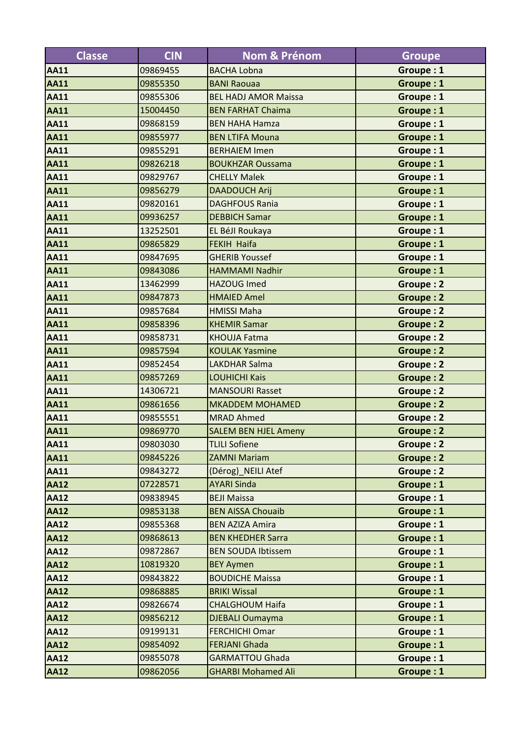| <b>Classe</b> | <b>CIN</b> | <b>Nom &amp; Prénom</b>     | <b>Groupe</b>    |
|---------------|------------|-----------------------------|------------------|
| <b>AA11</b>   | 09869455   | <b>BACHA Lobna</b>          | Groupe: 1        |
| <b>AA11</b>   | 09855350   | <b>BANI Raouaa</b>          | Groupe: 1        |
| <b>AA11</b>   | 09855306   | <b>BEL HADJ AMOR Maissa</b> | Groupe: 1        |
| <b>AA11</b>   | 15004450   | <b>BEN FARHAT Chaima</b>    | Groupe: 1        |
| <b>AA11</b>   | 09868159   | <b>BEN HAHA Hamza</b>       | Groupe: 1        |
| <b>AA11</b>   | 09855977   | <b>BEN LTIFA Mouna</b>      | Groupe: 1        |
| <b>AA11</b>   | 09855291   | <b>BERHAIEM Imen</b>        | Groupe: 1        |
| <b>AA11</b>   | 09826218   | <b>BOUKHZAR Oussama</b>     | Groupe: 1        |
| <b>AA11</b>   | 09829767   | <b>CHELLY Malek</b>         | Groupe: 1        |
| <b>AA11</b>   | 09856279   | <b>DAADOUCH Arij</b>        | Groupe: 1        |
| <b>AA11</b>   | 09820161   | <b>DAGHFOUS Rania</b>       | Groupe: 1        |
| <b>AA11</b>   | 09936257   | <b>DEBBICH Samar</b>        | Groupe: 1        |
| <b>AA11</b>   | 13252501   | EL BéJI Roukaya             | Groupe: 1        |
| <b>AA11</b>   | 09865829   | <b>FEKIH Haifa</b>          | Groupe: 1        |
| <b>AA11</b>   | 09847695   | <b>GHERIB Youssef</b>       | Groupe: 1        |
| <b>AA11</b>   | 09843086   | <b>HAMMAMI Nadhir</b>       | Groupe: 1        |
| <b>AA11</b>   | 13462999   | <b>HAZOUG Imed</b>          | Groupe: 2        |
| <b>AA11</b>   | 09847873   | <b>HMAIED Amel</b>          | <b>Groupe: 2</b> |
| <b>AA11</b>   | 09857684   | <b>HMISSI Maha</b>          | Groupe: 2        |
| <b>AA11</b>   | 09858396   | <b>KHEMIR Samar</b>         | <b>Groupe: 2</b> |
| <b>AA11</b>   | 09858731   | <b>KHOUJA Fatma</b>         | Groupe: 2        |
| <b>AA11</b>   | 09857594   | <b>KOULAK Yasmine</b>       | <b>Groupe: 2</b> |
| <b>AA11</b>   | 09852454   | <b>LAKDHAR Salma</b>        | <b>Groupe: 2</b> |
| <b>AA11</b>   | 09857269   | <b>LOUHICHI Kais</b>        | <b>Groupe: 2</b> |
| <b>AA11</b>   | 14306721   | <b>MANSOURI Rasset</b>      | Groupe: 2        |
| <b>AA11</b>   | 09861656   | <b>MKADDEM MOHAMED</b>      | Groupe: 2        |
| <b>AA11</b>   | 09855551   | <b>MRAD Ahmed</b>           | Groupe: 2        |
| <b>AA11</b>   | 09869770   | <b>SALEM BEN HJEL Ameny</b> | Groupe: 2        |
| <b>AA11</b>   | 09803030   | <b>TLILI Sofiene</b>        | Groupe: 2        |
| <b>AA11</b>   | 09845226   | <b>ZAMNI Mariam</b>         | Groupe: 2        |
| <b>AA11</b>   | 09843272   | (Dérog) NEILI Atef          | Groupe: 2        |
| <b>AA12</b>   | 07228571   | <b>AYARI Sinda</b>          | Groupe: 1        |
| <b>AA12</b>   | 09838945   | <b>BEJI Maissa</b>          | Groupe: 1        |
| <b>AA12</b>   | 09853138   | <b>BEN AISSA Chouaib</b>    | Groupe: 1        |
| <b>AA12</b>   | 09855368   | <b>BEN AZIZA Amira</b>      | Groupe: 1        |
| <b>AA12</b>   | 09868613   | <b>BEN KHEDHER Sarra</b>    | Groupe: 1        |
| <b>AA12</b>   | 09872867   | <b>BEN SOUDA Ibtissem</b>   | Groupe: 1        |
| <b>AA12</b>   | 10819320   | <b>BEY Aymen</b>            | Groupe: 1        |
| <b>AA12</b>   | 09843822   | <b>BOUDICHE Maissa</b>      | Groupe: 1        |
| <b>AA12</b>   | 09868885   | <b>BRIKI Wissal</b>         | Groupe: 1        |
| <b>AA12</b>   | 09826674   | <b>CHALGHOUM Haifa</b>      | Groupe: 1        |
| <b>AA12</b>   | 09856212   | <b>DJEBALI Oumayma</b>      | Groupe: 1        |
| <b>AA12</b>   | 09199131   | <b>FERCHICHI Omar</b>       | Groupe: 1        |
| <b>AA12</b>   | 09854092   | <b>FERJANI Ghada</b>        | Groupe: 1        |
| <b>AA12</b>   | 09855078   | <b>GARMATTOU Ghada</b>      | Groupe: 1        |
| <b>AA12</b>   | 09862056   | <b>GHARBI Mohamed Ali</b>   | Groupe: 1        |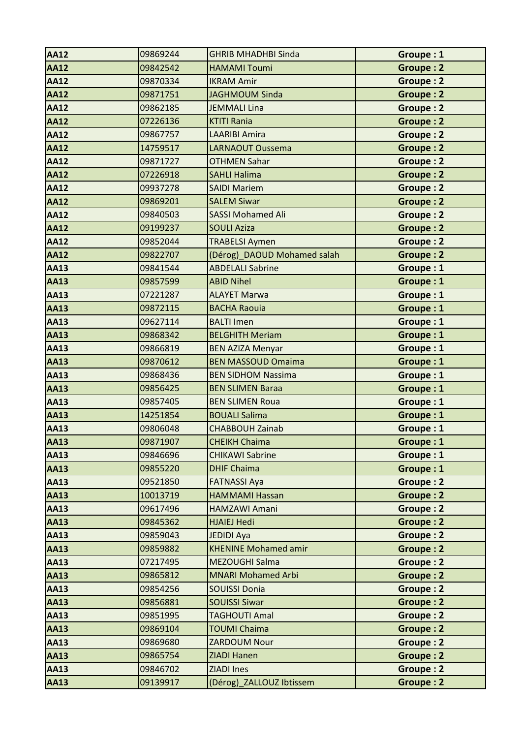| <b>AA12</b> | 09869244 | <b>GHRIB MHADHBI Sinda</b>  | Groupe: 1        |
|-------------|----------|-----------------------------|------------------|
| <b>AA12</b> | 09842542 | <b>HAMAMI Toumi</b>         | <b>Groupe: 2</b> |
| <b>AA12</b> | 09870334 | <b>IKRAM Amir</b>           | Groupe: 2        |
| <b>AA12</b> | 09871751 | <b>JAGHMOUM Sinda</b>       | <b>Groupe: 2</b> |
| <b>AA12</b> | 09862185 | <b>JEMMALI Lina</b>         | Groupe: 2        |
| <b>AA12</b> | 07226136 | <b>KTITI Rania</b>          | <b>Groupe: 2</b> |
| <b>AA12</b> | 09867757 | <b>LAARIBI Amira</b>        | Groupe: 2        |
| <b>AA12</b> | 14759517 | <b>LARNAOUT Oussema</b>     | <b>Groupe: 2</b> |
| <b>AA12</b> | 09871727 | <b>OTHMEN Sahar</b>         | Groupe: 2        |
| <b>AA12</b> | 07226918 | <b>SAHLI Halima</b>         | <b>Groupe: 2</b> |
| <b>AA12</b> | 09937278 | <b>SAIDI Mariem</b>         | Groupe: 2        |
| <b>AA12</b> | 09869201 | <b>SALEM Siwar</b>          | Groupe: 2        |
| <b>AA12</b> | 09840503 | <b>SASSI Mohamed Ali</b>    | Groupe: 2        |
| <b>AA12</b> | 09199237 | <b>SOULI Aziza</b>          | <b>Groupe: 2</b> |
| <b>AA12</b> | 09852044 | <b>TRABELSI Aymen</b>       | Groupe: 2        |
| <b>AA12</b> | 09822707 | (Dérog)_DAOUD Mohamed salah | <b>Groupe: 2</b> |
| <b>AA13</b> | 09841544 | <b>ABDELALI Sabrine</b>     | Groupe: 1        |
| <b>AA13</b> | 09857599 | <b>ABID Nihel</b>           | Groupe: 1        |
| <b>AA13</b> | 07221287 | <b>ALAYET Marwa</b>         | Groupe: 1        |
| <b>AA13</b> | 09872115 | <b>BACHA Raouia</b>         | Groupe: 1        |
| <b>AA13</b> | 09627114 | <b>BALTI Imen</b>           | Groupe: 1        |
| <b>AA13</b> | 09868342 | <b>BELGHITH Meriam</b>      | Groupe: 1        |
| <b>AA13</b> | 09866819 | <b>BEN AZIZA Menyar</b>     | Groupe: 1        |
| <b>AA13</b> | 09870612 | <b>BEN MASSOUD Omaima</b>   | Groupe: 1        |
| <b>AA13</b> | 09868436 | <b>BEN SIDHOM Nassima</b>   | Groupe: 1        |
| <b>AA13</b> | 09856425 | <b>BEN SLIMEN Baraa</b>     | Groupe: 1        |
| <b>AA13</b> | 09857405 | <b>BEN SLIMEN Roua</b>      | Groupe: 1        |
| <b>AA13</b> | 14251854 | <b>BOUALI Salima</b>        | Groupe: 1        |
| <b>AA13</b> | 09806048 | <b>CHABBOUH Zainab</b>      | Groupe: 1        |
| <b>AA13</b> | 09871907 | <b>CHEIKH Chaima</b>        | Groupe: 1        |
| <b>AA13</b> | 09846696 | <b>CHIKAWI Sabrine</b>      | Groupe: 1        |
| <b>AA13</b> | 09855220 | <b>DHIF Chaima</b>          | Groupe: 1        |
| <b>AA13</b> | 09521850 | <b>FATNASSI Aya</b>         | Groupe: 2        |
| <b>AA13</b> | 10013719 | <b>HAMMAMI Hassan</b>       | Groupe: 2        |
| <b>AA13</b> | 09617496 | <b>HAMZAWI Amani</b>        | Groupe: 2        |
| <b>AA13</b> | 09845362 | <b>HJAIEJ Hedi</b>          | Groupe: 2        |
| <b>AA13</b> | 09859043 | <b>JEDIDI Aya</b>           | Groupe: 2        |
| <b>AA13</b> | 09859882 | <b>KHENINE Mohamed amir</b> | Groupe: 2        |
| <b>AA13</b> | 07217495 | MEZOUGHI Salma              | Groupe: 2        |
| <b>AA13</b> | 09865812 | <b>MNARI Mohamed Arbi</b>   | <b>Groupe: 2</b> |
| <b>AA13</b> | 09854256 | <b>SOUISSI Donia</b>        | Groupe: 2        |
| <b>AA13</b> | 09856881 | <b>SOUISSI Siwar</b>        | <b>Groupe: 2</b> |
| <b>AA13</b> | 09851995 | <b>TAGHOUTI Amal</b>        | Groupe: 2        |
| <b>AA13</b> | 09869104 | <b>TOUMI Chaima</b>         | Groupe: 2        |
| <b>AA13</b> | 09869680 | <b>ZARDOUM Nour</b>         | Groupe: 2        |
| <b>AA13</b> | 09865754 | <b>ZIADI Hanen</b>          | Groupe: 2        |
| <b>AA13</b> | 09846702 | <b>ZIADI Ines</b>           | Groupe: 2        |
| <b>AA13</b> | 09139917 | (Dérog) ZALLOUZ Ibtissem    | Groupe: 2        |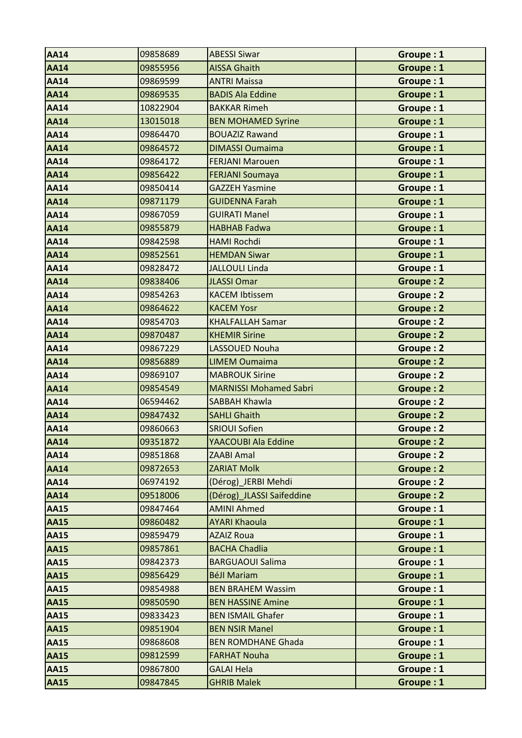| <b>AA14</b> | 09858689 | <b>ABESSI Siwar</b>           | Groupe: 1        |
|-------------|----------|-------------------------------|------------------|
| <b>AA14</b> | 09855956 | <b>AISSA Ghaith</b>           | Groupe: 1        |
| <b>AA14</b> | 09869599 | <b>ANTRI Maissa</b>           | Groupe: 1        |
| <b>AA14</b> | 09869535 | <b>BADIS Ala Eddine</b>       | Groupe: 1        |
| <b>AA14</b> | 10822904 | <b>BAKKAR Rimeh</b>           | Groupe: 1        |
| <b>AA14</b> | 13015018 | <b>BEN MOHAMED Syrine</b>     | Groupe: 1        |
| <b>AA14</b> | 09864470 | <b>BOUAZIZ Rawand</b>         | Groupe: 1        |
| <b>AA14</b> | 09864572 | <b>DIMASSI Oumaima</b>        | Groupe: 1        |
| <b>AA14</b> | 09864172 | <b>FERJANI Marouen</b>        | Groupe: 1        |
| <b>AA14</b> | 09856422 | <b>FERJANI Soumaya</b>        | Groupe: 1        |
| <b>AA14</b> | 09850414 | <b>GAZZEH Yasmine</b>         | Groupe: 1        |
| <b>AA14</b> | 09871179 | <b>GUIDENNA Farah</b>         | Groupe: 1        |
| <b>AA14</b> | 09867059 | <b>GUIRATI Manel</b>          | Groupe: 1        |
| <b>AA14</b> | 09855879 | <b>HABHAB Fadwa</b>           | Groupe: 1        |
| <b>AA14</b> | 09842598 | <b>HAMI Rochdi</b>            | Groupe: 1        |
| <b>AA14</b> | 09852561 | <b>HEMDAN Siwar</b>           | Groupe: 1        |
| <b>AA14</b> | 09828472 | <b>JALLOULI Linda</b>         | Groupe: 1        |
| <b>AA14</b> | 09838406 | <b>JLASSI Omar</b>            | <b>Groupe: 2</b> |
| <b>AA14</b> | 09854263 | <b>KACEM Ibtissem</b>         | <b>Groupe: 2</b> |
| <b>AA14</b> | 09864622 | <b>KACEM Yosr</b>             | <b>Groupe: 2</b> |
| <b>AA14</b> | 09854703 | <b>KHALFALLAH Samar</b>       | <b>Groupe: 2</b> |
| <b>AA14</b> | 09870487 | <b>KHEMIR Sirine</b>          | Groupe: 2        |
| <b>AA14</b> | 09867229 | LASSOUED Nouha                | Groupe: 2        |
| <b>AA14</b> | 09856889 | <b>LIMEM Oumaima</b>          | <b>Groupe: 2</b> |
| <b>AA14</b> | 09869107 | <b>MABROUK Sirine</b>         | Groupe: 2        |
| <b>AA14</b> | 09854549 | <b>MARNISSI Mohamed Sabri</b> | <b>Groupe: 2</b> |
| <b>AA14</b> | 06594462 | <b>SABBAH Khawla</b>          | Groupe: 2        |
| <b>AA14</b> | 09847432 | <b>SAHLI Ghaith</b>           | <b>Groupe: 2</b> |
| <b>AA14</b> | 09860663 | <b>SRIOUI Sofien</b>          | Groupe: 2        |
| <b>AA14</b> | 09351872 | YAACOUBI Ala Eddine           | Groupe: 2        |
| <b>AA14</b> | 09851868 | <b>ZAABI Amal</b>             | Groupe: 2        |
| <b>AA14</b> | 09872653 | <b>ZARIAT Molk</b>            | Groupe: 2        |
| <b>AA14</b> | 06974192 | (Dérog) JERBI Mehdi           | Groupe: 2        |
| <b>AA14</b> | 09518006 | (Dérog) JLASSI Saifeddine     | Groupe: 2        |
| <b>AA15</b> | 09847464 | <b>AMINI Ahmed</b>            | Groupe: 1        |
| <b>AA15</b> | 09860482 | <b>AYARI Khaoula</b>          | Groupe: 1        |
| <b>AA15</b> | 09859479 | <b>AZAIZ Roua</b>             | Groupe: 1        |
| <b>AA15</b> | 09857861 | <b>BACHA Chadlia</b>          | Groupe: 1        |
| <b>AA15</b> | 09842373 | <b>BARGUAOUI Salima</b>       | Groupe: 1        |
| <b>AA15</b> | 09856429 | <b>BéJI Mariam</b>            | Groupe: 1        |
| <b>AA15</b> | 09854988 | <b>BEN BRAHEM Wassim</b>      | Groupe: 1        |
| <b>AA15</b> | 09850590 | <b>BEN HASSINE Amine</b>      | Groupe: 1        |
| <b>AA15</b> | 09833423 | <b>BEN ISMAIL Ghafer</b>      | Groupe: 1        |
| <b>AA15</b> | 09851904 | <b>BEN NSIR Manel</b>         | Groupe: 1        |
| <b>AA15</b> | 09868608 | <b>BEN ROMDHANE Ghada</b>     | Groupe: 1        |
| <b>AA15</b> | 09812599 | <b>FARHAT Nouha</b>           | Groupe: 1        |
| <b>AA15</b> | 09867800 | <b>GALAI Hela</b>             | Groupe: 1        |
| <b>AA15</b> | 09847845 | <b>GHRIB Malek</b>            | Groupe: 1        |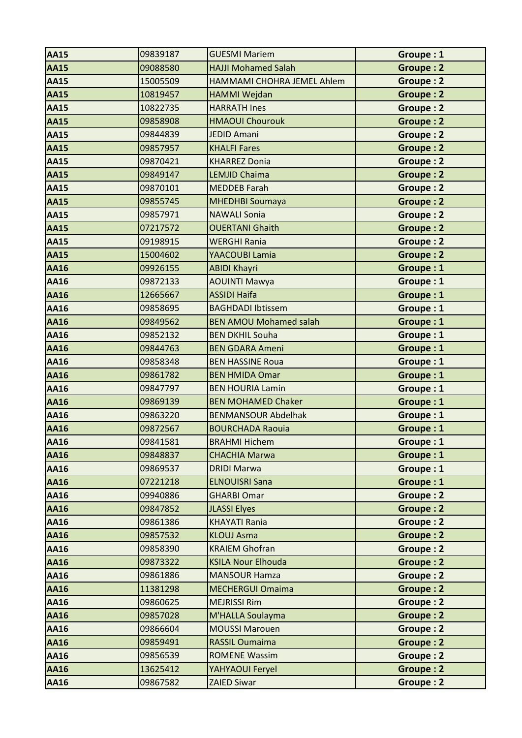| <b>AA15</b> | 09839187 | <b>GUESMI Mariem</b>          | Groupe: 1        |
|-------------|----------|-------------------------------|------------------|
| <b>AA15</b> | 09088580 | <b>HAJJI Mohamed Salah</b>    | <b>Groupe: 2</b> |
| <b>AA15</b> | 15005509 | HAMMAMI CHOHRA JEMEL Ahlem    | Groupe: 2        |
| <b>AA15</b> | 10819457 | HAMMI Wejdan                  | <b>Groupe: 2</b> |
| <b>AA15</b> | 10822735 | <b>HARRATH Ines</b>           | Groupe: 2        |
| <b>AA15</b> | 09858908 | <b>HMAOUI Chourouk</b>        | <b>Groupe: 2</b> |
| <b>AA15</b> | 09844839 | <b>JEDID Amani</b>            | Groupe: 2        |
| <b>AA15</b> | 09857957 | <b>KHALFI Fares</b>           | <b>Groupe: 2</b> |
| <b>AA15</b> | 09870421 | <b>KHARREZ Donia</b>          | Groupe: 2        |
| <b>AA15</b> | 09849147 | <b>LEMJID Chaima</b>          | Groupe: 2        |
| <b>AA15</b> | 09870101 | <b>MEDDEB Farah</b>           | Groupe: 2        |
| <b>AA15</b> | 09855745 | <b>MHEDHBI Soumaya</b>        | Groupe: 2        |
| <b>AA15</b> | 09857971 | <b>NAWALI Sonia</b>           | Groupe: 2        |
| <b>AA15</b> | 07217572 | <b>OUERTANI Ghaith</b>        | <b>Groupe: 2</b> |
| <b>AA15</b> | 09198915 | <b>WERGHI Rania</b>           | Groupe: 2        |
| <b>AA15</b> | 15004602 | YAACOUBI Lamia                | <b>Groupe: 2</b> |
| <b>AA16</b> | 09926155 | <b>ABIDI Khayri</b>           | Groupe: 1        |
| <b>AA16</b> | 09872133 | <b>AOUINTI Mawya</b>          | Groupe: 1        |
| <b>AA16</b> | 12665667 | <b>ASSIDI Haifa</b>           | Groupe: 1        |
| <b>AA16</b> | 09858695 | <b>BAGHDADI Ibtissem</b>      | Groupe: 1        |
| <b>AA16</b> | 09849562 | <b>BEN AMOU Mohamed salah</b> | Groupe: 1        |
| <b>AA16</b> | 09852132 | <b>BEN DKHIL Souha</b>        | Groupe: 1        |
| <b>AA16</b> | 09844763 | <b>BEN GDARA Ameni</b>        | Groupe: 1        |
| <b>AA16</b> | 09858348 | <b>BEN HASSINE Roua</b>       | Groupe: 1        |
| <b>AA16</b> | 09861782 | <b>BEN HMIDA Omar</b>         | Groupe: 1        |
| <b>AA16</b> | 09847797 | <b>BEN HOURIA Lamin</b>       | Groupe: 1        |
| <b>AA16</b> | 09869139 | <b>BEN MOHAMED Chaker</b>     | Groupe: 1        |
| <b>AA16</b> | 09863220 | <b>BENMANSOUR Abdelhak</b>    | Groupe: 1        |
| <b>AA16</b> | 09872567 | <b>BOURCHADA Raouia</b>       | Groupe: 1        |
| <b>AA16</b> | 09841581 | <b>BRAHMI Hichem</b>          | Groupe: 1        |
| <b>AA16</b> | 09848837 | <b>CHACHIA Marwa</b>          | Groupe: 1        |
| <b>AA16</b> | 09869537 | <b>DRIDI Marwa</b>            | Groupe: 1        |
| <b>AA16</b> | 07221218 | <b>ELNOUISRI Sana</b>         | Groupe: 1        |
| <b>AA16</b> | 09940886 | <b>GHARBI Omar</b>            | <b>Groupe: 2</b> |
| <b>AA16</b> | 09847852 | <b>JLASSI Elyes</b>           | Groupe: 2        |
| <b>AA16</b> | 09861386 | <b>KHAYATI Rania</b>          | Groupe: 2        |
| <b>AA16</b> | 09857532 | <b>KLOUJ Asma</b>             | Groupe: 2        |
| <b>AA16</b> | 09858390 | <b>KRAIEM Ghofran</b>         | Groupe: 2        |
| <b>AA16</b> | 09873322 | <b>KSILA Nour Elhouda</b>     | <b>Groupe: 2</b> |
| <b>AA16</b> | 09861886 | <b>MANSOUR Hamza</b>          | Groupe: 2        |
| <b>AA16</b> | 11381298 | <b>MECHERGUI Omaima</b>       | <b>Groupe: 2</b> |
| <b>AA16</b> | 09860625 | <b>MEJRISSI Rim</b>           | Groupe: 2        |
| <b>AA16</b> | 09857028 | M'HALLA Soulayma              | Groupe: 2        |
| <b>AA16</b> | 09866604 | <b>MOUSSI Marouen</b>         | <b>Groupe: 2</b> |
| <b>AA16</b> | 09859491 | <b>RASSIL Oumaima</b>         | Groupe: 2        |
| <b>AA16</b> | 09856539 | <b>ROMENE Wassim</b>          | Groupe: 2        |
| <b>AA16</b> | 13625412 | YAHYAOUI Feryel               | <b>Groupe: 2</b> |
| <b>AA16</b> | 09867582 | <b>ZAIED Siwar</b>            | Groupe: 2        |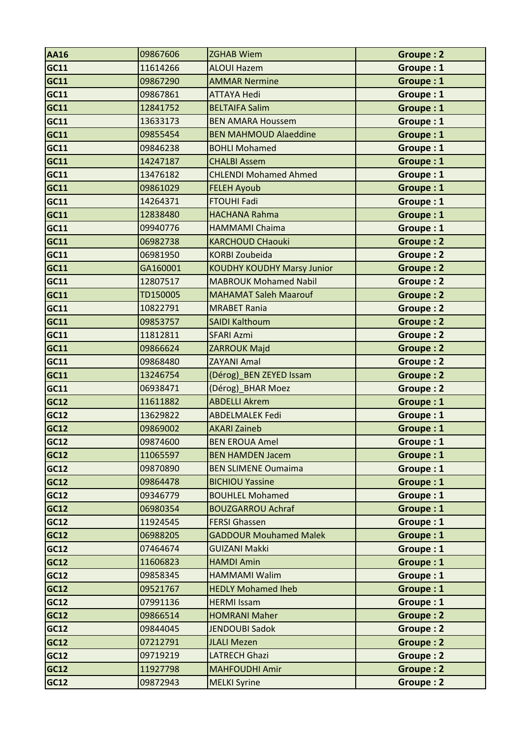| <b>AA16</b> | 09867606 | <b>ZGHAB Wiem</b>                 | Groupe: 2        |
|-------------|----------|-----------------------------------|------------------|
| GC11        | 11614266 | <b>ALOUI Hazem</b>                | Groupe: 1        |
| <b>GC11</b> | 09867290 | <b>AMMAR Nermine</b>              | Groupe: 1        |
| <b>GC11</b> | 09867861 | <b>ATTAYA Hedi</b>                | Groupe: 1        |
| GC11        | 12841752 | <b>BELTAIFA Salim</b>             | Groupe: 1        |
| GC11        | 13633173 | <b>BEN AMARA Houssem</b>          | Groupe: 1        |
| <b>GC11</b> | 09855454 | <b>BEN MAHMOUD Alaeddine</b>      | Groupe: 1        |
| GC11        | 09846238 | <b>BOHLI Mohamed</b>              | Groupe: 1        |
| GC11        | 14247187 | <b>CHALBI Assem</b>               | Groupe: 1        |
| GC11        | 13476182 | <b>CHLENDI Mohamed Ahmed</b>      | Groupe: 1        |
| GC11        | 09861029 | <b>FELEH Ayoub</b>                | Groupe: 1        |
| GC11        | 14264371 | <b>FTOUHI Fadi</b>                | Groupe: 1        |
| <b>GC11</b> | 12838480 | <b>HACHANA Rahma</b>              | Groupe: 1        |
| GC11        | 09940776 | <b>HAMMAMI Chaima</b>             | Groupe: 1        |
| <b>GC11</b> | 06982738 | <b>KARCHOUD CHaouki</b>           | <b>Groupe: 2</b> |
| <b>GC11</b> | 06981950 | <b>KORBI Zoubeida</b>             | Groupe: 2        |
| <b>GC11</b> | GA160001 | <b>KOUDHY KOUDHY Marsy Junior</b> | <b>Groupe: 2</b> |
| GC11        | 12807517 | <b>MABROUK Mohamed Nabil</b>      | Groupe: 2        |
| GC11        | TD150005 | <b>MAHAMAT Saleh Maarouf</b>      | <b>Groupe: 2</b> |
| GC11        | 10822791 | <b>MRABET Rania</b>               | <b>Groupe: 2</b> |
| GC11        | 09853757 | <b>SAIDI Kalthoum</b>             | <b>Groupe: 2</b> |
| GC11        | 11812811 | <b>SFARI Azmi</b>                 | Groupe: 2        |
| <b>GC11</b> | 09866624 | ZARROUK Majd                      | <b>Groupe: 2</b> |
| GC11        | 09868480 | <b>ZAYANI Amal</b>                | Groupe: 2        |
| GC11        | 13246754 | (Dérog) BEN ZEYED Issam           | <b>Groupe: 2</b> |
| GC11        | 06938471 | (Dérog) BHAR Moez                 | <b>Groupe: 2</b> |
| GC12        | 11611882 | <b>ABDELLI Akrem</b>              | Groupe: 1        |
| <b>GC12</b> | 13629822 | <b>ABDELMALEK Fedi</b>            | Groupe: 1        |
| <b>GC12</b> | 09869002 | <b>AKARI Zaineb</b>               | Groupe: 1        |
| GC12        | 09874600 | <b>BEN EROUA Amel</b>             | Groupe: 1        |
| GC12        | 11065597 | <b>BEN HAMDEN Jacem</b>           | Groupe: 1        |
| GC12        | 09870890 | <b>BEN SLIMENE Oumaima</b>        | Groupe: 1        |
| <b>GC12</b> | 09864478 | <b>BICHIOU Yassine</b>            | Groupe: 1        |
| GC12        | 09346779 | <b>BOUHLEL Mohamed</b>            | Groupe: 1        |
| <b>GC12</b> | 06980354 | <b>BOUZGARROU Achraf</b>          | Groupe: 1        |
| GC12        | 11924545 | <b>FERSI Ghassen</b>              | Groupe: 1        |
| <b>GC12</b> | 06988205 | <b>GADDOUR Mouhamed Malek</b>     | Groupe: 1        |
| GC12        | 07464674 | <b>GUIZANI Makki</b>              | Groupe: 1        |
| <b>GC12</b> | 11606823 | <b>HAMDI Amin</b>                 | Groupe: 1        |
| <b>GC12</b> | 09858345 | <b>HAMMAMI Walim</b>              | Groupe: 1        |
| GC12        | 09521767 | <b>HEDLY Mohamed Iheb</b>         | Groupe: 1        |
| GC12        | 07991136 | <b>HERMI Issam</b>                | Groupe: 1        |
| GC12        | 09866514 | <b>HOMRANI Maher</b>              | Groupe: 2        |
| GC12        | 09844045 | <b>JENDOUBI Sadok</b>             | Groupe: 2        |
| GC12        | 07212791 | <b>JLALI Mezen</b>                | <b>Groupe: 2</b> |
| GC12        | 09719219 | <b>LATRECH Ghazi</b>              | Groupe: 2        |
| GC12        | 11927798 | <b>MAHFOUDHI Amir</b>             | <b>Groupe: 2</b> |
| <b>GC12</b> | 09872943 | <b>MELKI Syrine</b>               | Groupe: 2        |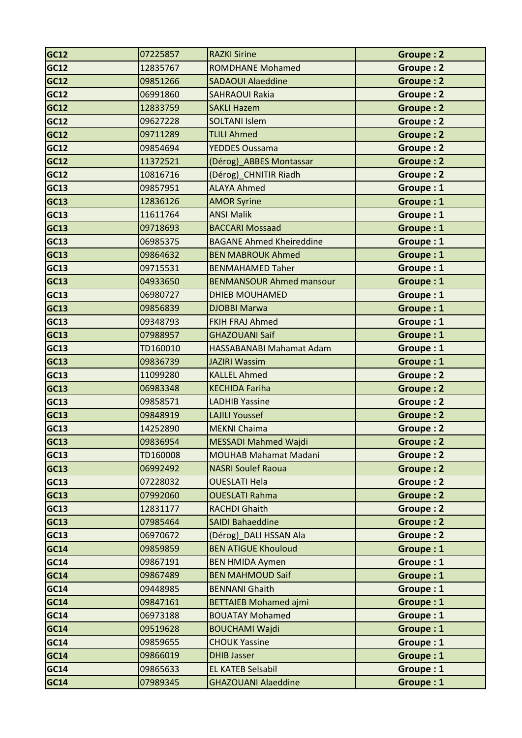| <b>GC12</b> | 07225857 | <b>RAZKI Sirine</b>             | <b>Groupe: 2</b> |
|-------------|----------|---------------------------------|------------------|
| <b>GC12</b> | 12835767 | <b>ROMDHANE Mohamed</b>         | <b>Groupe: 2</b> |
| <b>GC12</b> | 09851266 | <b>SADAOUI Alaeddine</b>        | <b>Groupe: 2</b> |
| <b>GC12</b> | 06991860 | <b>SAHRAOUI Rakia</b>           | <b>Groupe: 2</b> |
| <b>GC12</b> | 12833759 | <b>SAKLI Hazem</b>              | <b>Groupe: 2</b> |
| GC12        | 09627228 | <b>SOLTANI Islem</b>            | <b>Groupe: 2</b> |
| <b>GC12</b> | 09711289 | <b>TLILI Ahmed</b>              | <b>Groupe: 2</b> |
| <b>GC12</b> | 09854694 | <b>YEDDES Oussama</b>           | <b>Groupe: 2</b> |
| GC12        | 11372521 | (Dérog)_ABBES Montassar         | <b>Groupe: 2</b> |
| <b>GC12</b> | 10816716 | (Dérog)_CHNITIR Riadh           | Groupe: 2        |
| <b>GC13</b> | 09857951 | <b>ALAYA Ahmed</b>              | Groupe: 1        |
| <b>GC13</b> | 12836126 | <b>AMOR Syrine</b>              | Groupe: 1        |
| <b>GC13</b> | 11611764 | <b>ANSI Malik</b>               | Groupe: 1        |
| <b>GC13</b> | 09718693 | <b>BACCARI Mossaad</b>          | Groupe: 1        |
| <b>GC13</b> | 06985375 | <b>BAGANE Ahmed Kheireddine</b> | Groupe: 1        |
| <b>GC13</b> | 09864632 | <b>BEN MABROUK Ahmed</b>        | Groupe: 1        |
| <b>GC13</b> | 09715531 | <b>BENMAHAMED Taher</b>         | Groupe: 1        |
| <b>GC13</b> | 04933650 | <b>BENMANSOUR Ahmed mansour</b> | Groupe: 1        |
| <b>GC13</b> | 06980727 | <b>DHIEB MOUHAMED</b>           | Groupe: 1        |
| <b>GC13</b> | 09856839 | <b>DJOBBI Marwa</b>             | Groupe: 1        |
| <b>GC13</b> | 09348793 | <b>FKIH FRAJ Ahmed</b>          | Groupe: 1        |
| <b>GC13</b> | 07988957 | <b>GHAZOUANI Saif</b>           | Groupe: 1        |
| GC13        | TD160010 | HASSABANABI Mahamat Adam        | Groupe: 1        |
| <b>GC13</b> | 09836739 | <b>JAZIRI Wassim</b>            | Groupe: 1        |
| <b>GC13</b> | 11099280 | <b>KALLEL Ahmed</b>             | Groupe: 2        |
| <b>GC13</b> | 06983348 | <b>KECHIDA Fariha</b>           | <b>Groupe: 2</b> |
| GC13        | 09858571 | <b>LADHIB Yassine</b>           | Groupe: 2        |
| <b>GC13</b> | 09848919 | <b>LAJILI Youssef</b>           | <b>Groupe: 2</b> |
| <b>GC13</b> | 14252890 | <b>MEKNI Chaima</b>             | <b>Groupe: 2</b> |
| GC13        | 09836954 | <b>MESSADI Mahmed Wajdi</b>     | Groupe: 2        |
| GC13        | TD160008 | <b>MOUHAB Mahamat Madani</b>    | Groupe: 2        |
| GC13        | 06992492 | <b>NASRI Soulef Raoua</b>       | Groupe: 2        |
| <b>GC13</b> | 07228032 | <b>OUESLATI Hela</b>            | Groupe: 2        |
| <b>GC13</b> | 07992060 | <b>OUESLATI Rahma</b>           | Groupe: 2        |
| <b>GC13</b> | 12831177 | <b>RACHDI Ghaith</b>            | Groupe: 2        |
| GC13        | 07985464 | <b>SAIDI Bahaeddine</b>         | Groupe: 2        |
| <b>GC13</b> | 06970672 | (Dérog) DALI HSSAN Ala          | Groupe: 2        |
| <b>GC14</b> | 09859859 | <b>BEN ATIGUE Khouloud</b>      | Groupe: 1        |
| <b>GC14</b> | 09867191 | <b>BEN HMIDA Aymen</b>          | Groupe: 1        |
| <b>GC14</b> | 09867489 | <b>BEN MAHMOUD Saif</b>         | Groupe: 1        |
| GC14        | 09448985 | <b>BENNANI Ghaith</b>           | Groupe: 1        |
| GC14        | 09847161 | <b>BETTAIEB Mohamed ajmi</b>    | Groupe: 1        |
| GC14        | 06973188 | <b>BOUATAY Mohamed</b>          | Groupe: 1        |
| GC14        | 09519628 | <b>BOUCHAMI Wajdi</b>           | Groupe: 1        |
| <b>GC14</b> | 09859655 | <b>CHOUK Yassine</b>            | Groupe: 1        |
| <b>GC14</b> | 09866019 | <b>DHIB Jasser</b>              | Groupe: 1        |
| <b>GC14</b> | 09865633 | <b>EL KATEB Selsabil</b>        | Groupe: 1        |
| <b>GC14</b> | 07989345 | <b>GHAZOUANI Alaeddine</b>      | Groupe: 1        |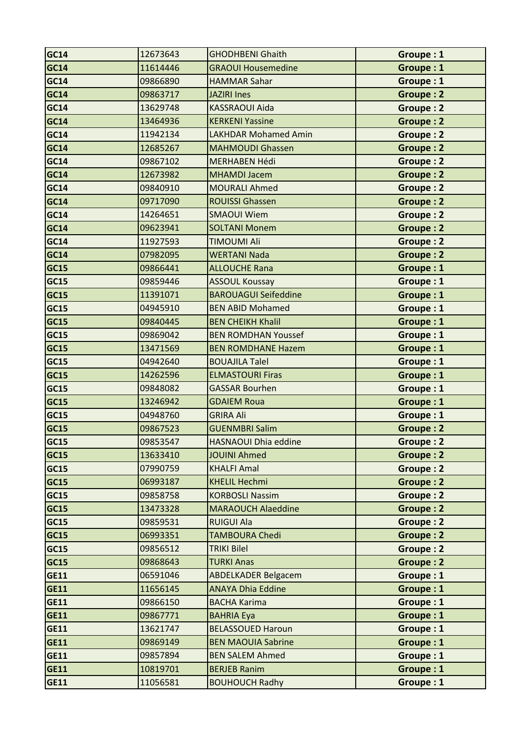| <b>GC14</b> | 12673643 | <b>GHODHBENI Ghaith</b>     | Groupe: 1        |
|-------------|----------|-----------------------------|------------------|
| <b>GC14</b> | 11614446 | <b>GRAOUI Housemedine</b>   | Groupe: 1        |
| <b>GC14</b> | 09866890 | <b>HAMMAR Sahar</b>         | Groupe: 1        |
| <b>GC14</b> | 09863717 | <b>JAZIRI Ines</b>          | <b>Groupe: 2</b> |
| <b>GC14</b> | 13629748 | <b>KASSRAOUI Aida</b>       | <b>Groupe: 2</b> |
| <b>GC14</b> | 13464936 | <b>KERKENI Yassine</b>      | <b>Groupe: 2</b> |
| <b>GC14</b> | 11942134 | <b>LAKHDAR Mohamed Amin</b> | Groupe: 2        |
| <b>GC14</b> | 12685267 | <b>MAHMOUDI Ghassen</b>     | <b>Groupe: 2</b> |
| <b>GC14</b> | 09867102 | <b>MERHABEN Hédi</b>        | <b>Groupe: 2</b> |
| <b>GC14</b> | 12673982 | <b>MHAMDI Jacem</b>         | <b>Groupe: 2</b> |
| <b>GC14</b> | 09840910 | <b>MOURALI Ahmed</b>        | <b>Groupe: 2</b> |
| GC14        | 09717090 | <b>ROUISSI Ghassen</b>      | <b>Groupe: 2</b> |
| <b>GC14</b> | 14264651 | <b>SMAOUI Wiem</b>          | Groupe: 2        |
| <b>GC14</b> | 09623941 | <b>SOLTANI Monem</b>        | <b>Groupe: 2</b> |
| <b>GC14</b> | 11927593 | <b>TIMOUMI Ali</b>          | Groupe: 2        |
| GC14        | 07982095 | <b>WERTANI Nada</b>         | <b>Groupe: 2</b> |
| <b>GC15</b> | 09866441 | <b>ALLOUCHE Rana</b>        | Groupe: 1        |
| <b>GC15</b> | 09859446 | <b>ASSOUL Koussay</b>       | Groupe: 1        |
| <b>GC15</b> | 11391071 | <b>BAROUAGUI Seifeddine</b> | Groupe: 1        |
| <b>GC15</b> | 04945910 | <b>BEN ABID Mohamed</b>     | Groupe: 1        |
| <b>GC15</b> | 09840445 | <b>BEN CHEIKH Khalil</b>    | Groupe: 1        |
| <b>GC15</b> | 09869042 | <b>BEN ROMDHAN Youssef</b>  | Groupe: 1        |
| <b>GC15</b> | 13471569 | <b>BEN ROMDHANE Hazem</b>   | Groupe: 1        |
| <b>GC15</b> | 04942640 | <b>BOUAJILA Talel</b>       | Groupe: 1        |
| <b>GC15</b> | 14262596 | <b>ELMASTOURI Firas</b>     | Groupe: 1        |
| <b>GC15</b> | 09848082 | <b>GASSAR Bourhen</b>       | Groupe: 1        |
| GC15        | 13246942 | <b>GDAIEM Roua</b>          | Groupe: 1        |
| <b>GC15</b> | 04948760 | <b>GRIRA Ali</b>            | Groupe: 1        |
| <b>GC15</b> | 09867523 | <b>GUENMBRI Salim</b>       | <b>Groupe: 2</b> |
| <b>GC15</b> | 09853547 | <b>HASNAOUI Dhia eddine</b> | Groupe: 2        |
| <b>GC15</b> | 13633410 | <b>JOUINI Ahmed</b>         | Groupe: 2        |
| <b>GC15</b> | 07990759 | <b>KHALFI Amal</b>          | <b>Groupe: 2</b> |
| <b>GC15</b> | 06993187 | <b>KHELIL Hechmi</b>        | Groupe: 2        |
| GC15        | 09858758 | <b>KORBOSLI Nassim</b>      | Groupe: 2        |
| <b>GC15</b> | 13473328 | <b>MARAOUCH Alaeddine</b>   | Groupe: 2        |
| <b>GC15</b> | 09859531 | <b>RUIGUI Ala</b>           | Groupe: 2        |
| <b>GC15</b> | 06993351 | <b>TAMBOURA Chedi</b>       | Groupe: 2        |
| <b>GC15</b> | 09856512 | <b>TRIKI Bilel</b>          | Groupe: 2        |
| <b>GC15</b> | 09868643 | <b>TURKI Anas</b>           | Groupe: 2        |
| <b>GE11</b> | 06591046 | <b>ABDELKADER Belgacem</b>  | Groupe: 1        |
| <b>GE11</b> | 11656145 | <b>ANAYA Dhia Eddine</b>    | Groupe: 1        |
| <b>GE11</b> | 09866150 | <b>BACHA Karima</b>         | Groupe: 1        |
| <b>GE11</b> | 09867771 | <b>BAHRIA Eya</b>           | Groupe: 1        |
| <b>GE11</b> | 13621747 | <b>BELASSOUED Haroun</b>    | Groupe: 1        |
| <b>GE11</b> | 09869149 | <b>BEN MAOUIA Sabrine</b>   | Groupe: 1        |
| <b>GE11</b> | 09857894 | <b>BEN SALEM Ahmed</b>      | Groupe: 1        |
| <b>GE11</b> | 10819701 | <b>BERJEB Ranim</b>         | Groupe: 1        |
| <b>GE11</b> | 11056581 | <b>BOUHOUCH Radhy</b>       | Groupe: 1        |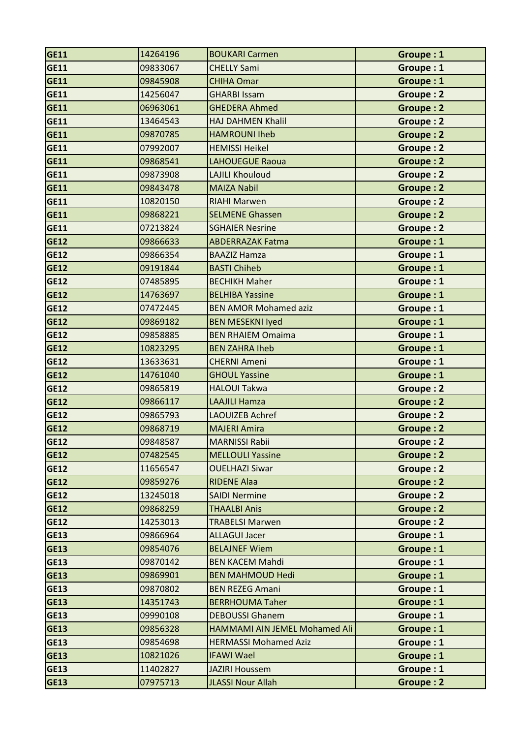| <b>GE11</b> | 14264196 | <b>BOUKARI Carmen</b>         | Groupe: 1        |
|-------------|----------|-------------------------------|------------------|
| <b>GE11</b> | 09833067 | <b>CHELLY Sami</b>            | Groupe: 1        |
| <b>GE11</b> | 09845908 | <b>CHIHA Omar</b>             | Groupe: 1        |
| <b>GE11</b> | 14256047 | <b>GHARBI Issam</b>           | <b>Groupe: 2</b> |
| <b>GE11</b> | 06963061 | <b>GHEDERA Ahmed</b>          | <b>Groupe: 2</b> |
| <b>GE11</b> | 13464543 | <b>HAJ DAHMEN Khalil</b>      | Groupe: 2        |
| <b>GE11</b> | 09870785 | <b>HAMROUNI Iheb</b>          | <b>Groupe: 2</b> |
| <b>GE11</b> | 07992007 | <b>HEMISSI Heikel</b>         | Groupe: 2        |
| <b>GE11</b> | 09868541 | <b>LAHOUEGUE Raoua</b>        | <b>Groupe: 2</b> |
| <b>GE11</b> | 09873908 | <b>LAJILI Khouloud</b>        | Groupe: 2        |
| <b>GE11</b> | 09843478 | <b>MAIZA Nabil</b>            | Groupe: 2        |
| <b>GE11</b> | 10820150 | <b>RIAHI Marwen</b>           | Groupe: 2        |
| <b>GE11</b> | 09868221 | <b>SELMENE Ghassen</b>        | Groupe: 2        |
| <b>GE11</b> | 07213824 | <b>SGHAIER Nesrine</b>        | Groupe: 2        |
| <b>GE12</b> | 09866633 | <b>ABDERRAZAK Fatma</b>       | Groupe: 1        |
| <b>GE12</b> | 09866354 | <b>BAAZIZ Hamza</b>           | Groupe: 1        |
| <b>GE12</b> | 09191844 | <b>BASTI Chiheb</b>           | Groupe: 1        |
| <b>GE12</b> | 07485895 | <b>BECHIKH Maher</b>          | Groupe: 1        |
| <b>GE12</b> | 14763697 | <b>BELHIBA Yassine</b>        | Groupe: 1        |
| <b>GE12</b> | 07472445 | <b>BEN AMOR Mohamed aziz</b>  | Groupe: 1        |
| <b>GE12</b> | 09869182 | <b>BEN MESEKNI Iyed</b>       | Groupe: 1        |
| <b>GE12</b> | 09858885 | <b>BEN RHAIEM Omaima</b>      | Groupe: 1        |
| <b>GE12</b> | 10823295 | <b>BEN ZAHRA Iheb</b>         | Groupe: 1        |
| <b>GE12</b> | 13633631 | <b>CHERNI Ameni</b>           | Groupe: 1        |
| <b>GE12</b> | 14761040 | <b>GHOUL Yassine</b>          | Groupe: 1        |
| <b>GE12</b> | 09865819 | <b>HALOUI Takwa</b>           | <b>Groupe: 2</b> |
| <b>GE12</b> | 09866117 | <b>LAAJILI Hamza</b>          | <b>Groupe: 2</b> |
| <b>GE12</b> | 09865793 | <b>LAOUIZEB Achref</b>        | <b>Groupe: 2</b> |
| <b>GE12</b> | 09868719 | <b>MAJERI Amira</b>           | Groupe: 2        |
| <b>GE12</b> | 09848587 | <b>MARNISSI Rabii</b>         | Groupe: 2        |
| <b>GE12</b> | 07482545 | <b>MELLOULI Yassine</b>       | Groupe: 2        |
| <b>GE12</b> | 11656547 | <b>OUELHAZI Siwar</b>         | Groupe: 2        |
| <b>GE12</b> | 09859276 | <b>RIDENE Alaa</b>            | Groupe: 2        |
| <b>GE12</b> | 13245018 | <b>SAIDI Nermine</b>          | Groupe: 2        |
| <b>GE12</b> | 09868259 | <b>THAALBI Anis</b>           | Groupe: 2        |
| <b>GE12</b> | 14253013 | <b>TRABELSI Marwen</b>        | Groupe: 2        |
| <b>GE13</b> | 09866964 | <b>ALLAGUI Jacer</b>          | Groupe: 1        |
| <b>GE13</b> | 09854076 | <b>BELAJNEF Wiem</b>          | Groupe: 1        |
| <b>GE13</b> | 09870142 | <b>BEN KACEM Mahdi</b>        | Groupe: 1        |
| <b>GE13</b> | 09869901 | <b>BEN MAHMOUD Hedi</b>       | Groupe: 1        |
| <b>GE13</b> | 09870802 | <b>BEN REZEG Amani</b>        | Groupe: 1        |
| <b>GE13</b> | 14351743 | <b>BERRHOUMA Taher</b>        | Groupe: 1        |
| <b>GE13</b> | 09990108 | <b>DEBOUSSI Ghanem</b>        | Groupe: 1        |
| <b>GE13</b> | 09856328 | HAMMAMI AIN JEMEL Mohamed Ali | Groupe: 1        |
| <b>GE13</b> | 09854698 | <b>HERMASSI Mohamed Aziz</b>  | Groupe: 1        |
| <b>GE13</b> | 10821026 | <b>IFAWI Wael</b>             | Groupe: 1        |
| <b>GE13</b> | 11402827 | <b>JAZIRI Houssem</b>         | Groupe: 1        |
| <b>GE13</b> | 07975713 | <b>JLASSI Nour Allah</b>      | Groupe: 2        |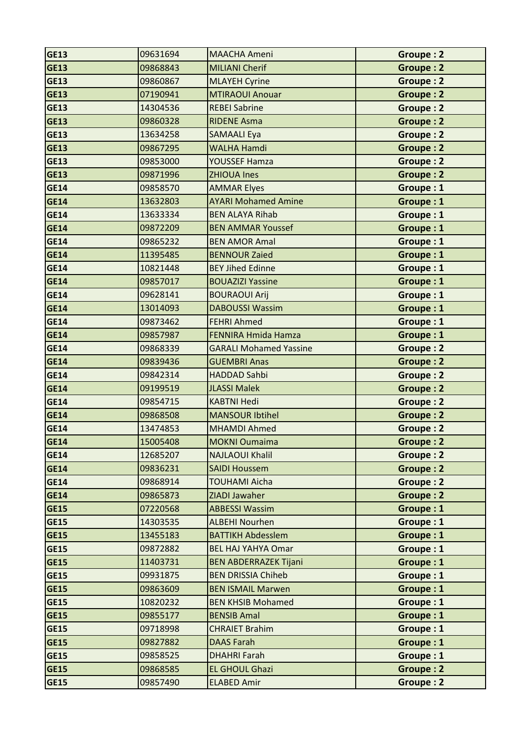| <b>GE13</b> | 09631694 | <b>MAACHA Ameni</b>           | Groupe: 2        |
|-------------|----------|-------------------------------|------------------|
| <b>GE13</b> | 09868843 | <b>MILIANI Cherif</b>         | <b>Groupe: 2</b> |
| <b>GE13</b> | 09860867 | <b>MLAYEH Cyrine</b>          | Groupe: 2        |
| <b>GE13</b> | 07190941 | <b>MTIRAOUI Anouar</b>        | <b>Groupe: 2</b> |
| <b>GE13</b> | 14304536 | <b>REBEI Sabrine</b>          | <b>Groupe: 2</b> |
| <b>GE13</b> | 09860328 | <b>RIDENE Asma</b>            | <b>Groupe: 2</b> |
| <b>GE13</b> | 13634258 | <b>SAMAALI Eya</b>            | Groupe: 2        |
| <b>GE13</b> | 09867295 | <b>WALHA Hamdi</b>            | <b>Groupe: 2</b> |
| <b>GE13</b> | 09853000 | YOUSSEF Hamza                 | Groupe: 2        |
| <b>GE13</b> | 09871996 | <b>ZHIOUA Ines</b>            | Groupe: 2        |
| <b>GE14</b> | 09858570 | <b>AMMAR Elyes</b>            | Groupe: 1        |
| <b>GE14</b> | 13632803 | <b>AYARI Mohamed Amine</b>    | Groupe: 1        |
| <b>GE14</b> | 13633334 | <b>BEN ALAYA Rihab</b>        | Groupe: 1        |
| <b>GE14</b> | 09872209 | <b>BEN AMMAR Youssef</b>      | Groupe: 1        |
| <b>GE14</b> | 09865232 | <b>BEN AMOR Amal</b>          | Groupe: 1        |
| <b>GE14</b> | 11395485 | <b>BENNOUR Zaied</b>          | Groupe: 1        |
| <b>GE14</b> | 10821448 | <b>BEY Jihed Edinne</b>       | Groupe: 1        |
| <b>GE14</b> | 09857017 | <b>BOUAZIZI Yassine</b>       | Groupe: 1        |
| <b>GE14</b> | 09628141 | <b>BOURAOUI Arij</b>          | Groupe: 1        |
| <b>GE14</b> | 13014093 | <b>DABOUSSI Wassim</b>        | Groupe: 1        |
| <b>GE14</b> | 09873462 | <b>FEHRI Ahmed</b>            | Groupe: 1        |
| <b>GE14</b> | 09857987 | <b>FENNIRA Hmida Hamza</b>    | Groupe: 1        |
| <b>GE14</b> | 09868339 | <b>GARALI Mohamed Yassine</b> | Groupe: 2        |
| <b>GE14</b> | 09839436 | <b>GUEMBRI Anas</b>           | <b>Groupe: 2</b> |
| <b>GE14</b> | 09842314 | <b>HADDAD Sahbi</b>           | Groupe: 2        |
| <b>GE14</b> | 09199519 | <b>JLASSI Malek</b>           | <b>Groupe: 2</b> |
| <b>GE14</b> | 09854715 | <b>KABTNI Hedi</b>            | Groupe: 2        |
| <b>GE14</b> | 09868508 | <b>MANSOUR Ibtihel</b>        | <b>Groupe: 2</b> |
| <b>GE14</b> | 13474853 | <b>MHAMDI Ahmed</b>           | Groupe: 2        |
| <b>GE14</b> | 15005408 | <b>MOKNI Oumaima</b>          | Groupe: 2        |
| <b>GE14</b> | 12685207 | <b>NAJLAOUI Khalil</b>        | Groupe: 2        |
| <b>GE14</b> | 09836231 | <b>SAIDI Houssem</b>          | Groupe: 2        |
| <b>GE14</b> | 09868914 | <b>TOUHAMI Aicha</b>          | Groupe: 2        |
| <b>GE14</b> | 09865873 | ZIADI Jawaher                 | Groupe: 2        |
| <b>GE15</b> | 07220568 | <b>ABBESSI Wassim</b>         | Groupe: 1        |
| <b>GE15</b> | 14303535 | <b>ALBEHI Nourhen</b>         | Groupe: 1        |
| <b>GE15</b> | 13455183 | <b>BATTIKH Abdesslem</b>      | Groupe: 1        |
| <b>GE15</b> | 09872882 | <b>BEL HAJ YAHYA Omar</b>     | Groupe: 1        |
| <b>GE15</b> | 11403731 | <b>BEN ABDERRAZEK Tijani</b>  | Groupe: 1        |
| <b>GE15</b> | 09931875 | <b>BEN DRISSIA Chiheb</b>     | Groupe: 1        |
| <b>GE15</b> | 09863609 | <b>BEN ISMAIL Marwen</b>      | Groupe: 1        |
| <b>GE15</b> | 10820232 | <b>BEN KHSIB Mohamed</b>      | Groupe: 1        |
| <b>GE15</b> | 09855177 | <b>BENSIB Amal</b>            | Groupe: 1        |
| <b>GE15</b> | 09718998 | <b>CHRAIET Brahim</b>         | Groupe: 1        |
| <b>GE15</b> | 09827882 | <b>DAAS Farah</b>             | Groupe: 1        |
| <b>GE15</b> | 09858525 | <b>DHAHRI Farah</b>           | Groupe: 1        |
| <b>GE15</b> | 09868585 | <b>EL GHOUL Ghazi</b>         | Groupe: 2        |
| <b>GE15</b> | 09857490 | <b>ELABED Amir</b>            | Groupe: 2        |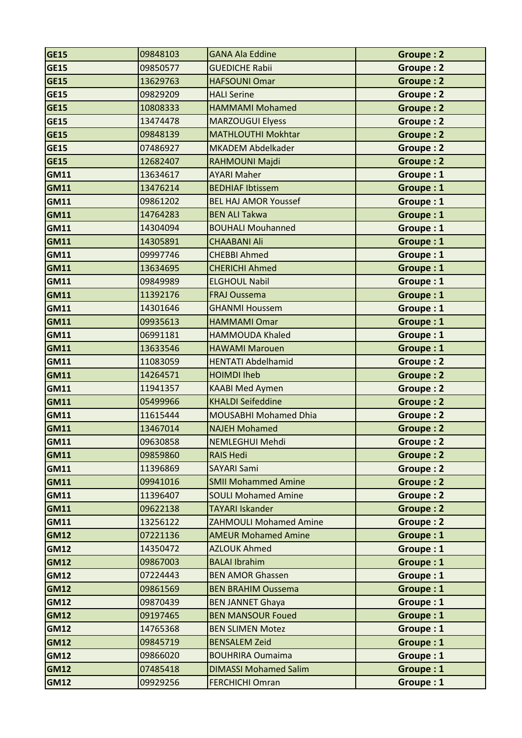| <b>GE15</b> | 09848103 | <b>GANA Ala Eddine</b>        | <b>Groupe: 2</b> |
|-------------|----------|-------------------------------|------------------|
| <b>GE15</b> | 09850577 | <b>GUEDICHE Rabii</b>         | <b>Groupe: 2</b> |
| <b>GE15</b> | 13629763 | <b>HAFSOUNI Omar</b>          | Groupe: 2        |
| <b>GE15</b> | 09829209 | <b>HALI Serine</b>            | Groupe: 2        |
| <b>GE15</b> | 10808333 | <b>HAMMAMI Mohamed</b>        | <b>Groupe: 2</b> |
| <b>GE15</b> | 13474478 | <b>MARZOUGUI Elyess</b>       | <b>Groupe: 2</b> |
| <b>GE15</b> | 09848139 | <b>MATHLOUTHI Mokhtar</b>     | <b>Groupe: 2</b> |
| <b>GE15</b> | 07486927 | <b>MKADEM Abdelkader</b>      | Groupe: 2        |
| <b>GE15</b> | 12682407 | RAHMOUNI Majdi                | <b>Groupe: 2</b> |
| <b>GM11</b> | 13634617 | <b>AYARI Maher</b>            | Groupe: 1        |
| <b>GM11</b> | 13476214 | <b>BEDHIAF Ibtissem</b>       | Groupe: 1        |
| <b>GM11</b> | 09861202 | <b>BEL HAJ AMOR Youssef</b>   | Groupe: 1        |
| <b>GM11</b> | 14764283 | <b>BEN ALI Takwa</b>          | Groupe: 1        |
| <b>GM11</b> | 14304094 | <b>BOUHALI Mouhanned</b>      | Groupe: 1        |
| <b>GM11</b> | 14305891 | <b>CHAABANI Ali</b>           | Groupe: 1        |
| <b>GM11</b> | 09997746 | <b>CHEBBI Ahmed</b>           | Groupe: 1        |
| <b>GM11</b> | 13634695 | <b>CHERICHI Ahmed</b>         | Groupe: 1        |
| <b>GM11</b> | 09849989 | <b>ELGHOUL Nabil</b>          | Groupe: 1        |
| <b>GM11</b> | 11392176 | <b>FRAJ Oussema</b>           | Groupe: 1        |
| <b>GM11</b> | 14301646 | <b>GHANMI Houssem</b>         | Groupe: 1        |
| <b>GM11</b> | 09935613 | <b>HAMMAMI Omar</b>           | Groupe: 1        |
| <b>GM11</b> | 06991181 | <b>HAMMOUDA Khaled</b>        | Groupe: 1        |
| <b>GM11</b> | 13633546 | <b>HAWAMI Marouen</b>         | Groupe: 1        |
| <b>GM11</b> | 11083059 | <b>HENTATI Abdelhamid</b>     | Groupe: 2        |
| <b>GM11</b> | 14264571 | <b>HOIMDI Iheb</b>            | <b>Groupe: 2</b> |
| <b>GM11</b> | 11941357 | <b>KAABI Med Aymen</b>        | Groupe: 2        |
| <b>GM11</b> | 05499966 | <b>KHALDI Seifeddine</b>      | Groupe: 2        |
| <b>GM11</b> | 11615444 | <b>MOUSABHI Mohamed Dhia</b>  | Groupe: 2        |
| <b>GM11</b> | 13467014 | <b>NAJEH Mohamed</b>          | <b>Groupe: 2</b> |
| GM11        | 09630858 | NEMLEGHUI Mehdi               | <b>Groupe: 2</b> |
| <b>GM11</b> | 09859860 | <b>RAIS Hedi</b>              | Groupe: 2        |
| <b>GM11</b> | 11396869 | <b>SAYARI Sami</b>            | Groupe: 2        |
| <b>GM11</b> | 09941016 | <b>SMII Mohammed Amine</b>    | Groupe: 2        |
| <b>GM11</b> | 11396407 | <b>SOULI Mohamed Amine</b>    | Groupe: 2        |
| <b>GM11</b> | 09622138 | <b>TAYARI Iskander</b>        | Groupe: 2        |
| <b>GM11</b> | 13256122 | <b>ZAHMOULI Mohamed Amine</b> | Groupe: 2        |
| <b>GM12</b> | 07221136 | <b>AMEUR Mohamed Amine</b>    | Groupe: 1        |
| <b>GM12</b> | 14350472 | <b>AZLOUK Ahmed</b>           | Groupe: 1        |
| <b>GM12</b> | 09867003 | <b>BALAI Ibrahim</b>          | Groupe: 1        |
| <b>GM12</b> | 07224443 | <b>BEN AMOR Ghassen</b>       | Groupe: 1        |
| <b>GM12</b> | 09861569 | <b>BEN BRAHIM Oussema</b>     | Groupe: 1        |
| <b>GM12</b> | 09870439 | <b>BEN JANNET Ghaya</b>       | Groupe: 1        |
| <b>GM12</b> | 09197465 | <b>BEN MANSOUR Foued</b>      | Groupe: 1        |
| <b>GM12</b> | 14765368 | <b>BEN SLIMEN Motez</b>       | Groupe: 1        |
| <b>GM12</b> | 09845719 | <b>BENSALEM Zeid</b>          | Groupe: 1        |
| <b>GM12</b> | 09866020 | <b>BOUHRIRA Oumaima</b>       | Groupe: 1        |
| <b>GM12</b> | 07485418 | <b>DIMASSI Mohamed Salim</b>  | Groupe: 1        |
| <b>GM12</b> | 09929256 | <b>FERCHICHI Omran</b>        | Groupe: 1        |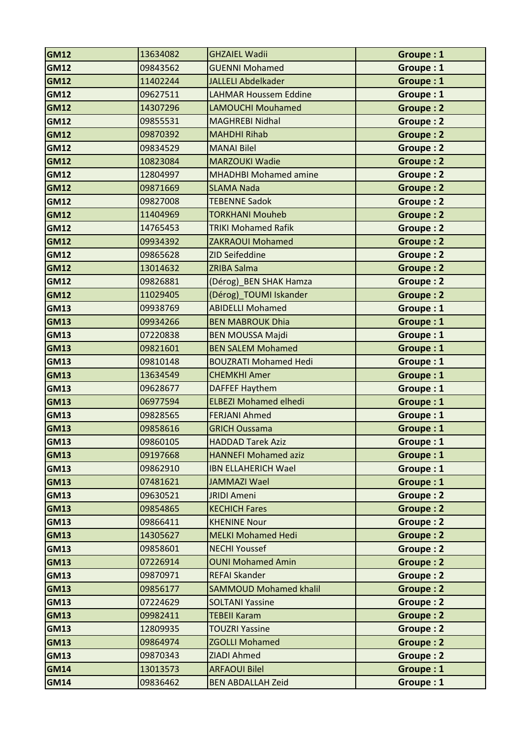| <b>GM12</b> | 13634082 | <b>GHZAIEL Wadii</b>          | Groupe: 1        |
|-------------|----------|-------------------------------|------------------|
| <b>GM12</b> | 09843562 | <b>GUENNI Mohamed</b>         | Groupe: 1        |
| <b>GM12</b> | 11402244 | <b>JALLELI Abdelkader</b>     | Groupe: 1        |
| <b>GM12</b> | 09627511 | <b>LAHMAR Houssem Eddine</b>  | Groupe: 1        |
| <b>GM12</b> | 14307296 | <b>LAMOUCHI Mouhamed</b>      | <b>Groupe: 2</b> |
| <b>GM12</b> | 09855531 | <b>MAGHREBI Nidhal</b>        | Groupe: 2        |
| <b>GM12</b> | 09870392 | <b>MAHDHI Rihab</b>           | <b>Groupe: 2</b> |
| <b>GM12</b> | 09834529 | <b>MANAI Bilel</b>            | Groupe: 2        |
| <b>GM12</b> | 10823084 | <b>MARZOUKI Wadie</b>         | Groupe: 2        |
| <b>GM12</b> | 12804997 | <b>MHADHBI Mohamed amine</b>  | Groupe: 2        |
| <b>GM12</b> | 09871669 | <b>SLAMA Nada</b>             | <b>Groupe: 2</b> |
| <b>GM12</b> | 09827008 | <b>TEBENNE Sadok</b>          | Groupe: 2        |
| <b>GM12</b> | 11404969 | <b>TORKHANI Mouheb</b>        | Groupe: 2        |
| <b>GM12</b> | 14765453 | <b>TRIKI Mohamed Rafik</b>    | <b>Groupe: 2</b> |
| <b>GM12</b> | 09934392 | <b>ZAKRAOUI Mohamed</b>       | <b>Groupe: 2</b> |
| <b>GM12</b> | 09865628 | <b>ZID Seifeddine</b>         | <b>Groupe: 2</b> |
| <b>GM12</b> | 13014632 | <b>ZRIBA Salma</b>            | Groupe: 2        |
| <b>GM12</b> | 09826881 | (Dérog)_BEN SHAK Hamza        | Groupe: 2        |
| <b>GM12</b> | 11029405 | (Dérog)_TOUMI Iskander        | <b>Groupe: 2</b> |
| <b>GM13</b> | 09938769 | <b>ABIDELLI Mohamed</b>       | Groupe: 1        |
| <b>GM13</b> | 09934266 | <b>BEN MABROUK Dhia</b>       | Groupe: 1        |
| <b>GM13</b> | 07220838 | <b>BEN MOUSSA Majdi</b>       | Groupe: 1        |
| <b>GM13</b> | 09821601 | <b>BEN SALEM Mohamed</b>      | Groupe: 1        |
| <b>GM13</b> | 09810148 | <b>BOUZRATI Mohamed Hedi</b>  | Groupe: 1        |
| <b>GM13</b> | 13634549 | <b>CHEMKHI Amer</b>           | Groupe: 1        |
| <b>GM13</b> | 09628677 | <b>DAFFEF Haythem</b>         | Groupe: 1        |
| <b>GM13</b> | 06977594 | <b>ELBEZI Mohamed elhedi</b>  | Groupe: 1        |
| <b>GM13</b> | 09828565 | <b>FERJANI Ahmed</b>          | Groupe: 1        |
| <b>GM13</b> | 09858616 | <b>GRICH Oussama</b>          | Groupe: 1        |
| <b>GM13</b> | 09860105 | <b>HADDAD Tarek Aziz</b>      | Groupe: 1        |
| <b>GM13</b> | 09197668 | <b>HANNEFI Mohamed aziz</b>   | Groupe: 1        |
| <b>GM13</b> | 09862910 | <b>IBN ELLAHERICH Wael</b>    | Groupe: 1        |
| <b>GM13</b> | 07481621 | JAMMAZI Wael                  | Groupe: 1        |
| <b>GM13</b> | 09630521 | <b>JRIDI Ameni</b>            | Groupe: 2        |
| <b>GM13</b> | 09854865 | <b>KECHICH Fares</b>          | Groupe: 2        |
| <b>GM13</b> | 09866411 | <b>KHENINE Nour</b>           | Groupe: 2        |
| <b>GM13</b> | 14305627 | <b>MELKI Mohamed Hedi</b>     | Groupe: 2        |
| <b>GM13</b> | 09858601 | <b>NECHI Youssef</b>          | Groupe: 2        |
| <b>GM13</b> | 07226914 | <b>OUNI Mohamed Amin</b>      | Groupe: 2        |
| <b>GM13</b> | 09870971 | <b>REFAI Skander</b>          | Groupe: 2        |
| <b>GM13</b> | 09856177 | <b>SAMMOUD Mohamed khalil</b> | Groupe: 2        |
| <b>GM13</b> | 07224629 | <b>SOLTANI Yassine</b>        | Groupe: 2        |
| <b>GM13</b> | 09982411 | <b>TEBEII Karam</b>           | Groupe: 2        |
| <b>GM13</b> | 12809935 | <b>TOUZRI Yassine</b>         | Groupe: 2        |
| <b>GM13</b> | 09864974 | <b>ZGOLLI Mohamed</b>         | Groupe: 2        |
| <b>GM13</b> | 09870343 | <b>ZIADI Ahmed</b>            | Groupe: 2        |
| <b>GM14</b> | 13013573 | <b>ARFAOUI Bilel</b>          | Groupe: 1        |
| <b>GM14</b> | 09836462 | <b>BEN ABDALLAH Zeid</b>      | Groupe: 1        |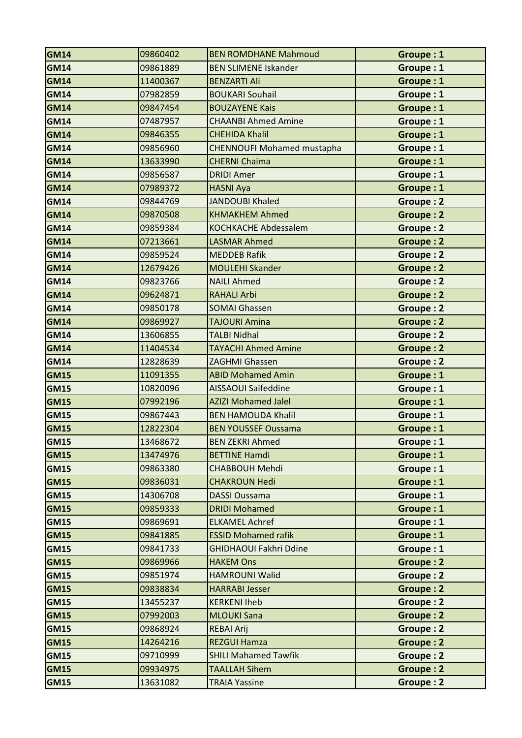| <b>GM14</b> | 09860402 | <b>BEN ROMDHANE Mahmoud</b>       | Groupe: 1        |
|-------------|----------|-----------------------------------|------------------|
| <b>GM14</b> | 09861889 | <b>BEN SLIMENE Iskander</b>       | Groupe: 1        |
| <b>GM14</b> | 11400367 | <b>BENZARTI Ali</b>               | Groupe: 1        |
| <b>GM14</b> | 07982859 | <b>BOUKARI Souhail</b>            | Groupe: 1        |
| <b>GM14</b> | 09847454 | <b>BOUZAYENE Kais</b>             | Groupe: 1        |
| <b>GM14</b> | 07487957 | <b>CHAANBI Ahmed Amine</b>        | Groupe: 1        |
| <b>GM14</b> | 09846355 | <b>CHEHIDA Khalil</b>             | Groupe: 1        |
| <b>GM14</b> | 09856960 | <b>CHENNOUFI Mohamed mustapha</b> | Groupe: 1        |
| <b>GM14</b> | 13633990 | <b>CHERNI Chaima</b>              | Groupe: 1        |
| <b>GM14</b> | 09856587 | <b>DRIDI Amer</b>                 | Groupe: 1        |
| <b>GM14</b> | 07989372 | <b>HASNI Aya</b>                  | Groupe: 1        |
| <b>GM14</b> | 09844769 | <b>JANDOUBI Khaled</b>            | Groupe: 2        |
| <b>GM14</b> | 09870508 | <b>KHMAKHEM Ahmed</b>             | Groupe: 2        |
| <b>GM14</b> | 09859384 | <b>KOCHKACHE Abdessalem</b>       | <b>Groupe: 2</b> |
| <b>GM14</b> | 07213661 | <b>LASMAR Ahmed</b>               | <b>Groupe: 2</b> |
| <b>GM14</b> | 09859524 | <b>MEDDEB Rafik</b>               | Groupe: 2        |
| <b>GM14</b> | 12679426 | <b>MOULEHI Skander</b>            | Groupe: 2        |
| <b>GM14</b> | 09823766 | <b>NAILI Ahmed</b>                | <b>Groupe: 2</b> |
| <b>GM14</b> | 09624871 | <b>RAHALI Arbi</b>                | Groupe: 2        |
| <b>GM14</b> | 09850178 | <b>SOMAI Ghassen</b>              | <b>Groupe: 2</b> |
| <b>GM14</b> | 09869927 | <b>TAJOURI Amina</b>              | <b>Groupe: 2</b> |
| <b>GM14</b> | 13606855 | <b>TALBI Nidhal</b>               | Groupe: 2        |
| <b>GM14</b> | 11404534 | <b>TAYACHI Ahmed Amine</b>        | <b>Groupe: 2</b> |
| <b>GM14</b> | 12828639 | <b>ZAGHMI Ghassen</b>             | Groupe: 2        |
| <b>GM15</b> | 11091355 | <b>ABID Mohamed Amin</b>          | Groupe: 1        |
| <b>GM15</b> | 10820096 | <b>AISSAOUI Saifeddine</b>        | Groupe: 1        |
| <b>GM15</b> | 07992196 | <b>AZIZI Mohamed Jalel</b>        | Groupe: 1        |
| <b>GM15</b> | 09867443 | <b>BEN HAMOUDA Khalil</b>         | Groupe: 1        |
| <b>GM15</b> | 12822304 | <b>BEN YOUSSEF Oussama</b>        | Groupe: 1        |
| GM15        | 13468672 | <b>BEN ZEKRI Ahmed</b>            | <b>Groupe: 1</b> |
| <b>GM15</b> | 13474976 | <b>BETTINE Hamdi</b>              | Groupe: 1        |
| <b>GM15</b> | 09863380 | <b>CHABBOUH Mehdi</b>             | Groupe: 1        |
| <b>GM15</b> | 09836031 | <b>CHAKROUN Hedi</b>              | Groupe: 1        |
| <b>GM15</b> | 14306708 | <b>DASSI Oussama</b>              | Groupe: 1        |
| <b>GM15</b> | 09859333 | <b>DRIDI Mohamed</b>              | Groupe: 1        |
| <b>GM15</b> | 09869691 | <b>ELKAMEL Achref</b>             | Groupe: 1        |
| <b>GM15</b> | 09841885 | <b>ESSID Mohamed rafik</b>        | Groupe: 1        |
| <b>GM15</b> | 09841733 | <b>GHIDHAOUI Fakhri Ddine</b>     | Groupe: 1        |
| <b>GM15</b> | 09869966 | <b>HAKEM Ons</b>                  | Groupe: 2        |
| <b>GM15</b> | 09851974 | <b>HAMROUNI Walid</b>             | <b>Groupe: 2</b> |
| <b>GM15</b> | 09838834 | <b>HARRABI Jesser</b>             | <b>Groupe: 2</b> |
| <b>GM15</b> | 13455237 | <b>KERKENI Iheb</b>               | Groupe: 2        |
| <b>GM15</b> | 07992003 | <b>MLOUKI Sana</b>                | Groupe: 2        |
| <b>GM15</b> | 09868924 | <b>REBAI Arij</b>                 | Groupe: 2        |
| <b>GM15</b> | 14264216 | <b>REZGUI Hamza</b>               | Groupe: 2        |
| <b>GM15</b> | 09710999 | <b>SHILI Mahamed Tawfik</b>       | Groupe: 2        |
| <b>GM15</b> | 09934975 | <b>TAALLAH Sihem</b>              | Groupe: 2        |
| <b>GM15</b> | 13631082 | <b>TRAIA Yassine</b>              | Groupe: 2        |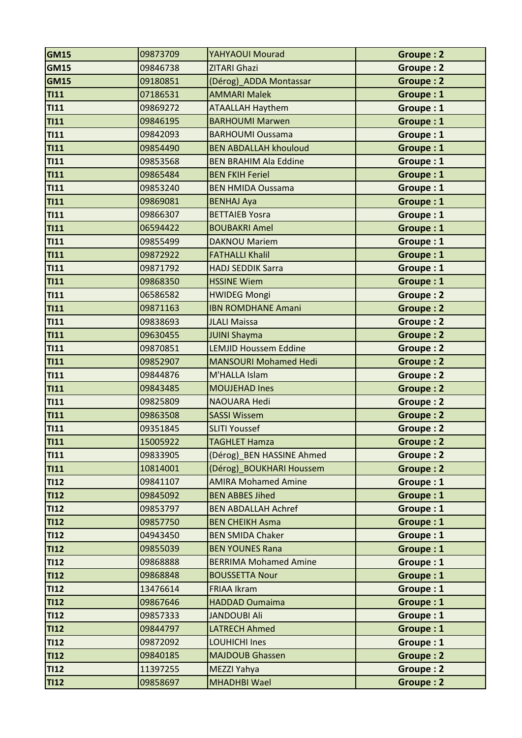| <b>GM15</b> | 09873709 | YAHYAOUI Mourad              | Groupe: 2        |
|-------------|----------|------------------------------|------------------|
| <b>GM15</b> | 09846738 | <b>ZITARI Ghazi</b>          | <b>Groupe: 2</b> |
| <b>GM15</b> | 09180851 | (Dérog)_ADDA Montassar       | <b>Groupe: 2</b> |
| <b>TI11</b> | 07186531 | <b>AMMARI Malek</b>          | Groupe: 1        |
| <b>TI11</b> | 09869272 | <b>ATAALLAH Haythem</b>      | Groupe: 1        |
| <b>TI11</b> | 09846195 | <b>BARHOUMI Marwen</b>       | Groupe: 1        |
| <b>TI11</b> | 09842093 | <b>BARHOUMI Oussama</b>      | Groupe: 1        |
| TI11        | 09854490 | <b>BEN ABDALLAH khouloud</b> | Groupe: 1        |
| <b>TI11</b> | 09853568 | <b>BEN BRAHIM Ala Eddine</b> | Groupe: 1        |
| <b>TI11</b> | 09865484 | <b>BEN FKIH Feriel</b>       | Groupe: 1        |
| <b>TI11</b> | 09853240 | <b>BEN HMIDA Oussama</b>     | Groupe: 1        |
| <b>TI11</b> | 09869081 | <b>BENHAJ Aya</b>            | Groupe: 1        |
| <b>TI11</b> | 09866307 | <b>BETTAIEB Yosra</b>        | Groupe: 1        |
| TI11        | 06594422 | <b>BOUBAKRI Amel</b>         | Groupe: 1        |
| <b>TI11</b> | 09855499 | <b>DAKNOU Mariem</b>         | Groupe: 1        |
| <b>TI11</b> | 09872922 | <b>FATHALLI Khalil</b>       | Groupe: 1        |
| <b>TI11</b> | 09871792 | <b>HADJ SEDDIK Sarra</b>     | Groupe: 1        |
| <b>TI11</b> | 09868350 | <b>HSSINE Wiem</b>           | Groupe: 1        |
| TI11        | 06586582 | <b>HWIDEG Mongi</b>          | Groupe: 2        |
| <b>TI11</b> | 09871163 | <b>IBN ROMDHANE Amani</b>    | <b>Groupe: 2</b> |
| <b>TI11</b> | 09838693 | <b>JLALI Maissa</b>          | <b>Groupe: 2</b> |
| <b>TI11</b> | 09630455 | <b>JUINI Shayma</b>          | <b>Groupe: 2</b> |
| <b>TI11</b> | 09870851 | <b>LEMJID Houssem Eddine</b> | <b>Groupe: 2</b> |
| <b>TI11</b> | 09852907 | <b>MANSOURI Mohamed Hedi</b> | Groupe: 2        |
| <b>TI11</b> | 09844876 | M'HALLA Islam                | Groupe: 2        |
| <b>TI11</b> | 09843485 | <b>MOUJEHAD Ines</b>         | <b>Groupe: 2</b> |
| <b>TI11</b> | 09825809 | NAOUARA Hedi                 | Groupe: 2        |
| <b>TI11</b> | 09863508 | <b>SASSI Wissem</b>          | Groupe: 2        |
| <b>TI11</b> | 09351845 | <b>SLITI Youssef</b>         | Groupe: 2        |
| TI11        | 15005922 | <b>TAGHLET Hamza</b>         | <b>Groupe: 2</b> |
| TI11        | 09833905 | (Dérog) BEN HASSINE Ahmed    | Groupe: 2        |
| <b>TI11</b> | 10814001 | (Dérog) BOUKHARI Houssem     | Groupe: 2        |
| <b>TI12</b> | 09841107 | <b>AMIRA Mohamed Amine</b>   | Groupe: 1        |
| <b>TI12</b> | 09845092 | <b>BEN ABBES Jihed</b>       | Groupe: 1        |
| <b>TI12</b> | 09853797 | <b>BEN ABDALLAH Achref</b>   | Groupe: 1        |
| <b>TI12</b> | 09857750 | <b>BEN CHEIKH Asma</b>       | Groupe: 1        |
| <b>TI12</b> | 04943450 | <b>BEN SMIDA Chaker</b>      | Groupe: 1        |
| <b>TI12</b> | 09855039 | <b>BEN YOUNES Rana</b>       | Groupe: 1        |
| <b>TI12</b> | 09868888 | <b>BERRIMA Mohamed Amine</b> | Groupe: 1        |
| <b>TI12</b> | 09868848 | <b>BOUSSETTA Nour</b>        | Groupe: 1        |
| <b>TI12</b> | 13476614 | <b>FRIAA Ikram</b>           | Groupe: 1        |
| TI12        | 09867646 | <b>HADDAD Oumaima</b>        | Groupe: 1        |
| <b>TI12</b> | 09857333 | <b>JANDOUBI Ali</b>          | Groupe: 1        |
| <b>TI12</b> | 09844797 | <b>LATRECH Ahmed</b>         | Groupe: 1        |
| <b>TI12</b> | 09872092 | <b>LOUHICHI Ines</b>         | Groupe: 1        |
| <b>TI12</b> | 09840185 | <b>MAJDOUB Ghassen</b>       | Groupe: 2        |
| <b>TI12</b> | 11397255 | MEZZI Yahya                  | <b>Groupe: 2</b> |
| <b>TI12</b> | 09858697 | <b>MHADHBI Wael</b>          | Groupe: 2        |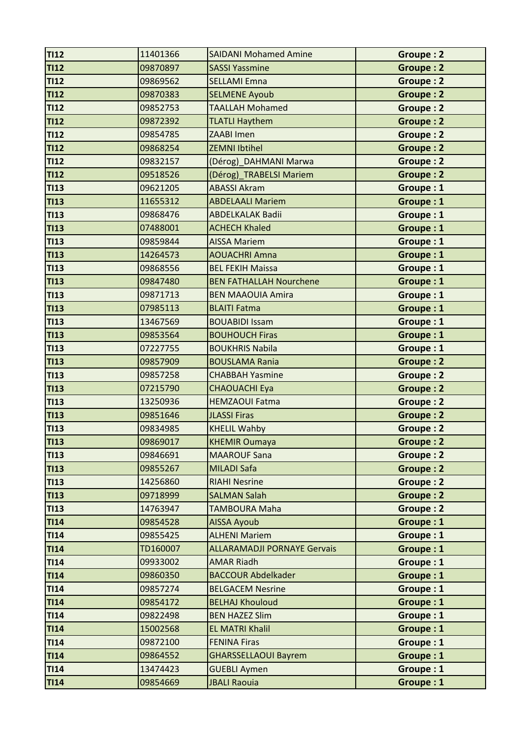| <b>TI12</b> | 11401366 | <b>SAIDANI Mohamed Amine</b>       | Groupe: 2        |
|-------------|----------|------------------------------------|------------------|
| <b>TI12</b> | 09870897 | <b>SASSI Yassmine</b>              | Groupe: 2        |
| <b>TI12</b> | 09869562 | <b>SELLAMI Emna</b>                | Groupe: 2        |
| <b>TI12</b> | 09870383 | <b>SELMENE Ayoub</b>               | <b>Groupe: 2</b> |
| <b>TI12</b> | 09852753 | <b>TAALLAH Mohamed</b>             | <b>Groupe: 2</b> |
| <b>TI12</b> | 09872392 | <b>TLATLI Haythem</b>              | <b>Groupe: 2</b> |
| <b>TI12</b> | 09854785 | <b>ZAABI Imen</b>                  | Groupe: 2        |
| <b>TI12</b> | 09868254 | <b>ZEMNI Ibtihel</b>               | Groupe: 2        |
| <b>TI12</b> | 09832157 | (Dérog)_DAHMANI Marwa              | Groupe: 2        |
| <b>TI12</b> | 09518526 | (Dérog) TRABELSI Mariem            | <b>Groupe: 2</b> |
| <b>TI13</b> | 09621205 | <b>ABASSI Akram</b>                | Groupe: 1        |
| <b>TI13</b> | 11655312 | <b>ABDELAALI Mariem</b>            | Groupe: 1        |
| <b>TI13</b> | 09868476 | <b>ABDELKALAK Badii</b>            | Groupe: 1        |
| <b>TI13</b> | 07488001 | <b>ACHECH Khaled</b>               | Groupe: 1        |
| <b>TI13</b> | 09859844 | <b>AISSA Mariem</b>                | Groupe: 1        |
| <b>TI13</b> | 14264573 | <b>AOUACHRI Amna</b>               | Groupe: 1        |
| <b>TI13</b> | 09868556 | <b>BEL FEKIH Maissa</b>            | Groupe: 1        |
| <b>TI13</b> | 09847480 | <b>BEN FATHALLAH Nourchene</b>     | Groupe: 1        |
| <b>TI13</b> | 09871713 | <b>BEN MAAOUIA Amira</b>           | Groupe: 1        |
| <b>TI13</b> | 07985113 | <b>BLAITI Fatma</b>                | Groupe: 1        |
| <b>TI13</b> | 13467569 | <b>BOUABIDI Issam</b>              | Groupe: 1        |
| <b>TI13</b> | 09853564 | <b>BOUHOUCH Firas</b>              | Groupe: 1        |
| <b>TI13</b> | 07227755 | <b>BOUKHRIS Nabila</b>             | Groupe: 1        |
| <b>TI13</b> | 09857909 | <b>BOUSLAMA Rania</b>              | Groupe: 2        |
| <b>TI13</b> | 09857258 | <b>CHABBAH Yasmine</b>             | <b>Groupe: 2</b> |
| <b>TI13</b> | 07215790 | <b>CHAOUACHI Eya</b>               | <b>Groupe: 2</b> |
| <b>TI13</b> | 13250936 | <b>HEMZAOUI Fatma</b>              | Groupe: 2        |
| <b>TI13</b> | 09851646 | <b>JLASSI Firas</b>                | <b>Groupe: 2</b> |
| <b>TI13</b> | 09834985 | <b>KHELIL Wahby</b>                | Groupe: 2        |
| <b>TI13</b> | 09869017 | <b>KHEMIR Oumaya</b>               | Groupe: 2        |
| <b>TI13</b> | 09846691 | <b>MAAROUF Sana</b>                | Groupe: 2        |
| <b>TI13</b> | 09855267 | <b>MILADI Safa</b>                 | <b>Groupe: 2</b> |
| <b>TI13</b> | 14256860 | <b>RIAHI Nesrine</b>               | Groupe: 2        |
| TI13        | 09718999 | <b>SALMAN Salah</b>                | <b>Groupe: 2</b> |
| <b>TI13</b> | 14763947 | <b>TAMBOURA Maha</b>               | Groupe: 2        |
| <b>TI14</b> | 09854528 | <b>AISSA Ayoub</b>                 | Groupe: 1        |
| <b>TI14</b> | 09855425 | <b>ALHENI Mariem</b>               | Groupe: 1        |
| <b>TI14</b> | TD160007 | <b>ALLARAMADJI PORNAYE Gervais</b> | Groupe: 1        |
| <b>TI14</b> | 09933002 | <b>AMAR Riadh</b>                  | Groupe: 1        |
| <b>TI14</b> | 09860350 | <b>BACCOUR Abdelkader</b>          | Groupe: 1        |
| <b>TI14</b> | 09857274 | <b>BELGACEM Nesrine</b>            | Groupe: 1        |
| <b>TI14</b> | 09854172 | <b>BELHAJ Khouloud</b>             | Groupe: 1        |
| <b>TI14</b> | 09822498 | <b>BEN HAZEZ Slim</b>              | Groupe: 1        |
| T114        | 15002568 | <b>EL MATRI Khalil</b>             | Groupe: 1        |
| <b>TI14</b> | 09872100 | <b>FENINA Firas</b>                | Groupe: 1        |
| <b>TI14</b> | 09864552 | <b>GHARSSELLAOUI Bayrem</b>        | Groupe: 1        |
| <b>TI14</b> | 13474423 | <b>GUEBLI Aymen</b>                | Groupe: 1        |
| <b>TI14</b> | 09854669 | <b>JBALI Raouia</b>                | Groupe: 1        |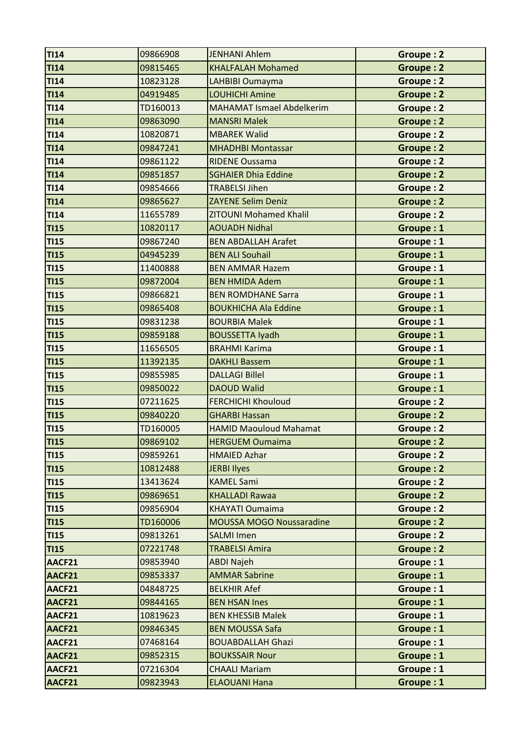| <b>TI14</b> | 09866908 | <b>JENHANI Ahlem</b>             | Groupe: 2        |
|-------------|----------|----------------------------------|------------------|
| <b>TI14</b> | 09815465 | <b>KHALFALAH Mohamed</b>         | <b>Groupe: 2</b> |
| <b>TI14</b> | 10823128 | LAHBIBI Oumayma                  | Groupe: 2        |
| <b>TI14</b> | 04919485 | <b>LOUHICHI Amine</b>            | <b>Groupe: 2</b> |
| <b>TI14</b> | TD160013 | <b>MAHAMAT Ismael Abdelkerim</b> | Groupe: 2        |
| <b>TI14</b> | 09863090 | <b>MANSRI Malek</b>              | <b>Groupe: 2</b> |
| <b>TI14</b> | 10820871 | <b>MBAREK Walid</b>              | Groupe: 2        |
| <b>TI14</b> | 09847241 | <b>MHADHBI Montassar</b>         | <b>Groupe: 2</b> |
| <b>TI14</b> | 09861122 | <b>RIDENE Oussama</b>            | Groupe: 2        |
| <b>TI14</b> | 09851857 | <b>SGHAIER Dhia Eddine</b>       | <b>Groupe: 2</b> |
| <b>TI14</b> | 09854666 | <b>TRABELSI Jihen</b>            | Groupe: 2        |
| <b>TI14</b> | 09865627 | <b>ZAYENE Selim Deniz</b>        | Groupe: 2        |
| <b>TI14</b> | 11655789 | <b>ZITOUNI Mohamed Khalil</b>    | Groupe: 2        |
| <b>TI15</b> | 10820117 | <b>AOUADH Nidhal</b>             | Groupe: 1        |
| TI15        | 09867240 | <b>BEN ABDALLAH Arafet</b>       | Groupe: 1        |
| TI15        | 04945239 | <b>BEN ALI Souhail</b>           | Groupe: 1        |
| TI15        | 11400888 | <b>BEN AMMAR Hazem</b>           | Groupe: 1        |
| TI15        | 09872004 | <b>BEN HMIDA Adem</b>            | Groupe: 1        |
| TI15        | 09866821 | <b>BEN ROMDHANE Sarra</b>        | Groupe: 1        |
| TI15        | 09865408 | <b>BOUKHICHA Ala Eddine</b>      | Groupe: 1        |
| TI15        | 09831238 | <b>BOURBIA Malek</b>             | Groupe: 1        |
| TI15        | 09859188 | <b>BOUSSETTA Iyadh</b>           | Groupe: 1        |
| <b>TI15</b> | 11656505 | <b>BRAHMI Karima</b>             | Groupe: 1        |
| <b>TI15</b> | 11392135 | <b>DAKHLI Bassem</b>             | Groupe: 1        |
| <b>TI15</b> | 09855985 | <b>DALLAGI Billel</b>            | Groupe: 1        |
| TI15        | 09850022 | <b>DAOUD Walid</b>               | Groupe: 1        |
| TI15        | 07211625 | <b>FERCHICHI Khouloud</b>        | Groupe: 2        |
| TI15        | 09840220 | <b>GHARBI Hassan</b>             | <b>Groupe: 2</b> |
| TI15        | TD160005 | <b>HAMID Maouloud Mahamat</b>    | Groupe: 2        |
| TI15        | 09869102 | <b>HERGUEM Oumaima</b>           | <b>Groupe: 2</b> |
| <b>TI15</b> | 09859261 | <b>HMAIED Azhar</b>              | Groupe: 2        |
| <b>TI15</b> | 10812488 | <b>JERBI Ilyes</b>               | Groupe: 2        |
| TI15        | 13413624 | <b>KAMEL Sami</b>                | Groupe: 2        |
| <b>TI15</b> | 09869651 | <b>KHALLADI Rawaa</b>            | <b>Groupe: 2</b> |
| <b>TI15</b> | 09856904 | <b>KHAYATI Oumaima</b>           | Groupe: 2        |
| <b>TI15</b> | TD160006 | <b>MOUSSA MOGO Noussaradine</b>  | Groupe: 2        |
| <b>TI15</b> | 09813261 | <b>SALMI Imen</b>                | Groupe: 2        |
| <b>TI15</b> | 07221748 | <b>TRABELSI Amira</b>            | Groupe: 2        |
| AACF21      | 09853940 | <b>ABDI Najeh</b>                | Groupe: 1        |
| AACF21      | 09853337 | <b>AMMAR Sabrine</b>             | Groupe: 1        |
| AACF21      | 04848725 | <b>BELKHIR Afef</b>              | Groupe: 1        |
| AACF21      | 09844165 | <b>BEN HSAN Ines</b>             | Groupe: 1        |
| AACF21      | 10819623 | <b>BEN KHESSIB Malek</b>         | Groupe: 1        |
| AACF21      | 09846345 | <b>BEN MOUSSA Safa</b>           | Groupe: 1        |
| AACF21      | 07468164 | <b>BOUABDALLAH Ghazi</b>         | Groupe: 1        |
| AACF21      | 09852315 | <b>BOUKSSAIR Nour</b>            | Groupe: 1        |
| AACF21      | 07216304 | <b>CHAALI Mariam</b>             | Groupe: 1        |
| AACF21      | 09823943 | <b>ELAOUANI Hana</b>             | Groupe: 1        |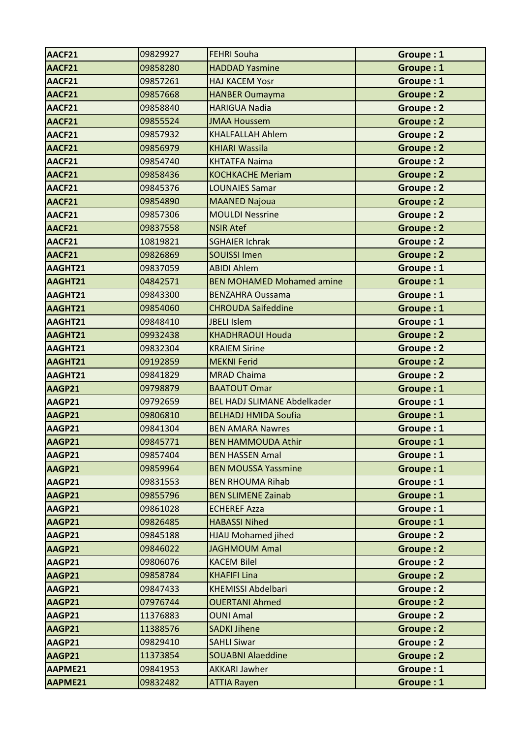| AACF21        | 09829927 | <b>FEHRI Souha</b>                 | Groupe: 1        |
|---------------|----------|------------------------------------|------------------|
| AACF21        | 09858280 | <b>HADDAD Yasmine</b>              | Groupe: 1        |
| AACF21        | 09857261 | <b>HAJ KACEM Yosr</b>              | Groupe: 1        |
| AACF21        | 09857668 | <b>HANBER Oumayma</b>              | <b>Groupe: 2</b> |
| AACF21        | 09858840 | <b>HARIGUA Nadia</b>               | Groupe: 2        |
| AACF21        | 09855524 | <b>JMAA Houssem</b>                | <b>Groupe: 2</b> |
| AACF21        | 09857932 | <b>KHALFALLAH Ahlem</b>            | <b>Groupe: 2</b> |
| AACF21        | 09856979 | <b>KHIARI Wassila</b>              | <b>Groupe: 2</b> |
| AACF21        | 09854740 | <b>KHTATFA Naima</b>               | Groupe: 2        |
| AACF21        | 09858436 | <b>KOCHKACHE Meriam</b>            | <b>Groupe: 2</b> |
| AACF21        | 09845376 | <b>LOUNAIES Samar</b>              | Groupe: 2        |
| AACF21        | 09854890 | <b>MAANED Najoua</b>               | <b>Groupe: 2</b> |
| AACF21        | 09857306 | <b>MOULDI Nessrine</b>             | Groupe: 2        |
| AACF21        | 09837558 | <b>NSIR Atef</b>                   | <b>Groupe: 2</b> |
| AACF21        | 10819821 | <b>SGHAIER Ichrak</b>              | <b>Groupe: 2</b> |
| AACF21        | 09826869 | <b>SOUISSI Imen</b>                | <b>Groupe: 2</b> |
| AAGHT21       | 09837059 | <b>ABIDI Ahlem</b>                 | Groupe: 1        |
| AAGHT21       | 04842571 | <b>BEN MOHAMED Mohamed amine</b>   | Groupe: 1        |
| AAGHT21       | 09843300 | <b>BENZAHRA Oussama</b>            | Groupe: 1        |
| AAGHT21       | 09854060 | <b>CHROUDA Saifeddine</b>          | Groupe: 1        |
| AAGHT21       | 09848410 | <b>JBELI Islem</b>                 | Groupe: 1        |
| AAGHT21       | 09932438 | <b>KHADHRAOUI Houda</b>            | Groupe: 2        |
| AAGHT21       | 09832304 | <b>KRAIEM Sirine</b>               | <b>Groupe: 2</b> |
| AAGHT21       | 09192859 | <b>MEKNI Ferid</b>                 | Groupe: 2        |
| AAGHT21       | 09841829 | <b>MRAD Chaima</b>                 | Groupe: 2        |
| AAGP21        | 09798879 | <b>BAATOUT Omar</b>                | Groupe: 1        |
| AAGP21        | 09792659 | <b>BEL HADJ SLIMANE Abdelkader</b> | Groupe: 1        |
| AAGP21        | 09806810 | <b>BELHADJ HMIDA Soufia</b>        | Groupe: 1        |
| AAGP21        | 09841304 | <b>BEN AMARA Nawres</b>            | Groupe: 1        |
| <b>AAGP21</b> | 09845771 | <b>BEN HAMMOUDA Athir</b>          | Groupe: 1        |
| AAGP21        | 09857404 | <b>BEN HASSEN Amal</b>             | Groupe: 1        |
| AAGP21        | 09859964 | <b>BEN MOUSSA Yassmine</b>         | Groupe: 1        |
| AAGP21        | 09831553 | <b>BEN RHOUMA Rihab</b>            | Groupe: 1        |
| AAGP21        | 09855796 | <b>BEN SLIMENE Zainab</b>          | Groupe: 1        |
| AAGP21        | 09861028 | <b>ECHEREF Azza</b>                | Groupe: 1        |
| AAGP21        | 09826485 | <b>HABASSI Nihed</b>               | Groupe: 1        |
| AAGP21        | 09845188 | <b>HJAIJ Mohamed jihed</b>         | Groupe: 2        |
| AAGP21        | 09846022 | <b>JAGHMOUM Amal</b>               | Groupe: 2        |
| AAGP21        | 09806076 | <b>KACEM Bilel</b>                 | Groupe: 2        |
| AAGP21        | 09858784 | <b>KHAFIFI Lina</b>                | Groupe: 2        |
| AAGP21        | 09847433 | <b>KHEMISSI Abdelbari</b>          | Groupe: 2        |
| AAGP21        | 07976744 | <b>OUERTANI Ahmed</b>              | Groupe: 2        |
| AAGP21        | 11376883 | <b>OUNI Amal</b>                   | Groupe: 2        |
| AAGP21        | 11388576 | <b>SADKI Jihene</b>                | Groupe: 2        |
| AAGP21        | 09829410 | <b>SAHLI Siwar</b>                 | Groupe: 2        |
| AAGP21        | 11373854 | <b>SOUABNI Alaeddine</b>           | Groupe: 2        |
| AAPME21       | 09841953 | <b>AKKARI Jawher</b>               | Groupe: 1        |
| AAPME21       | 09832482 | <b>ATTIA Rayen</b>                 | Groupe: 1        |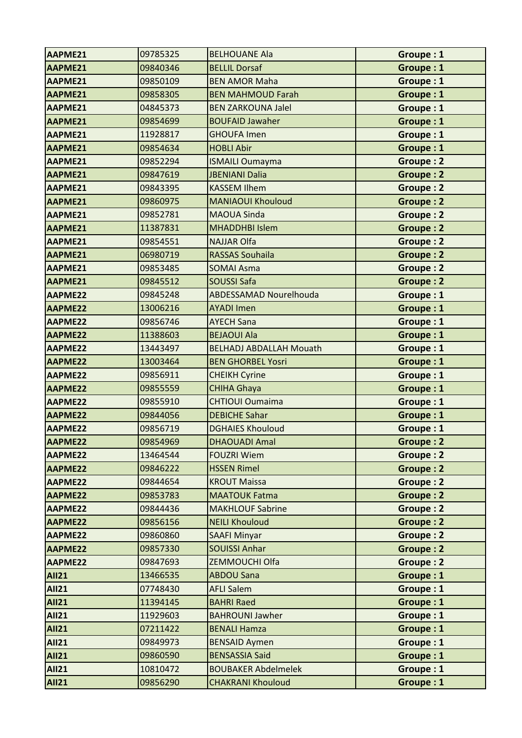| AAPME21        | 09785325 | <b>BELHOUANE Ala</b>           | Groupe: 1        |
|----------------|----------|--------------------------------|------------------|
| AAPME21        | 09840346 | <b>BELLIL Dorsaf</b>           | Groupe: 1        |
| AAPME21        | 09850109 | <b>BEN AMOR Maha</b>           | Groupe: 1        |
| AAPME21        | 09858305 | <b>BEN MAHMOUD Farah</b>       | Groupe: 1        |
| AAPME21        | 04845373 | <b>BEN ZARKOUNA Jalel</b>      | Groupe: 1        |
| AAPME21        | 09854699 | <b>BOUFAID Jawaher</b>         | Groupe: 1        |
| AAPME21        | 11928817 | <b>GHOUFA Imen</b>             | Groupe: 1        |
| AAPME21        | 09854634 | <b>HOBLI Abir</b>              | Groupe: 1        |
| AAPME21        | 09852294 | <b>ISMAILI Oumayma</b>         | Groupe: 2        |
| AAPME21        | 09847619 | <b>JBENIANI Dalia</b>          | Groupe: 2        |
| AAPME21        | 09843395 | <b>KASSEM Ilhem</b>            | Groupe: 2        |
| AAPME21        | 09860975 | <b>MANIAOUI Khouloud</b>       | Groupe: 2        |
| AAPME21        | 09852781 | <b>MAOUA Sinda</b>             | Groupe: 2        |
| AAPME21        | 11387831 | <b>MHADDHBI Islem</b>          | <b>Groupe: 2</b> |
| AAPME21        | 09854551 | <b>NAJJAR Olfa</b>             | Groupe: 2        |
| AAPME21        | 06980719 | <b>RASSAS Souhaila</b>         | Groupe: 2        |
| AAPME21        | 09853485 | <b>SOMAI Asma</b>              | Groupe: 2        |
| AAPME21        | 09845512 | <b>SOUSSI Safa</b>             | <b>Groupe: 2</b> |
| AAPME22        | 09845248 | ABDESSAMAD Nourelhouda         | Groupe: 1        |
| <b>AAPME22</b> | 13006216 | <b>AYADI Imen</b>              | Groupe: 1        |
| AAPME22        | 09856746 | <b>AYECH Sana</b>              | Groupe: 1        |
| AAPME22        | 11388603 | <b>BEJAOUI Ala</b>             | Groupe: 1        |
| AAPME22        | 13443497 | <b>BELHADJ ABDALLAH Mouath</b> | Groupe: 1        |
| AAPME22        | 13003464 | <b>BEN GHORBEL Yosri</b>       | Groupe: 1        |
| AAPME22        | 09856911 | <b>CHEIKH Cyrine</b>           | Groupe: 1        |
| AAPME22        | 09855559 | <b>CHIHA Ghaya</b>             | Groupe: 1        |
| AAPME22        | 09855910 | <b>CHTIOUI Oumaima</b>         | Groupe: 1        |
| AAPME22        | 09844056 | <b>DEBICHE Sahar</b>           | Groupe: 1        |
| AAPME22        | 09856719 | <b>DGHAIES Khouloud</b>        | Groupe: 1        |
| AAPME22        | 09854969 | <b>DHAOUADI Amal</b>           | <b>Groupe: 2</b> |
| AAPME22        | 13464544 | <b>FOUZRI Wiem</b>             | Groupe: 2        |
| AAPME22        | 09846222 | <b>HSSEN Rimel</b>             | Groupe: 2        |
| AAPME22        | 09844654 | <b>KROUT Maissa</b>            | Groupe: 2        |
| AAPME22        | 09853783 | <b>MAATOUK Fatma</b>           | Groupe: 2        |
| AAPME22        | 09844436 | <b>MAKHLOUF Sabrine</b>        | Groupe: 2        |
| AAPME22        | 09856156 | <b>NEILI Khouloud</b>          | Groupe: 2        |
| AAPME22        | 09860860 | <b>SAAFI Minyar</b>            | Groupe: 2        |
| AAPME22        | 09857330 | <b>SOUISSI Anhar</b>           | Groupe: 2        |
| AAPME22        | 09847693 | ZEMMOUCHI Olfa                 | Groupe: 2        |
| <b>AII21</b>   | 13466535 | <b>ABDOU Sana</b>              | Groupe: 1        |
| <b>AII21</b>   | 07748430 | <b>AFLI Salem</b>              | Groupe: 1        |
| <b>AII21</b>   | 11394145 | <b>BAHRI Raed</b>              | Groupe: 1        |
| <b>AII21</b>   | 11929603 | <b>BAHROUNI Jawher</b>         | Groupe: 1        |
| <b>AII21</b>   | 07211422 | <b>BENALI Hamza</b>            | Groupe: 1        |
| <b>AII21</b>   | 09849973 | <b>BENSAID Aymen</b>           | Groupe: 1        |
| <b>AII21</b>   | 09860590 | <b>BENSASSIA Said</b>          | Groupe: 1        |
| <b>AII21</b>   | 10810472 | <b>BOUBAKER Abdelmelek</b>     | Groupe: 1        |
| <b>AII21</b>   | 09856290 | <b>CHAKRANI Khouloud</b>       | Groupe: 1        |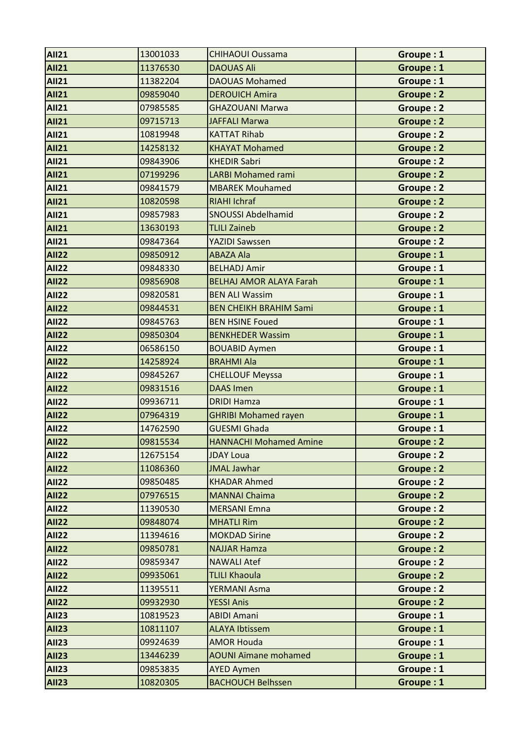| <b>AII21</b> | 13001033 | <b>CHIHAOUI Oussama</b>        | Groupe: 1        |
|--------------|----------|--------------------------------|------------------|
| <b>AII21</b> | 11376530 | <b>DAOUAS Ali</b>              | Groupe: 1        |
| <b>AII21</b> | 11382204 | <b>DAOUAS Mohamed</b>          | Groupe: 1        |
| <b>AII21</b> | 09859040 | <b>DEROUICH Amira</b>          | <b>Groupe: 2</b> |
| <b>AII21</b> | 07985585 | <b>GHAZOUANI Marwa</b>         | <b>Groupe: 2</b> |
| <b>AII21</b> | 09715713 | JAFFALI Marwa                  | <b>Groupe: 2</b> |
| <b>AII21</b> | 10819948 | <b>KATTAT Rihab</b>            | Groupe: 2        |
| <b>AII21</b> | 14258132 | <b>KHAYAT Mohamed</b>          | <b>Groupe: 2</b> |
| <b>AII21</b> | 09843906 | <b>KHEDIR Sabri</b>            | <b>Groupe: 2</b> |
| <b>AII21</b> | 07199296 | <b>LARBI Mohamed rami</b>      | <b>Groupe: 2</b> |
| <b>AII21</b> | 09841579 | <b>MBAREK Mouhamed</b>         | Groupe: 2        |
| <b>AII21</b> | 10820598 | <b>RIAHI Ichraf</b>            | <b>Groupe: 2</b> |
| <b>AII21</b> | 09857983 | <b>SNOUSSI Abdelhamid</b>      | Groupe: 2        |
| <b>AII21</b> | 13630193 | <b>TLILI Zaineb</b>            | <b>Groupe: 2</b> |
| <b>AII21</b> | 09847364 | <b>YAZIDI Sawssen</b>          | Groupe: 2        |
| <b>AII22</b> | 09850912 | <b>ABAZA Ala</b>               | Groupe: 1        |
| <b>AII22</b> | 09848330 | <b>BELHADJ Amir</b>            | Groupe: 1        |
| <b>AII22</b> | 09856908 | <b>BELHAJ AMOR ALAYA Farah</b> | Groupe: 1        |
| <b>AII22</b> | 09820581 | <b>BEN ALI Wassim</b>          | Groupe: 1        |
| <b>AII22</b> | 09844531 | <b>BEN CHEIKH BRAHIM Sami</b>  | Groupe: 1        |
| <b>AII22</b> | 09845763 | <b>BEN HSINE Foued</b>         | Groupe: 1        |
| <b>AII22</b> | 09850304 | <b>BENKHEDER Wassim</b>        | Groupe: 1        |
| <b>AII22</b> | 06586150 | <b>BOUABID Aymen</b>           | Groupe: 1        |
| <b>AII22</b> | 14258924 | <b>BRAHMI Ala</b>              | Groupe: 1        |
| <b>AII22</b> | 09845267 | <b>CHELLOUF Meyssa</b>         | Groupe: 1        |
| <b>AII22</b> | 09831516 | <b>DAAS Imen</b>               | Groupe: 1        |
| <b>AII22</b> | 09936711 | <b>DRIDI Hamza</b>             | Groupe: 1        |
| <b>AII22</b> | 07964319 | <b>GHRIBI Mohamed rayen</b>    | Groupe: 1        |
| <b>AII22</b> | 14762590 | <b>GUESMI Ghada</b>            | Groupe: 1        |
| <b>AII22</b> | 09815534 | <b>HANNACHI Mohamed Amine</b>  | Groupe: 2        |
| <b>AII22</b> | 12675154 | <b>JDAY Loua</b>               | Groupe: 2        |
| <b>AII22</b> | 11086360 | <b>JMAL Jawhar</b>             | Groupe: 2        |
| <b>AII22</b> | 09850485 | <b>KHADAR Ahmed</b>            | Groupe: 2        |
| <b>AII22</b> | 07976515 | <b>MANNAI Chaima</b>           | Groupe: 2        |
| <b>AII22</b> | 11390530 | <b>MERSANI Emna</b>            | Groupe: 2        |
| <b>AII22</b> | 09848074 | <b>MHATLI Rim</b>              | Groupe: 2        |
| <b>AII22</b> | 11394616 | <b>MOKDAD Sirine</b>           | Groupe: 2        |
| <b>AII22</b> | 09850781 | <b>NAJJAR Hamza</b>            | Groupe: 2        |
| <b>AII22</b> | 09859347 | <b>NAWALI Atef</b>             | Groupe: 2        |
| <b>AII22</b> | 09935061 | <b>TLILI Khaoula</b>           | <b>Groupe: 2</b> |
| <b>AII22</b> | 11395511 | <b>YERMANI Asma</b>            | Groupe: 2        |
| <b>AII22</b> | 09932930 | <b>YESSI Anis</b>              | <b>Groupe: 2</b> |
| <b>AII23</b> | 10819523 | <b>ABIDI Amani</b>             | Groupe: 1        |
| <b>AII23</b> | 10811107 | <b>ALAYA Ibtissem</b>          | Groupe: 1        |
| <b>AII23</b> | 09924639 | <b>AMOR Houda</b>              | Groupe: 1        |
| <b>AII23</b> | 13446239 | <b>AOUNI Aïmane mohamed</b>    | Groupe: 1        |
| <b>AII23</b> | 09853835 | <b>AYED Aymen</b>              | Groupe: 1        |
| <b>AII23</b> | 10820305 | <b>BACHOUCH Belhssen</b>       | Groupe: 1        |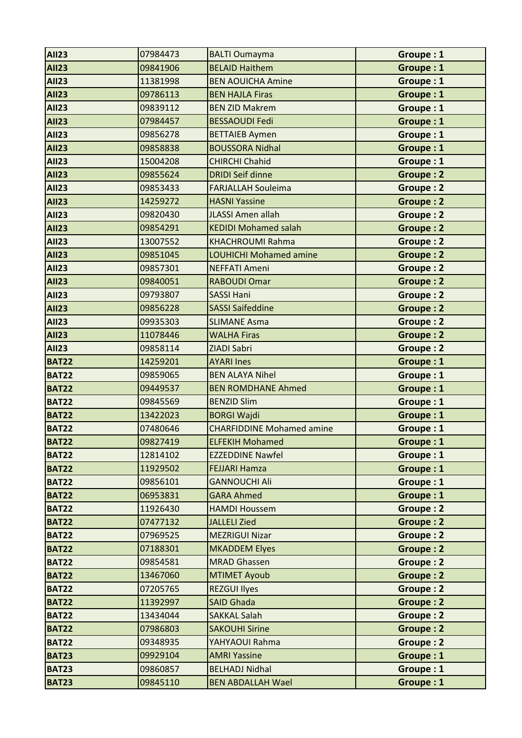| <b>AII23</b> | 07984473 | <b>BALTI Oumayma</b>             | Groupe: 1        |
|--------------|----------|----------------------------------|------------------|
| <b>AII23</b> | 09841906 | <b>BELAID Haithem</b>            | Groupe: 1        |
| <b>AII23</b> | 11381998 | <b>BEN AOUICHA Amine</b>         | Groupe: 1        |
| <b>AII23</b> | 09786113 | <b>BEN HAJLA Firas</b>           | Groupe: 1        |
| <b>AII23</b> | 09839112 | <b>BEN ZID Makrem</b>            | Groupe: 1        |
| <b>AII23</b> | 07984457 | <b>BESSAOUDI Fedi</b>            | Groupe: 1        |
| <b>AII23</b> | 09856278 | <b>BETTAIEB Aymen</b>            | Groupe: 1        |
| <b>AII23</b> | 09858838 | <b>BOUSSORA Nidhal</b>           | Groupe: 1        |
| <b>AII23</b> | 15004208 | <b>CHIRCHI Chahid</b>            | Groupe: 1        |
| <b>AII23</b> | 09855624 | <b>DRIDI Seif dinne</b>          | <b>Groupe: 2</b> |
| <b>AII23</b> | 09853433 | <b>FARJALLAH Souleima</b>        | <b>Groupe: 2</b> |
| <b>AII23</b> | 14259272 | <b>HASNI Yassine</b>             | <b>Groupe: 2</b> |
| <b>AII23</b> | 09820430 | <b>JLASSI Amen allah</b>         | Groupe: 2        |
| <b>AII23</b> | 09854291 | <b>KEDIDI Mohamed salah</b>      | <b>Groupe: 2</b> |
| <b>AII23</b> | 13007552 | <b>KHACHROUMI Rahma</b>          | <b>Groupe: 2</b> |
| <b>AII23</b> | 09851045 | LOUHICHI Mohamed amine           | Groupe: 2        |
| <b>AII23</b> | 09857301 | <b>NEFFATI Ameni</b>             | <b>Groupe: 2</b> |
| <b>AII23</b> | 09840051 | <b>RABOUDI Omar</b>              | <b>Groupe: 2</b> |
| <b>AII23</b> | 09793807 | <b>SASSI Hani</b>                | <b>Groupe: 2</b> |
| <b>AII23</b> | 09856228 | <b>SASSI Saifeddine</b>          | <b>Groupe: 2</b> |
| <b>AII23</b> | 09935303 | <b>SLIMANE Asma</b>              | <b>Groupe: 2</b> |
| <b>AII23</b> | 11078446 | <b>WALHA Firas</b>               | <b>Groupe: 2</b> |
| <b>AII23</b> | 09858114 | ZIADI Sabri                      | Groupe: 2        |
| <b>BAT22</b> | 14259201 | <b>AYARI Ines</b>                | Groupe: 1        |
| <b>BAT22</b> | 09859065 | <b>BEN ALAYA Nihel</b>           | Groupe: 1        |
| <b>BAT22</b> | 09449537 | <b>BEN ROMDHANE Ahmed</b>        | Groupe: 1        |
| <b>BAT22</b> | 09845569 | <b>BENZID Slim</b>               | Groupe: 1        |
| <b>BAT22</b> | 13422023 | <b>BORGI Wajdi</b>               | Groupe: 1        |
| <b>BAT22</b> | 07480646 | <b>CHARFIDDINE Mohamed amine</b> | Groupe: 1        |
| <b>BAT22</b> | 09827419 | <b>ELFEKIH Mohamed</b>           | Groupe: 1        |
| <b>BAT22</b> | 12814102 | <b>EZZEDDINE Nawfel</b>          | Groupe: 1        |
| <b>BAT22</b> | 11929502 | <b>FEJJARI Hamza</b>             | Groupe: 1        |
| <b>BAT22</b> | 09856101 | <b>GANNOUCHI Ali</b>             | Groupe: 1        |
| <b>BAT22</b> | 06953831 | <b>GARA Ahmed</b>                | Groupe: 1        |
| <b>BAT22</b> | 11926430 | <b>HAMDI Houssem</b>             | Groupe: 2        |
| <b>BAT22</b> | 07477132 | <b>JALLELI Zied</b>              | Groupe: 2        |
| <b>BAT22</b> | 07969525 | <b>MEZRIGUI Nizar</b>            | Groupe: 2        |
| <b>BAT22</b> | 07188301 | <b>MKADDEM Elyes</b>             | <b>Groupe: 2</b> |
| <b>BAT22</b> | 09854581 | <b>MRAD Ghassen</b>              | Groupe: 2        |
| <b>BAT22</b> | 13467060 | <b>MTIMET Ayoub</b>              | Groupe: 2        |
| <b>BAT22</b> | 07205765 | <b>REZGUI Ilyes</b>              | Groupe: 2        |
| <b>BAT22</b> | 11392997 | <b>SAID Ghada</b>                | Groupe: 2        |
| <b>BAT22</b> | 13434044 | <b>SAKKAL Salah</b>              | <b>Groupe: 2</b> |
| <b>BAT22</b> | 07986803 | <b>SAKOUHI Sirine</b>            | Groupe: 2        |
| <b>BAT22</b> | 09348935 | YAHYAOUI Rahma                   | Groupe: 2        |
| <b>BAT23</b> | 09929104 | <b>AMRI Yassine</b>              | Groupe: 1        |
| <b>BAT23</b> | 09860857 | <b>BELHADJ Nidhal</b>            | Groupe: 1        |
| <b>BAT23</b> | 09845110 | <b>BEN ABDALLAH Wael</b>         | Groupe: 1        |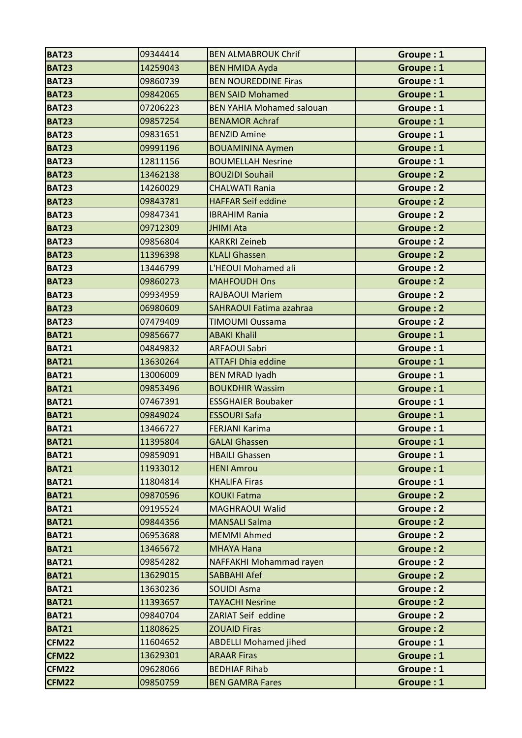| <b>BAT23</b> | 09344414 | <b>BEN ALMABROUK Chrif</b>       | Groupe: 1        |
|--------------|----------|----------------------------------|------------------|
| <b>BAT23</b> | 14259043 | <b>BEN HMIDA Ayda</b>            | Groupe: 1        |
| <b>BAT23</b> | 09860739 | <b>BEN NOUREDDINE Firas</b>      | Groupe: 1        |
| <b>BAT23</b> | 09842065 | <b>BEN SAID Mohamed</b>          | Groupe: 1        |
| <b>BAT23</b> | 07206223 | <b>BEN YAHIA Mohamed salouan</b> | Groupe: 1        |
| <b>BAT23</b> | 09857254 | <b>BENAMOR Achraf</b>            | Groupe: 1        |
| <b>BAT23</b> | 09831651 | <b>BENZID Amine</b>              | Groupe: 1        |
| <b>BAT23</b> | 09991196 | <b>BOUAMININA Aymen</b>          | Groupe: 1        |
| <b>BAT23</b> | 12811156 | <b>BOUMELLAH Nesrine</b>         | Groupe: 1        |
| <b>BAT23</b> | 13462138 | <b>BOUZIDI Souhail</b>           | <b>Groupe: 2</b> |
| <b>BAT23</b> | 14260029 | <b>CHALWATI Rania</b>            | <b>Groupe: 2</b> |
| <b>BAT23</b> | 09843781 | <b>HAFFAR Seif eddine</b>        | Groupe: 2        |
| <b>BAT23</b> | 09847341 | <b>IBRAHIM Rania</b>             | Groupe: 2        |
| <b>BAT23</b> | 09712309 | <b>JHIMI Ata</b>                 | <b>Groupe: 2</b> |
| <b>BAT23</b> | 09856804 | <b>KARKRI Zeineb</b>             | Groupe: 2        |
| <b>BAT23</b> | 11396398 | <b>KLALI Ghassen</b>             | <b>Groupe: 2</b> |
| <b>BAT23</b> | 13446799 | L'HEOUI Mohamed ali              | Groupe: 2        |
| <b>BAT23</b> | 09860273 | <b>MAHFOUDH Ons</b>              | <b>Groupe: 2</b> |
| <b>BAT23</b> | 09934959 | <b>RAJBAOUI Mariem</b>           | <b>Groupe: 2</b> |
| <b>BAT23</b> | 06980609 | <b>SAHRAOUI Fatima azahraa</b>   | <b>Groupe: 2</b> |
| <b>BAT23</b> | 07479409 | <b>TIMOUMI Oussama</b>           | <b>Groupe: 2</b> |
| <b>BAT21</b> | 09856677 | <b>ABAKI Khalil</b>              | Groupe: 1        |
| <b>BAT21</b> | 04849832 | <b>ARFAOUI Sabri</b>             | Groupe: 1        |
| <b>BAT21</b> | 13630264 | <b>ATTAFI Dhia eddine</b>        | Groupe: 1        |
| <b>BAT21</b> | 13006009 | <b>BEN MRAD Iyadh</b>            | Groupe: 1        |
| <b>BAT21</b> | 09853496 | <b>BOUKDHIR Wassim</b>           | Groupe: 1        |
| <b>BAT21</b> | 07467391 | <b>ESSGHAIER Boubaker</b>        | Groupe: 1        |
| <b>BAT21</b> | 09849024 | <b>ESSOURI Safa</b>              | Groupe: 1        |
| <b>BAT21</b> | 13466727 | <b>FERJANI Karima</b>            | Groupe: 1        |
| <b>BAT21</b> | 11395804 | <b>GALAI Ghassen</b>             | Groupe: 1        |
| <b>BAT21</b> | 09859091 | <b>HBAILI Ghassen</b>            | Groupe: 1        |
| <b>BAT21</b> | 11933012 | <b>HENI Amrou</b>                | Groupe: 1        |
| <b>BAT21</b> | 11804814 | <b>KHALIFA Firas</b>             | Groupe: 1        |
| <b>BAT21</b> | 09870596 | <b>KOUKI Fatma</b>               | Groupe: 2        |
| <b>BAT21</b> | 09195524 | <b>MAGHRAOUI Walid</b>           | Groupe: 2        |
| <b>BAT21</b> | 09844356 | <b>MANSALI Salma</b>             | Groupe: 2        |
| <b>BAT21</b> | 06953688 | <b>MEMMI Ahmed</b>               | Groupe: 2        |
| <b>BAT21</b> | 13465672 | <b>MHAYA Hana</b>                | Groupe: 2        |
| <b>BAT21</b> | 09854282 | NAFFAKHI Mohammad rayen          | Groupe: 2        |
| <b>BAT21</b> | 13629015 | <b>SABBAHI Afef</b>              | <b>Groupe: 2</b> |
| <b>BAT21</b> | 13630236 | <b>SOUIDI Asma</b>               | <b>Groupe: 2</b> |
| <b>BAT21</b> | 11393657 | <b>TAYACHI Nesrine</b>           | <b>Groupe: 2</b> |
| <b>BAT21</b> | 09840704 | ZARIAT Seif eddine               | Groupe: 2        |
| <b>BAT21</b> | 11808625 | <b>ZOUAID Firas</b>              | Groupe: 2        |
| <b>CFM22</b> | 11604652 | <b>ABDELLI Mohamed jihed</b>     | Groupe: 1        |
| <b>CFM22</b> | 13629301 | <b>ARAAR Firas</b>               | Groupe: 1        |
| <b>CFM22</b> | 09628066 | <b>BEDHIAF Rihab</b>             | Groupe: 1        |
| <b>CFM22</b> | 09850759 | <b>BEN GAMRA Fares</b>           | Groupe: 1        |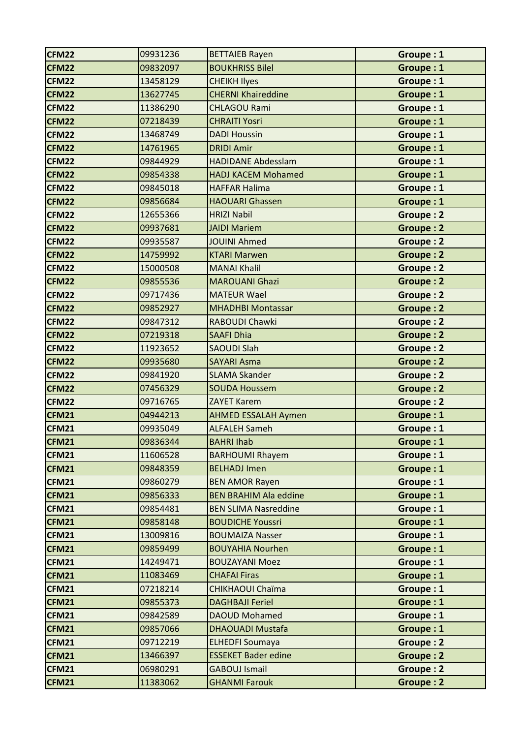| <b>CFM22</b> | 09931236 | <b>BETTAIEB Rayen</b>        | Groupe: 1        |
|--------------|----------|------------------------------|------------------|
| <b>CFM22</b> | 09832097 | <b>BOUKHRISS Bilel</b>       | Groupe: 1        |
| <b>CFM22</b> | 13458129 | <b>CHEIKH Ilyes</b>          | Groupe: 1        |
| <b>CFM22</b> | 13627745 | <b>CHERNI Khaireddine</b>    | Groupe: 1        |
| <b>CFM22</b> | 11386290 | <b>CHLAGOU Rami</b>          | Groupe: 1        |
| <b>CFM22</b> | 07218439 | <b>CHRAITI Yosri</b>         | Groupe: 1        |
| <b>CFM22</b> | 13468749 | <b>DADI Houssin</b>          | Groupe: 1        |
| <b>CFM22</b> | 14761965 | <b>DRIDI Amir</b>            | Groupe: 1        |
| <b>CFM22</b> | 09844929 | <b>HADIDANE Abdesslam</b>    | Groupe: 1        |
| <b>CFM22</b> | 09854338 | <b>HADJ KACEM Mohamed</b>    | Groupe: 1        |
| <b>CFM22</b> | 09845018 | <b>HAFFAR Halima</b>         | Groupe: 1        |
| <b>CFM22</b> | 09856684 | <b>HAOUARI Ghassen</b>       | Groupe: 1        |
| <b>CFM22</b> | 12655366 | <b>HRIZI Nabil</b>           | Groupe: 2        |
| <b>CFM22</b> | 09937681 | <b>JAIDI Mariem</b>          | <b>Groupe: 2</b> |
| <b>CFM22</b> | 09935587 | <b>JOUINI Ahmed</b>          | Groupe: 2        |
| <b>CFM22</b> | 14759992 | <b>KTARI Marwen</b>          | Groupe: 2        |
| <b>CFM22</b> | 15000508 | <b>MANAI Khalil</b>          | <b>Groupe: 2</b> |
| <b>CFM22</b> | 09855536 | <b>MAROUANI Ghazi</b>        | <b>Groupe: 2</b> |
| <b>CFM22</b> | 09717436 | <b>MATEUR Wael</b>           | <b>Groupe: 2</b> |
| <b>CFM22</b> | 09852927 | <b>MHADHBI Montassar</b>     | <b>Groupe: 2</b> |
| <b>CFM22</b> | 09847312 | RABOUDI Chawki               | <b>Groupe: 2</b> |
| <b>CFM22</b> | 07219318 | <b>SAAFI Dhia</b>            | Groupe: 2        |
| <b>CFM22</b> | 11923652 | <b>SAOUDI Slah</b>           | Groupe: 2        |
| <b>CFM22</b> | 09935680 | <b>SAYARI Asma</b>           | Groupe: 2        |
| <b>CFM22</b> | 09841920 | <b>SLAMA Skander</b>         | <b>Groupe: 2</b> |
| <b>CFM22</b> | 07456329 | <b>SOUDA Houssem</b>         | <b>Groupe: 2</b> |
| <b>CFM22</b> | 09716765 | <b>ZAYET Karem</b>           | Groupe: 2        |
| <b>CFM21</b> | 04944213 | <b>AHMED ESSALAH Aymen</b>   | Groupe: 1        |
| <b>CFM21</b> | 09935049 | <b>ALFALEH Sameh</b>         | Groupe: 1        |
| <b>CFM21</b> | 09836344 | <b>BAHRI Ihab</b>            | Groupe: 1        |
| <b>CFM21</b> | 11606528 | <b>BARHOUMI Rhayem</b>       | Groupe: 1        |
| <b>CFM21</b> | 09848359 | <b>BELHADJ Imen</b>          | Groupe: 1        |
| <b>CFM21</b> | 09860279 | <b>BEN AMOR Rayen</b>        | Groupe: 1        |
| <b>CFM21</b> | 09856333 | <b>BEN BRAHIM Ala eddine</b> | Groupe: 1        |
| <b>CFM21</b> | 09854481 | <b>BEN SLIMA Nasreddine</b>  | Groupe: 1        |
| <b>CFM21</b> | 09858148 | <b>BOUDICHE Youssri</b>      | Groupe: 1        |
| <b>CFM21</b> | 13009816 | <b>BOUMAIZA Nasser</b>       | Groupe: 1        |
| <b>CFM21</b> | 09859499 | <b>BOUYAHIA Nourhen</b>      | Groupe: 1        |
| <b>CFM21</b> | 14249471 | <b>BOUZAYANI Moez</b>        | Groupe: 1        |
| <b>CFM21</b> | 11083469 | <b>CHAFAI Firas</b>          | Groupe: 1        |
| <b>CFM21</b> | 07218214 | CHIKHAOUI Chaïma             | Groupe: 1        |
| <b>CFM21</b> | 09855373 | <b>DAGHBAJI Feriel</b>       | Groupe: 1        |
| <b>CFM21</b> | 09842589 | <b>DAOUD Mohamed</b>         | Groupe: 1        |
| <b>CFM21</b> | 09857066 | <b>DHAOUADI Mustafa</b>      | Groupe: 1        |
| <b>CFM21</b> | 09712219 | <b>ELHEDFI Soumaya</b>       | Groupe: 2        |
| <b>CFM21</b> | 13466397 | <b>ESSEKET Bader edine</b>   | Groupe: 2        |
| <b>CFM21</b> | 06980291 | <b>GABOUJ Ismail</b>         | Groupe: 2        |
| <b>CFM21</b> | 11383062 | <b>GHANMI Farouk</b>         | Groupe: 2        |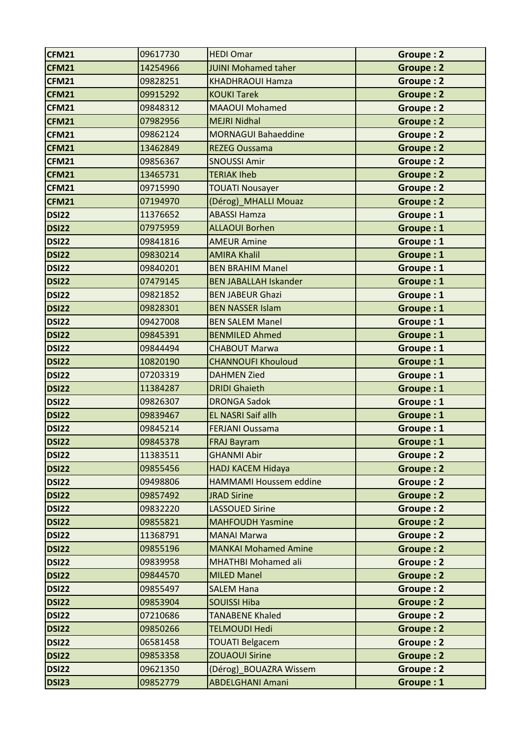| CFM21        | 09617730 | <b>HEDI Omar</b>              | Groupe: 2        |
|--------------|----------|-------------------------------|------------------|
| <b>CFM21</b> | 14254966 | <b>JUINI Mohamed taher</b>    | <b>Groupe: 2</b> |
| <b>CFM21</b> | 09828251 | <b>KHADHRAOUI Hamza</b>       | <b>Groupe: 2</b> |
| <b>CFM21</b> | 09915292 | <b>KOUKI Tarek</b>            | <b>Groupe: 2</b> |
| <b>CFM21</b> | 09848312 | <b>MAAOUI Mohamed</b>         | <b>Groupe: 2</b> |
| <b>CFM21</b> | 07982956 | <b>MEJRI Nidhal</b>           | <b>Groupe: 2</b> |
| <b>CFM21</b> | 09862124 | <b>MORNAGUI Bahaeddine</b>    | <b>Groupe: 2</b> |
| <b>CFM21</b> | 13462849 | <b>REZEG Oussama</b>          | <b>Groupe: 2</b> |
| <b>CFM21</b> | 09856367 | <b>SNOUSSI Amir</b>           | Groupe: 2        |
| <b>CFM21</b> | 13465731 | <b>TERIAK Iheb</b>            | <b>Groupe: 2</b> |
| <b>CFM21</b> | 09715990 | <b>TOUATI Nousayer</b>        | Groupe: 2        |
| CFM21        | 07194970 | (Dérog)_MHALLI Mouaz          | <b>Groupe: 2</b> |
| <b>DSI22</b> | 11376652 | <b>ABASSI Hamza</b>           | Groupe: 1        |
| <b>DSI22</b> | 07975959 | <b>ALLAOUI Borhen</b>         | Groupe: 1        |
| <b>DSI22</b> | 09841816 | <b>AMEUR Amine</b>            | Groupe: 1        |
| <b>DSI22</b> | 09830214 | <b>AMIRA Khalil</b>           | Groupe: 1        |
| <b>DSI22</b> | 09840201 | <b>BEN BRAHIM Manel</b>       | Groupe: 1        |
| <b>DSI22</b> | 07479145 | <b>BEN JABALLAH Iskander</b>  | Groupe: 1        |
| <b>DSI22</b> | 09821852 | <b>BEN JABEUR Ghazi</b>       | Groupe: 1        |
| <b>DSI22</b> | 09828301 | <b>BEN NASSER Islam</b>       | Groupe: 1        |
| <b>DSI22</b> | 09427008 | <b>BEN SALEM Manel</b>        | Groupe: 1        |
| <b>DSI22</b> | 09845391 | <b>BENMILED Ahmed</b>         | Groupe: 1        |
| <b>DSI22</b> | 09844494 | <b>CHABOUT Marwa</b>          | Groupe: 1        |
| <b>DSI22</b> | 10820190 | <b>CHANNOUFI Khouloud</b>     | Groupe: 1        |
| <b>DSI22</b> | 07203319 | <b>DAHMEN Zied</b>            | Groupe: 1        |
| <b>DSI22</b> | 11384287 | <b>DRIDI Ghaieth</b>          | Groupe: 1        |
| <b>DSI22</b> | 09826307 | <b>DRONGA Sadok</b>           | Groupe: 1        |
| <b>DSI22</b> | 09839467 | <b>EL NASRI Saif allh</b>     | Groupe: 1        |
| <b>DSI22</b> | 09845214 | <b>FERJANI Oussama</b>        | Groupe: 1        |
| <b>DSI22</b> | 09845378 | <b>FRAJ Bayram</b>            | Groupe : 1       |
| <b>DSI22</b> | 11383511 | <b>GHANMI Abir</b>            | Groupe: 2        |
| <b>DSI22</b> | 09855456 | <b>HADJ KACEM Hidaya</b>      | Groupe: 2        |
| <b>DSI22</b> | 09498806 | <b>HAMMAMI Houssem eddine</b> | Groupe: 2        |
| <b>DSI22</b> | 09857492 | <b>JRAD Sirine</b>            | Groupe: 2        |
| <b>DSI22</b> | 09832220 | <b>LASSOUED Sirine</b>        | Groupe: 2        |
| <b>DSI22</b> | 09855821 | <b>MAHFOUDH Yasmine</b>       | Groupe: 2        |
| <b>DSI22</b> | 11368791 | <b>MANAI Marwa</b>            | Groupe: 2        |
| <b>DSI22</b> | 09855196 | <b>MANKAI Mohamed Amine</b>   | Groupe: 2        |
| <b>DSI22</b> | 09839958 | <b>MHATHBI Mohamed ali</b>    | Groupe: 2        |
| <b>DSI22</b> | 09844570 | <b>MILED Manel</b>            | Groupe: 2        |
| <b>DSI22</b> | 09855497 | <b>SALEM Hana</b>             | <b>Groupe: 2</b> |
| <b>DSI22</b> | 09853904 | <b>SOUISSI Hiba</b>           | Groupe: 2        |
| <b>DSI22</b> | 07210686 | <b>TANABENE Khaled</b>        | Groupe: 2        |
| <b>DSI22</b> | 09850266 | <b>TELMOUDI Hedi</b>          | Groupe: 2        |
| <b>DSI22</b> | 06581458 | <b>TOUATI Belgacem</b>        | Groupe: 2        |
| <b>DSI22</b> | 09853358 | <b>ZOUAOUI Sirine</b>         | Groupe: 2        |
| <b>DSI22</b> | 09621350 | (Dérog)_BOUAZRA Wissem        | Groupe: 2        |
| <b>DSI23</b> | 09852779 | <b>ABDELGHANI Amani</b>       | Groupe: 1        |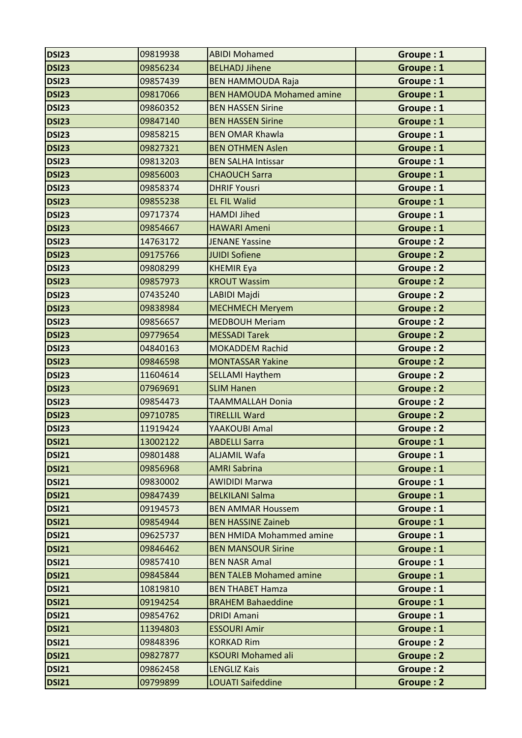| <b>DSI23</b> | 09819938 | <b>ABIDI Mohamed</b>             | Groupe: 1        |
|--------------|----------|----------------------------------|------------------|
| <b>DSI23</b> | 09856234 | <b>BELHADJ Jihene</b>            | Groupe: 1        |
| <b>DSI23</b> | 09857439 | <b>BEN HAMMOUDA Raja</b>         | Groupe: 1        |
| <b>DSI23</b> | 09817066 | <b>BEN HAMOUDA Mohamed amine</b> | Groupe: 1        |
| <b>DSI23</b> | 09860352 | <b>BEN HASSEN Sirine</b>         | Groupe: 1        |
| <b>DSI23</b> | 09847140 | <b>BEN HASSEN Sirine</b>         | Groupe: 1        |
| <b>DSI23</b> | 09858215 | <b>BEN OMAR Khawla</b>           | Groupe: 1        |
| <b>DSI23</b> | 09827321 | <b>BEN OTHMEN Aslen</b>          | Groupe: 1        |
| <b>DSI23</b> | 09813203 | <b>BEN SALHA Intissar</b>        | Groupe: 1        |
| <b>DSI23</b> | 09856003 | <b>CHAOUCH Sarra</b>             | Groupe: 1        |
| <b>DSI23</b> | 09858374 | <b>DHRIF Yousri</b>              | Groupe: 1        |
| <b>DSI23</b> | 09855238 | <b>EL FIL Walid</b>              | Groupe: 1        |
| <b>DSI23</b> | 09717374 | <b>HAMDI Jihed</b>               | Groupe: 1        |
| <b>DSI23</b> | 09854667 | <b>HAWARI Ameni</b>              | Groupe: 1        |
| <b>DSI23</b> | 14763172 | <b>JENANE Yassine</b>            | <b>Groupe: 2</b> |
| <b>DSI23</b> | 09175766 | <b>JUIDI Sofiene</b>             | Groupe: 2        |
| <b>DSI23</b> | 09808299 | <b>KHEMIR Eya</b>                | <b>Groupe: 2</b> |
| <b>DSI23</b> | 09857973 | <b>KROUT Wassim</b>              | <b>Groupe: 2</b> |
| <b>DSI23</b> | 07435240 | LABIDI Majdi                     | <b>Groupe: 2</b> |
| <b>DSI23</b> | 09838984 | <b>MECHMECH Meryem</b>           | <b>Groupe: 2</b> |
| <b>DSI23</b> | 09856657 | <b>MEDBOUH Meriam</b>            | <b>Groupe: 2</b> |
| <b>DSI23</b> | 09779654 | <b>MESSADI Tarek</b>             | Groupe: 2        |
| <b>DSI23</b> | 04840163 | <b>MOKADDEM Rachid</b>           | <b>Groupe: 2</b> |
| <b>DSI23</b> | 09846598 | <b>MONTASSAR Yakine</b>          | Groupe: 2        |
| <b>DSI23</b> | 11604614 | <b>SELLAMI Haythem</b>           | Groupe: 2        |
| <b>DSI23</b> | 07969691 | <b>SLIM Hanen</b>                | <b>Groupe: 2</b> |
| <b>DSI23</b> | 09854473 | <b>TAAMMALLAH Donia</b>          | Groupe: 2        |
| <b>DSI23</b> | 09710785 | <b>TIRELLIL Ward</b>             | <b>Groupe: 2</b> |
| <b>DSI23</b> | 11919424 | YAAKOUBI Amal                    | Groupe: 2        |
| <b>DSI21</b> | 13002122 | <b>ABDELLI Sarra</b>             | Groupe : 1       |
| <b>DSI21</b> | 09801488 | <b>ALJAMIL Wafa</b>              | Groupe: 1        |
| <b>DSI21</b> | 09856968 | <b>AMRI Sabrina</b>              | Groupe: 1        |
| <b>DSI21</b> | 09830002 | <b>AWIDIDI Marwa</b>             | Groupe: 1        |
| <b>DSI21</b> | 09847439 | <b>BELKILANI Salma</b>           | Groupe: 1        |
| <b>DSI21</b> | 09194573 | <b>BEN AMMAR Houssem</b>         | Groupe: 1        |
| <b>DSI21</b> | 09854944 | <b>BEN HASSINE Zaineb</b>        | Groupe: 1        |
| <b>DSI21</b> | 09625737 | <b>BEN HMIDA Mohammed amine</b>  | Groupe: 1        |
| <b>DSI21</b> | 09846462 | <b>BEN MANSOUR Sirine</b>        | Groupe: 1        |
| <b>DSI21</b> | 09857410 | <b>BEN NASR Amal</b>             | Groupe: 1        |
| <b>DSI21</b> | 09845844 | <b>BEN TALEB Mohamed amine</b>   | Groupe: 1        |
| <b>DSI21</b> | 10819810 | <b>BEN THABET Hamza</b>          | Groupe: 1        |
| <b>DSI21</b> | 09194254 | <b>BRAHEM Bahaeddine</b>         | Groupe: 1        |
| <b>DSI21</b> | 09854762 | <b>DRIDI Amani</b>               | Groupe: 1        |
| <b>DSI21</b> | 11394803 | <b>ESSOURI Amir</b>              | Groupe: 1        |
| <b>DSI21</b> | 09848396 | <b>KORKAD Rim</b>                | Groupe: 2        |
| <b>DSI21</b> | 09827877 | <b>KSOURI Mohamed ali</b>        | Groupe: 2        |
| <b>DSI21</b> | 09862458 | <b>LENGLIZ Kais</b>              | Groupe: 2        |
| <b>DSI21</b> | 09799899 | <b>LOUATI Saifeddine</b>         | Groupe: 2        |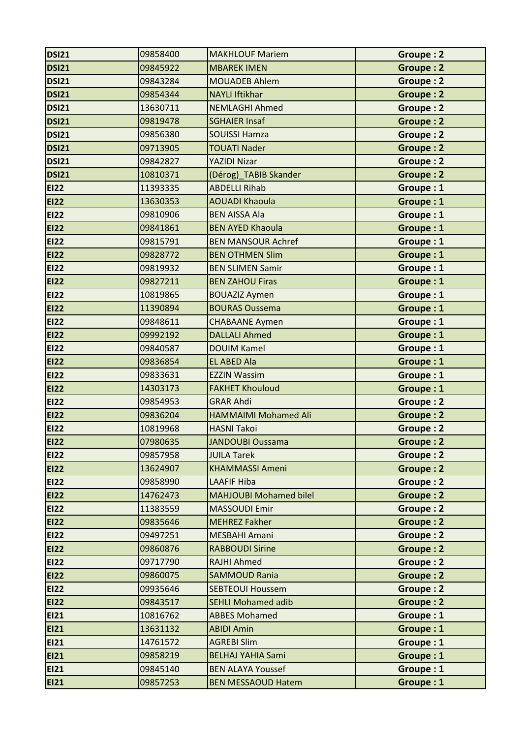| <b>DSI21</b> | 09858400 | <b>MAKHLOUF Mariem</b>        | Groupe: 2        |
|--------------|----------|-------------------------------|------------------|
| <b>DSI21</b> | 09845922 | <b>MBAREK IMEN</b>            | <b>Groupe: 2</b> |
| <b>DSI21</b> | 09843284 | <b>MOUADEB Ahlem</b>          | Groupe: 2        |
| <b>DSI21</b> | 09854344 | <b>NAYLI Iftikhar</b>         | <b>Groupe: 2</b> |
| <b>DSI21</b> | 13630711 | <b>NEMLAGHI Ahmed</b>         | <b>Groupe: 2</b> |
| <b>DSI21</b> | 09819478 | <b>SGHAIER Insaf</b>          | <b>Groupe: 2</b> |
| <b>DSI21</b> | 09856380 | <b>SOUISSI Hamza</b>          | Groupe: 2        |
| <b>DSI21</b> | 09713905 | <b>TOUATI Nader</b>           | <b>Groupe: 2</b> |
| <b>DSI21</b> | 09842827 | <b>YAZIDI Nizar</b>           | <b>Groupe: 2</b> |
| <b>DSI21</b> | 10810371 | (Dérog)_TABIB Skander         | Groupe: 2        |
| <b>EI22</b>  | 11393335 | <b>ABDELLI Rihab</b>          | Groupe: 1        |
| <b>EI22</b>  | 13630353 | <b>AOUADI Khaoula</b>         | Groupe: 1        |
| <b>EI22</b>  | 09810906 | <b>BEN AISSA Ala</b>          | Groupe: 1        |
| <b>EI22</b>  | 09841861 | <b>BEN AYED Khaoula</b>       | Groupe: 1        |
| <b>EI22</b>  | 09815791 | <b>BEN MANSOUR Achref</b>     | Groupe: 1        |
| <b>EI22</b>  | 09828772 | <b>BEN OTHMEN Slim</b>        | Groupe: 1        |
| <b>EI22</b>  | 09819932 | <b>BEN SLIMEN Samir</b>       | Groupe: 1        |
| <b>EI22</b>  | 09827211 | <b>BEN ZAHOU Firas</b>        | Groupe: 1        |
| <b>EI22</b>  | 10819865 | <b>BOUAZIZ Aymen</b>          | Groupe: 1        |
| <b>EI22</b>  | 11390894 | <b>BOURAS Oussema</b>         | Groupe: 1        |
| <b>EI22</b>  | 09848611 | <b>CHABAANE Aymen</b>         | Groupe: 1        |
| <b>EI22</b>  | 09992192 | <b>DALLALI Ahmed</b>          | Groupe: 1        |
| <b>EI22</b>  | 09840587 | <b>DOUIM Kamel</b>            | Groupe: 1        |
| <b>EI22</b>  | 09836854 | <b>EL ABED Ala</b>            | Groupe: 1        |
| <b>EI22</b>  | 09833631 | <b>EZZIN Wassim</b>           | Groupe: 1        |
| <b>EI22</b>  | 14303173 | <b>FAKHET Khouloud</b>        | Groupe: 1        |
| <b>EI22</b>  | 09854953 | <b>GRAR Ahdi</b>              | <b>Groupe: 2</b> |
| <b>EI22</b>  | 09836204 | <b>HAMMAIMI Mohamed Ali</b>   | Groupe: 2        |
| <b>EI22</b>  | 10819968 | <b>HASNI Takoi</b>            | Groupe: 2        |
| <b>EI22</b>  | 07980635 | <b>JANDOUBI Oussama</b>       | <b>Groupe: 2</b> |
| <b>EI22</b>  | 09857958 | <b>JUILA Tarek</b>            | Groupe: 2        |
| <b>EI22</b>  | 13624907 | <b>KHAMMASSI Ameni</b>        | Groupe: 2        |
| <b>EI22</b>  | 09858990 | <b>LAAFIF Hiba</b>            | Groupe: 2        |
| <b>EI22</b>  | 14762473 | <b>MAHJOUBI Mohamed bilel</b> | Groupe: 2        |
| <b>EI22</b>  | 11383559 | <b>MASSOUDI Emir</b>          | Groupe: 2        |
| <b>EI22</b>  | 09835646 | <b>MEHREZ Fakher</b>          | Groupe: 2        |
| <b>EI22</b>  | 09497251 | <b>MESBAHI Amani</b>          | Groupe: 2        |
| <b>EI22</b>  | 09860876 | <b>RABBOUDI Sirine</b>        | Groupe: 2        |
| <b>EI22</b>  | 09717790 | <b>RAJHI Ahmed</b>            | Groupe: 2        |
| <b>EI22</b>  | 09860075 | <b>SAMMOUD Rania</b>          | Groupe: 2        |
| <b>EI22</b>  | 09935646 | <b>SEBTEOUI Houssem</b>       | Groupe: 2        |
| <b>EI22</b>  | 09843517 | <b>SEHLI Mohamed adib</b>     | Groupe: 2        |
| <b>EI21</b>  | 10816762 | <b>ABBES Mohamed</b>          | Groupe: 1        |
| <b>EI21</b>  | 13631132 | <b>ABIDI Amin</b>             | Groupe: 1        |
| <b>EI21</b>  | 14761572 | <b>AGREBI Slim</b>            | Groupe: 1        |
| <b>EI21</b>  | 09858219 | <b>BELHAJ YAHIA Sami</b>      | Groupe: 1        |
| <b>EI21</b>  | 09845140 | <b>BEN ALAYA Youssef</b>      | Groupe: 1        |
| <b>EI21</b>  | 09857253 | <b>BEN MESSAOUD Hatem</b>     | Groupe: 1        |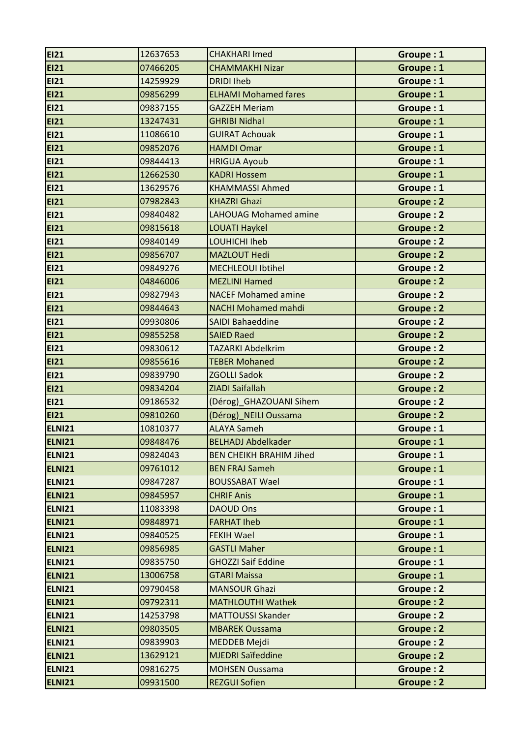| <b>EI21</b>   | 12637653 | <b>CHAKHARI Imed</b>           | Groupe: 1        |
|---------------|----------|--------------------------------|------------------|
| <b>EI21</b>   | 07466205 | <b>CHAMMAKHI Nizar</b>         | Groupe: 1        |
| <b>EI21</b>   | 14259929 | <b>DRIDI Iheb</b>              | Groupe: 1        |
| <b>EI21</b>   | 09856299 | <b>ELHAMI Mohamed fares</b>    | Groupe: 1        |
| <b>EI21</b>   | 09837155 | <b>GAZZEH Meriam</b>           | Groupe: 1        |
| <b>EI21</b>   | 13247431 | <b>GHRIBI Nidhal</b>           | Groupe: 1        |
| <b>EI21</b>   | 11086610 | <b>GUIRAT Achouak</b>          | Groupe: 1        |
| <b>EI21</b>   | 09852076 | <b>HAMDI Omar</b>              | Groupe: 1        |
| <b>EI21</b>   | 09844413 | <b>HRIGUA Ayoub</b>            | Groupe: 1        |
| <b>EI21</b>   | 12662530 | <b>KADRI Hossem</b>            | Groupe: 1        |
| <b>EI21</b>   | 13629576 | <b>KHAMMASSI Ahmed</b>         | Groupe: 1        |
| <b>EI21</b>   | 07982843 | <b>KHAZRI Ghazi</b>            | Groupe: 2        |
| <b>EI21</b>   | 09840482 | <b>LAHOUAG Mohamed amine</b>   | Groupe: 2        |
| <b>EI21</b>   | 09815618 | <b>LOUATI Haykel</b>           | <b>Groupe: 2</b> |
| <b>EI21</b>   | 09840149 | LOUHICHI Iheb                  | Groupe: 2        |
| <b>EI21</b>   | 09856707 | <b>MAZLOUT Hedi</b>            | Groupe: 2        |
| <b>EI21</b>   | 09849276 | <b>MECHLEOUI Ibtihel</b>       | Groupe: 2        |
| <b>EI21</b>   | 04846006 | <b>MEZLINI Hamed</b>           | <b>Groupe: 2</b> |
| <b>EI21</b>   | 09827943 | <b>NACEF Mohamed amine</b>     | <b>Groupe: 2</b> |
| <b>EI21</b>   | 09844643 | <b>NACHI Mohamed mahdi</b>     | <b>Groupe: 2</b> |
| <b>EI21</b>   | 09930806 | <b>SAIDI Bahaeddine</b>        | Groupe: 2        |
| <b>EI21</b>   | 09855258 | <b>SAIED Raed</b>              | <b>Groupe: 2</b> |
| <b>EI21</b>   | 09830612 | <b>TAZARKI Abdelkrim</b>       | Groupe: 2        |
| <b>EI21</b>   | 09855616 | <b>TEBER Mohaned</b>           | <b>Groupe: 2</b> |
| <b>EI21</b>   | 09839790 | <b>ZGOLLI Sadok</b>            | <b>Groupe: 2</b> |
| <b>EI21</b>   | 09834204 | ZIADI Saifallah                | <b>Groupe: 2</b> |
| <b>EI21</b>   | 09186532 | (Dérog)_GHAZOUANI Sihem        | Groupe: 2        |
| <b>EI21</b>   | 09810260 | (Dérog) NEILI Oussama          | Groupe: 2        |
| ELNI21        | 10810377 | <b>ALAYA Sameh</b>             | Groupe: 1        |
| <b>ELNI21</b> | 09848476 | <b>BELHADJ Abdelkader</b>      | Groupe: 1        |
| ELNI21        | 09824043 | <b>BEN CHEIKH BRAHIM Jihed</b> | Groupe: 1        |
| ELNI21        | 09761012 | <b>BEN FRAJ Sameh</b>          | Groupe: 1        |
| <b>ELNI21</b> | 09847287 | <b>BOUSSABAT Wael</b>          | Groupe: 1        |
| ELNI21        | 09845957 | <b>CHRIF Anis</b>              | Groupe: 1        |
| ELNI21        | 11083398 | <b>DAOUD Ons</b>               | Groupe: 1        |
| ELNI21        | 09848971 | <b>FARHAT Iheb</b>             | Groupe: 1        |
| ELNI21        | 09840525 | <b>FEKIH Wael</b>              | Groupe: 1        |
| ELNI21        | 09856985 | <b>GASTLI Maher</b>            | Groupe: 1        |
| ELNI21        | 09835750 | <b>GHOZZI Saif Eddine</b>      | Groupe: 1        |
| ELNI21        | 13006758 | <b>GTARI Maissa</b>            | Groupe: 1        |
| ELNI21        | 09790458 | <b>MANSOUR Ghazi</b>           | Groupe: 2        |
| ELNI21        | 09792311 | <b>MATHLOUTHI Wathek</b>       | Groupe: 2        |
| ELNI21        | 14253798 | <b>MATTOUSSI Skander</b>       | Groupe: 2        |
| ELNI21        | 09803505 | <b>MBAREK Oussama</b>          | Groupe: 2        |
| ELNI21        | 09839903 | MEDDEB Mejdi                   | <b>Groupe: 2</b> |
|               |          |                                |                  |
| ELNI21        | 13629121 | <b>MJEDRI Saïfeddine</b>       | <b>Groupe: 2</b> |
| <b>ELNI21</b> | 09816275 | <b>MOHSEN Oussama</b>          | <b>Groupe: 2</b> |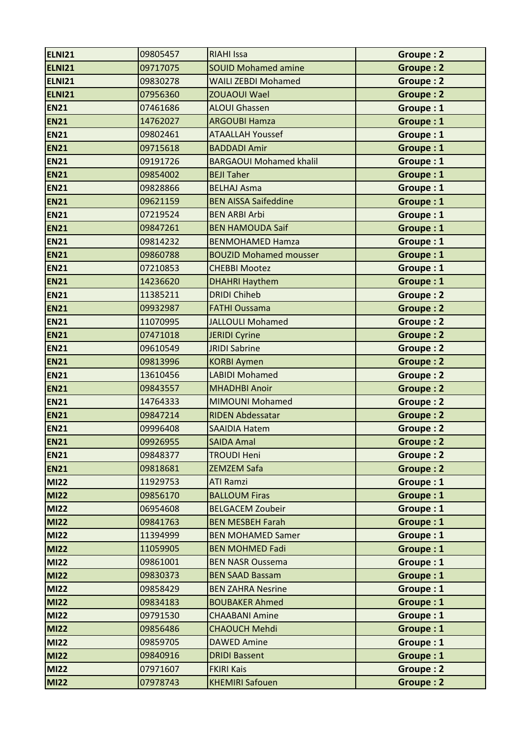| ELNI21      | 09805457 | <b>RIAHI Issa</b>              | Groupe: 2        |
|-------------|----------|--------------------------------|------------------|
| ELNI21      | 09717075 | <b>SOUID Mohamed amine</b>     | <b>Groupe: 2</b> |
| ELNI21      | 09830278 | <b>WAILI ZEBDI Mohamed</b>     | Groupe: 2        |
| ELNI21      | 07956360 | <b>ZOUAOUI Wael</b>            | <b>Groupe: 2</b> |
| <b>EN21</b> | 07461686 | <b>ALOUI Ghassen</b>           | Groupe: 1        |
| <b>EN21</b> | 14762027 | <b>ARGOUBI Hamza</b>           | Groupe: 1        |
| <b>EN21</b> | 09802461 | <b>ATAALLAH Youssef</b>        | Groupe: 1        |
| <b>EN21</b> | 09715618 | <b>BADDADI Amir</b>            | Groupe: 1        |
| <b>EN21</b> | 09191726 | <b>BARGAOUI Mohamed khalil</b> | Groupe: 1        |
| <b>EN21</b> | 09854002 | <b>BEJI Taher</b>              | Groupe: 1        |
| <b>EN21</b> | 09828866 | <b>BELHAJ Asma</b>             | Groupe: 1        |
| <b>EN21</b> | 09621159 | <b>BEN AISSA Saifeddine</b>    | Groupe: 1        |
| <b>EN21</b> | 07219524 | <b>BEN ARBI Arbi</b>           | Groupe: 1        |
| <b>EN21</b> | 09847261 | <b>BEN HAMOUDA Saif</b>        | Groupe: 1        |
| <b>EN21</b> | 09814232 | <b>BENMOHAMED Hamza</b>        | Groupe: 1        |
| <b>EN21</b> | 09860788 | <b>BOUZID Mohamed mousser</b>  | Groupe: 1        |
| <b>EN21</b> | 07210853 | <b>CHEBBI Mootez</b>           | Groupe: 1        |
| <b>EN21</b> | 14236620 | <b>DHAHRI Haythem</b>          | Groupe: 1        |
| <b>EN21</b> | 11385211 | <b>DRIDI Chiheb</b>            | <b>Groupe: 2</b> |
| <b>EN21</b> | 09932987 | <b>FATHI Oussama</b>           | <b>Groupe: 2</b> |
| <b>EN21</b> | 11070995 | <b>JALLOULI Mohamed</b>        | <b>Groupe: 2</b> |
| <b>EN21</b> | 07471018 | <b>JERIDI Cyrine</b>           | Groupe: 2        |
| <b>EN21</b> | 09610549 | <b>JRIDI Sabrine</b>           | <b>Groupe: 2</b> |
| <b>EN21</b> | 09813996 | <b>KORBI Aymen</b>             | Groupe: 2        |
| <b>EN21</b> | 13610456 | <b>LABIDI Mohamed</b>          | Groupe: 2        |
| <b>EN21</b> | 09843557 | <b>MHADHBI Anoir</b>           | Groupe: 2        |
| <b>EN21</b> | 14764333 | <b>MIMOUNI Mohamed</b>         | Groupe: 2        |
| <b>EN21</b> | 09847214 | <b>RIDEN Abdessatar</b>        | <b>Groupe: 2</b> |
| <b>EN21</b> | 09996408 | <b>SAAIDIA Hatem</b>           | <b>Groupe: 2</b> |
| <b>EN21</b> | 09926955 | <b>SAIDA Amal</b>              | <b>Groupe: 2</b> |
| <b>EN21</b> | 09848377 | <b>TROUDI Heni</b>             | Groupe: 2        |
| <b>EN21</b> | 09818681 | <b>ZEMZEM Safa</b>             | Groupe: 2        |
| <b>MI22</b> | 11929753 | <b>ATI Ramzi</b>               | Groupe: 1        |
| <b>MI22</b> | 09856170 | <b>BALLOUM Firas</b>           | Groupe: 1        |
| <b>MI22</b> | 06954608 | <b>BELGACEM Zoubeir</b>        | Groupe: 1        |
| <b>MI22</b> | 09841763 | <b>BEN MESBEH Farah</b>        | Groupe: 1        |
| <b>MI22</b> | 11394999 | <b>BEN MOHAMED Samer</b>       | Groupe: 1        |
| <b>MI22</b> | 11059905 | <b>BEN MOHMED Fadi</b>         | Groupe: 1        |
| <b>MI22</b> | 09861001 | <b>BEN NASR Oussema</b>        | Groupe: 1        |
| <b>MI22</b> | 09830373 | <b>BEN SAAD Bassam</b>         | Groupe: 1        |
| <b>MI22</b> | 09858429 | <b>BEN ZAHRA Nesrine</b>       | Groupe: 1        |
| <b>MI22</b> | 09834183 | <b>BOUBAKER Ahmed</b>          | Groupe: 1        |
| <b>MI22</b> | 09791530 | <b>CHAABANI Amine</b>          | Groupe: 1        |
| <b>MI22</b> | 09856486 | <b>CHAOUCH Mehdi</b>           | Groupe: 1        |
| <b>MI22</b> | 09859705 | <b>DAWED Amine</b>             | Groupe: 1        |
| <b>MI22</b> | 09840916 | <b>DRIDI Bassent</b>           | Groupe: 1        |
| <b>MI22</b> | 07971607 | <b>FKIRI Kais</b>              | Groupe: 2        |
| <b>MI22</b> | 07978743 | <b>KHEMIRI Safouen</b>         | Groupe: 2        |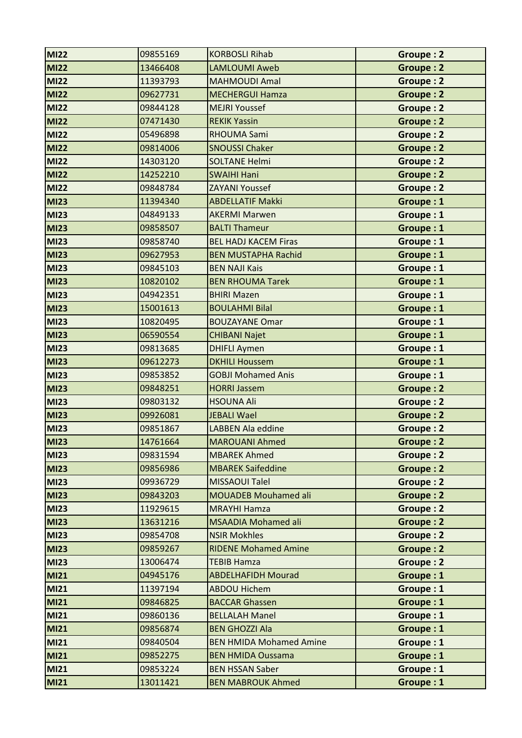| <b>MI22</b> | 09855169 | <b>KORBOSLI Rihab</b>          | Groupe: 2        |
|-------------|----------|--------------------------------|------------------|
| <b>MI22</b> | 13466408 | <b>LAMLOUMI Aweb</b>           | Groupe: 2        |
| <b>MI22</b> | 11393793 | <b>MAHMOUDI Amal</b>           | Groupe: 2        |
| <b>MI22</b> | 09627731 | <b>MECHERGUI Hamza</b>         | <b>Groupe: 2</b> |
| <b>MI22</b> | 09844128 | <b>MEJRI Youssef</b>           | <b>Groupe: 2</b> |
| <b>MI22</b> | 07471430 | <b>REKIK Yassin</b>            | Groupe: 2        |
| <b>MI22</b> | 05496898 | <b>RHOUMA Sami</b>             | Groupe: 2        |
| <b>MI22</b> | 09814006 | <b>SNOUSSI Chaker</b>          | <b>Groupe: 2</b> |
| <b>MI22</b> | 14303120 | <b>SOLTANE Helmi</b>           | <b>Groupe: 2</b> |
| <b>MI22</b> | 14252210 | <b>SWAIHI Hani</b>             | <b>Groupe: 2</b> |
| <b>MI22</b> | 09848784 | <b>ZAYANI Youssef</b>          | Groupe: 2        |
| <b>MI23</b> | 11394340 | <b>ABDELLATIF Makki</b>        | Groupe: 1        |
| <b>MI23</b> | 04849133 | <b>AKERMI Marwen</b>           | Groupe: 1        |
| <b>MI23</b> | 09858507 | <b>BALTI Thameur</b>           | Groupe: 1        |
| <b>MI23</b> | 09858740 | <b>BEL HADJ KACEM Firas</b>    | Groupe: 1        |
| <b>MI23</b> | 09627953 | <b>BEN MUSTAPHA Rachid</b>     | Groupe: 1        |
| <b>MI23</b> | 09845103 | <b>BEN NAJI Kais</b>           | Groupe: 1        |
| <b>MI23</b> | 10820102 | <b>BEN RHOUMA Tarek</b>        | Groupe: 1        |
| <b>MI23</b> | 04942351 | <b>BHIRI Mazen</b>             | Groupe: 1        |
| <b>MI23</b> | 15001613 | <b>BOULAHMI Bilal</b>          | Groupe: 1        |
| <b>MI23</b> | 10820495 | <b>BOUZAYANE Omar</b>          | Groupe: 1        |
| <b>MI23</b> | 06590554 | <b>CHIBANI Najet</b>           | Groupe: 1        |
| <b>MI23</b> | 09813685 | <b>DHIFLI Aymen</b>            | Groupe: 1        |
| <b>MI23</b> | 09612273 | <b>DKHILI Houssem</b>          | Groupe: 1        |
| <b>MI23</b> | 09853852 | <b>GOBJI Mohamed Anis</b>      | Groupe: 1        |
| <b>MI23</b> | 09848251 | <b>HORRI Jassem</b>            | <b>Groupe: 2</b> |
| <b>MI23</b> | 09803132 | <b>HSOUNA Ali</b>              | Groupe: 2        |
| <b>MI23</b> | 09926081 | <b>JEBALI Wael</b>             | <b>Groupe: 2</b> |
| <b>MI23</b> | 09851867 | <b>LABBEN Ala eddine</b>       | Groupe: 2        |
| <b>MI23</b> | 14761664 | <b>MAROUANI Ahmed</b>          | Groupe: 2        |
| <b>MI23</b> | 09831594 | <b>MBAREK Ahmed</b>            | Groupe: 2        |
| <b>MI23</b> | 09856986 | <b>MBAREK Saifeddine</b>       | Groupe: 2        |
| <b>MI23</b> | 09936729 | <b>MISSAOUI Talel</b>          | Groupe: 2        |
| <b>MI23</b> | 09843203 | <b>MOUADEB Mouhamed ali</b>    | Groupe: 2        |
| <b>MI23</b> | 11929615 | <b>MRAYHI Hamza</b>            | Groupe: 2        |
| <b>MI23</b> | 13631216 | <b>MSAADIA Mohamed ali</b>     | Groupe: 2        |
| <b>MI23</b> | 09854708 | <b>NSIR Mokhles</b>            | Groupe: 2        |
| <b>MI23</b> | 09859267 | <b>RIDENE Mohamed Amine</b>    | Groupe: 2        |
| <b>MI23</b> | 13006474 | <b>TEBIB Hamza</b>             | Groupe: 2        |
| <b>MI21</b> | 04945176 | <b>ABDELHAFIDH Mourad</b>      | Groupe: 1        |
| <b>MI21</b> | 11397194 | <b>ABDOU Hichem</b>            | Groupe: 1        |
| <b>MI21</b> | 09846825 | <b>BACCAR Ghassen</b>          | Groupe: 1        |
| <b>MI21</b> | 09860136 | <b>BELLALAH Manel</b>          | Groupe: 1        |
| <b>MI21</b> | 09856874 | <b>BEN GHOZZI Ala</b>          | Groupe: 1        |
| <b>MI21</b> | 09840504 | <b>BEN HMIDA Mohamed Amine</b> | Groupe: 1        |
| <b>MI21</b> | 09852275 | <b>BEN HMIDA Oussama</b>       | Groupe: 1        |
| <b>MI21</b> | 09853224 | <b>BEN HSSAN Saber</b>         | Groupe: 1        |
| <b>MI21</b> | 13011421 | <b>BEN MABROUK Ahmed</b>       | Groupe: 1        |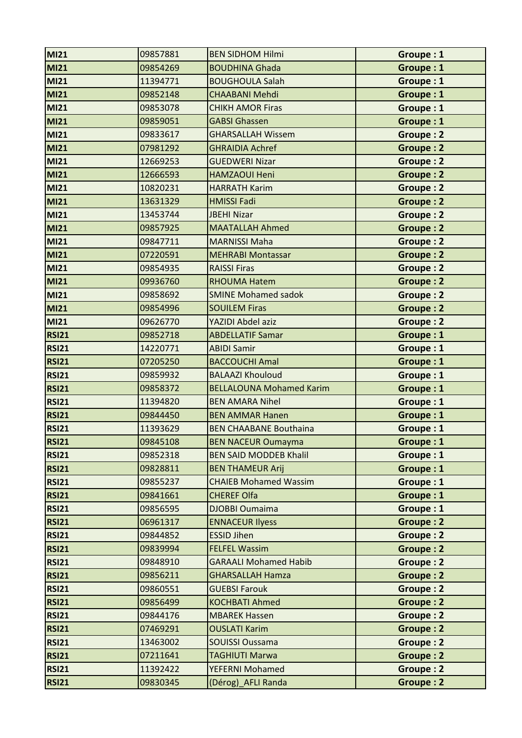| <b>MI21</b>  | 09857881 | <b>BEN SIDHOM Hilmi</b>         | Groupe: 1        |
|--------------|----------|---------------------------------|------------------|
| <b>MI21</b>  | 09854269 | <b>BOUDHINA Ghada</b>           | Groupe: 1        |
| <b>MI21</b>  | 11394771 | <b>BOUGHOULA Salah</b>          | Groupe: 1        |
| <b>MI21</b>  | 09852148 | <b>CHAABANI Mehdi</b>           | Groupe: 1        |
| <b>MI21</b>  | 09853078 | <b>CHIKH AMOR Firas</b>         | Groupe: 1        |
| <b>MI21</b>  | 09859051 | <b>GABSI Ghassen</b>            | Groupe: 1        |
| <b>MI21</b>  | 09833617 | <b>GHARSALLAH Wissem</b>        | Groupe: 2        |
| <b>MI21</b>  | 07981292 | <b>GHRAIDIA Achref</b>          | <b>Groupe: 2</b> |
| <b>MI21</b>  | 12669253 | <b>GUEDWERI Nizar</b>           | Groupe: 2        |
| <b>MI21</b>  | 12666593 | <b>HAMZAOUI Heni</b>            | <b>Groupe: 2</b> |
| <b>MI21</b>  | 10820231 | <b>HARRATH Karim</b>            | Groupe: 2        |
| <b>MI21</b>  | 13631329 | <b>HMISSI Fadi</b>              | <b>Groupe: 2</b> |
| <b>MI21</b>  | 13453744 | <b>JBEHI Nizar</b>              | Groupe: 2        |
| <b>MI21</b>  | 09857925 | <b>MAATALLAH Ahmed</b>          | <b>Groupe: 2</b> |
| <b>MI21</b>  | 09847711 | <b>MARNISSI Maha</b>            | <b>Groupe: 2</b> |
| <b>MI21</b>  | 07220591 | <b>MEHRABI Montassar</b>        | <b>Groupe: 2</b> |
| <b>MI21</b>  | 09854935 | <b>RAISSI Firas</b>             | <b>Groupe: 2</b> |
| <b>MI21</b>  | 09936760 | <b>RHOUMA Hatem</b>             | <b>Groupe: 2</b> |
| <b>MI21</b>  | 09858692 | <b>SMINE Mohamed sadok</b>      | Groupe: 2        |
| <b>MI21</b>  | 09854996 | <b>SOUILEM Firas</b>            | <b>Groupe: 2</b> |
| <b>MI21</b>  | 09626770 | YAZIDI Abdel aziz               | <b>Groupe: 2</b> |
| <b>RSI21</b> | 09852718 | <b>ABDELLATIF Samar</b>         | Groupe: 1        |
| <b>RSI21</b> | 14220771 | <b>ABIDI Samir</b>              | Groupe: 1        |
| <b>RSI21</b> | 07205250 | <b>BACCOUCHI Amal</b>           | Groupe: 1        |
| <b>RSI21</b> | 09859932 | <b>BALAAZI Khouloud</b>         | Groupe: 1        |
| <b>RSI21</b> | 09858372 | <b>BELLALOUNA Mohamed Karim</b> | Groupe: 1        |
| <b>RSI21</b> | 11394820 | <b>BEN AMARA Nihel</b>          | Groupe: 1        |
| <b>RSI21</b> | 09844450 | <b>BEN AMMAR Hanen</b>          | Groupe: 1        |
| <b>RSI21</b> | 11393629 | <b>BEN CHAABANE Bouthaina</b>   | Groupe: 1        |
| RSI21        | 09845108 | <b>BEN NACEUR Oumayma</b>       | Groupe: 1        |
| <b>RSI21</b> | 09852318 | <b>BEN SAID MODDEB Khalil</b>   | Groupe: 1        |
| <b>RSI21</b> | 09828811 | <b>BEN THAMEUR Arij</b>         | Groupe: 1        |
| <b>RSI21</b> | 09855237 | <b>CHAIEB Mohamed Wassim</b>    | Groupe: 1        |
| <b>RSI21</b> | 09841661 | <b>CHEREF Olfa</b>              | Groupe: 1        |
| <b>RSI21</b> | 09856595 | <b>DJOBBI Oumaima</b>           | Groupe: 1        |
| <b>RSI21</b> | 06961317 | <b>ENNACEUR Ilyess</b>          | Groupe: 2        |
| <b>RSI21</b> | 09844852 | <b>ESSID Jihen</b>              | Groupe: 2        |
| <b>RSI21</b> | 09839994 | <b>FELFEL Wassim</b>            | Groupe: 2        |
| <b>RSI21</b> | 09848910 | <b>GARAALI Mohamed Habib</b>    | Groupe: 2        |
| <b>RSI21</b> | 09856211 | <b>GHARSALLAH Hamza</b>         | Groupe: 2        |
| <b>RSI21</b> | 09860551 | <b>GUEBSI Farouk</b>            | Groupe: 2        |
| <b>RSI21</b> | 09856499 | <b>KOCHBATI Ahmed</b>           | <b>Groupe: 2</b> |
| <b>RSI21</b> | 09844176 | <b>MBAREK Hassen</b>            | Groupe: 2        |
| <b>RSI21</b> | 07469291 | <b>OUSLATI Karim</b>            | Groupe: 2        |
| <b>RSI21</b> | 13463002 | <b>SOUISSI Oussama</b>          | Groupe: 2        |
| <b>RSI21</b> | 07211641 | <b>TAGHIUTI Marwa</b>           | Groupe: 2        |
| <b>RSI21</b> | 11392422 | YEFERNI Mohamed                 | Groupe: 2        |
| <b>RSI21</b> | 09830345 | (Dérog) AFLI Randa              | <b>Groupe: 2</b> |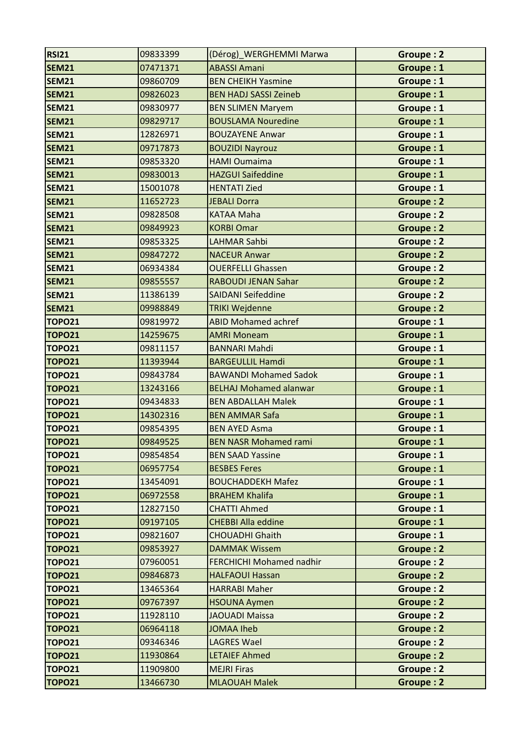| <b>RSI21</b>  | 09833399 | (Dérog)_WERGHEMMI Marwa         | Groupe: 2        |
|---------------|----------|---------------------------------|------------------|
| <b>SEM21</b>  | 07471371 | <b>ABASSI Amani</b>             | Groupe: 1        |
| <b>SEM21</b>  | 09860709 | <b>BEN CHEIKH Yasmine</b>       | Groupe: 1        |
| <b>SEM21</b>  | 09826023 | <b>BEN HADJ SASSI Zeineb</b>    | Groupe: 1        |
| <b>SEM21</b>  | 09830977 | <b>BEN SLIMEN Maryem</b>        | Groupe: 1        |
| <b>SEM21</b>  | 09829717 | <b>BOUSLAMA Nouredine</b>       | Groupe: 1        |
| <b>SEM21</b>  | 12826971 | <b>BOUZAYENE Anwar</b>          | Groupe: 1        |
| <b>SEM21</b>  | 09717873 | <b>BOUZIDI Nayrouz</b>          | Groupe: 1        |
| <b>SEM21</b>  | 09853320 | <b>HAMI Oumaima</b>             | Groupe: 1        |
| <b>SEM21</b>  | 09830013 | <b>HAZGUI Saifeddine</b>        | Groupe: 1        |
| <b>SEM21</b>  | 15001078 | <b>HENTATI Zied</b>             | Groupe: 1        |
| <b>SEM21</b>  | 11652723 | <b>JEBALI Dorra</b>             | Groupe: 2        |
| <b>SEM21</b>  | 09828508 | <b>KATAA Maha</b>               | Groupe: 2        |
| <b>SEM21</b>  | 09849923 | <b>KORBI Omar</b>               | <b>Groupe: 2</b> |
| <b>SEM21</b>  | 09853325 | <b>LAHMAR Sahbi</b>             | <b>Groupe: 2</b> |
| <b>SEM21</b>  | 09847272 | <b>NACEUR Anwar</b>             | <b>Groupe: 2</b> |
| <b>SEM21</b>  | 06934384 | <b>OUERFELLI Ghassen</b>        | Groupe: 2        |
| <b>SEM21</b>  | 09855557 | <b>RABOUDI JENAN Sahar</b>      | <b>Groupe: 2</b> |
| <b>SEM21</b>  | 11386139 | <b>SAIDANI Seifeddine</b>       | Groupe: 2        |
| <b>SEM21</b>  | 09988849 | <b>TRIKI Wejdenne</b>           | <b>Groupe: 2</b> |
| <b>TOPO21</b> | 09819972 | <b>ABID Mohamed achref</b>      | Groupe: 1        |
| <b>TOPO21</b> | 14259675 | <b>AMRI Moneam</b>              | Groupe: 1        |
| <b>TOPO21</b> | 09811157 | <b>BANNARI Mahdi</b>            | Groupe: 1        |
| <b>TOPO21</b> | 11393944 | <b>BARGEULLIL Hamdi</b>         | Groupe: 1        |
| <b>TOPO21</b> | 09843784 | <b>BAWANDI Mohamed Sadok</b>    | Groupe: 1        |
| <b>TOPO21</b> | 13243166 | <b>BELHAJ Mohamed alanwar</b>   | Groupe: 1        |
| <b>TOPO21</b> | 09434833 | <b>BEN ABDALLAH Malek</b>       | Groupe: 1        |
| <b>TOPO21</b> | 14302316 | <b>BEN AMMAR Safa</b>           | Groupe: 1        |
| <b>TOPO21</b> | 09854395 | <b>BEN AYED Asma</b>            | Groupe: 1        |
| <b>TOPO21</b> | 09849525 | <b>BEN NASR Mohamed rami</b>    | Groupe: 1        |
| <b>TOPO21</b> | 09854854 | <b>BEN SAAD Yassine</b>         | Groupe: 1        |
| <b>TOPO21</b> | 06957754 | <b>BESBES Feres</b>             | Groupe: 1        |
| <b>TOPO21</b> | 13454091 | <b>BOUCHADDEKH Mafez</b>        | Groupe: 1        |
| <b>TOPO21</b> | 06972558 | <b>BRAHEM Khalifa</b>           | Groupe: 1        |
| <b>TOPO21</b> | 12827150 | <b>CHATTI Ahmed</b>             | Groupe: 1        |
| <b>TOPO21</b> | 09197105 | <b>CHEBBI Alla eddine</b>       | Groupe: 1        |
| <b>TOPO21</b> | 09821607 | <b>CHOUADHI Ghaith</b>          | Groupe: 1        |
| <b>TOPO21</b> | 09853927 | <b>DAMMAK Wissem</b>            | <b>Groupe: 2</b> |
| <b>TOPO21</b> | 07960051 | <b>FERCHICHI Mohamed nadhir</b> | Groupe: 2        |
| <b>TOPO21</b> | 09846873 | <b>HALFAOUI Hassan</b>          | Groupe: 2        |
| <b>TOPO21</b> | 13465364 | <b>HARRABI Maher</b>            | Groupe: 2        |
| <b>TOPO21</b> | 09767397 | <b>HSOUNA Aymen</b>             | <b>Groupe: 2</b> |
| <b>TOPO21</b> | 11928110 | <b>JAOUADI Maissa</b>           | Groupe: 2        |
| <b>TOPO21</b> | 06964118 | <b>JOMAA Iheb</b>               | Groupe: 2        |
| <b>TOPO21</b> | 09346346 | <b>LAGRES Wael</b>              | Groupe: 2        |
| <b>TOPO21</b> | 11930864 | <b>LETAIEF Ahmed</b>            | Groupe: 2        |
| <b>TOPO21</b> | 11909800 | <b>MEJRI Firas</b>              | Groupe: 2        |
| <b>TOPO21</b> | 13466730 | <b>MLAOUAH Malek</b>            | Groupe: 2        |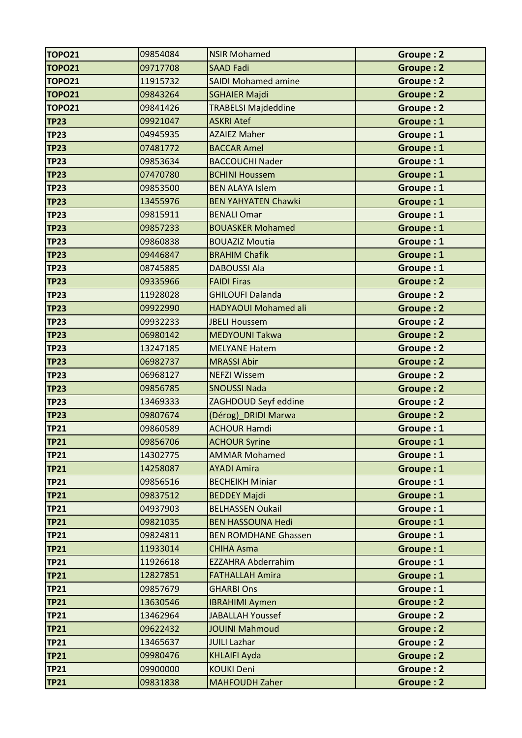| <b>TOPO21</b> | 09854084 | <b>NSIR Mohamed</b>         | Groupe: 2        |
|---------------|----------|-----------------------------|------------------|
| <b>TOPO21</b> | 09717708 | <b>SAAD Fadi</b>            | <b>Groupe: 2</b> |
| <b>TOPO21</b> | 11915732 | <b>SAIDI Mohamed amine</b>  | Groupe: 2        |
| <b>TOPO21</b> | 09843264 | <b>SGHAIER Majdi</b>        | <b>Groupe: 2</b> |
| <b>TOPO21</b> | 09841426 | <b>TRABELSI Majdeddine</b>  | Groupe: 2        |
| <b>TP23</b>   | 09921047 | <b>ASKRI Atef</b>           | Groupe: 1        |
| <b>TP23</b>   | 04945935 | <b>AZAIEZ Maher</b>         | Groupe: 1        |
| <b>TP23</b>   | 07481772 | <b>BACCAR Amel</b>          | Groupe: 1        |
| <b>TP23</b>   | 09853634 | <b>BACCOUCHI Nader</b>      | Groupe: 1        |
| <b>TP23</b>   | 07470780 | <b>BCHINI Houssem</b>       | Groupe: 1        |
| <b>TP23</b>   | 09853500 | <b>BEN ALAYA Islem</b>      | Groupe: 1        |
| <b>TP23</b>   | 13455976 | <b>BEN YAHYATEN Chawki</b>  | Groupe: 1        |
| <b>TP23</b>   | 09815911 | <b>BENALI Omar</b>          | Groupe: 1        |
| <b>TP23</b>   | 09857233 | <b>BOUASKER Mohamed</b>     | Groupe: 1        |
| <b>TP23</b>   | 09860838 | <b>BOUAZIZ Moutia</b>       | Groupe: 1        |
| <b>TP23</b>   | 09446847 | <b>BRAHIM Chafik</b>        | Groupe: 1        |
| <b>TP23</b>   | 08745885 | <b>DABOUSSI Ala</b>         | Groupe: 1        |
| <b>TP23</b>   | 09335966 | <b>FAIDI Firas</b>          | <b>Groupe: 2</b> |
| <b>TP23</b>   | 11928028 | <b>GHILOUFI Dalanda</b>     | <b>Groupe: 2</b> |
| <b>TP23</b>   | 09922990 | <b>HADYAOUI Mohamed ali</b> | <b>Groupe: 2</b> |
| <b>TP23</b>   | 09932233 | <b>JBELI Houssem</b>        | <b>Groupe: 2</b> |
| <b>TP23</b>   | 06980142 | <b>MEDYOUNI Takwa</b>       | Groupe: 2        |
| <b>TP23</b>   | 13247185 | <b>MELYANE Hatem</b>        | <b>Groupe: 2</b> |
| <b>TP23</b>   | 06982737 | <b>MRASSI Abir</b>          | Groupe: 2        |
| <b>TP23</b>   | 06968127 | <b>NEFZI Wissem</b>         | Groupe: 2        |
| <b>TP23</b>   | 09856785 | <b>SNOUSSI Nada</b>         | <b>Groupe: 2</b> |
| <b>TP23</b>   | 13469333 | ZAGHDOUD Seyf eddine        | Groupe: 2        |
| <b>TP23</b>   | 09807674 | (Dérog)_DRIDI Marwa         | Groupe: 2        |
| <b>TP21</b>   | 09860589 | <b>ACHOUR Hamdi</b>         | Groupe: 1        |
| TP21          | 09856706 | <b>ACHOUR Syrine</b>        | Groupe: 1        |
| <b>TP21</b>   | 14302775 | <b>AMMAR Mohamed</b>        | Groupe: 1        |
| <b>TP21</b>   | 14258087 | <b>AYADI Amira</b>          | Groupe: 1        |
| <b>TP21</b>   | 09856516 | <b>BECHEIKH Miniar</b>      | Groupe: 1        |
| <b>TP21</b>   | 09837512 | <b>BEDDEY Majdi</b>         | Groupe: 1        |
| <b>TP21</b>   | 04937903 | <b>BELHASSEN Oukail</b>     | Groupe: 1        |
| <b>TP21</b>   | 09821035 | <b>BEN HASSOUNA Hedi</b>    | Groupe: 1        |
| <b>TP21</b>   | 09824811 | <b>BEN ROMDHANE Ghassen</b> | Groupe: 1        |
| <b>TP21</b>   | 11933014 | <b>CHIHA Asma</b>           | Groupe: 1        |
| <b>TP21</b>   | 11926618 | <b>EZZAHRA Abderrahim</b>   | Groupe: 1        |
| <b>TP21</b>   | 12827851 | <b>FATHALLAH Amira</b>      | Groupe: 1        |
| <b>TP21</b>   | 09857679 | <b>GHARBI Ons</b>           | Groupe: 1        |
| <b>TP21</b>   | 13630546 | <b>IBRAHIMI Aymen</b>       | Groupe: 2        |
| <b>TP21</b>   | 13462964 | <b>JABALLAH Youssef</b>     | Groupe: 2        |
| <b>TP21</b>   | 09622432 | <b>JOUINI Mahmoud</b>       | Groupe: 2        |
| <b>TP21</b>   | 13465637 | <b>JUILI Lazhar</b>         | Groupe: 2        |
| <b>TP21</b>   | 09980476 | <b>KHLAIFI Ayda</b>         | Groupe: 2        |
| <b>TP21</b>   | 09900000 | <b>KOUKI Deni</b>           | Groupe: 2        |
| <b>TP21</b>   | 09831838 | <b>MAHFOUDH Zaher</b>       | Groupe: 2        |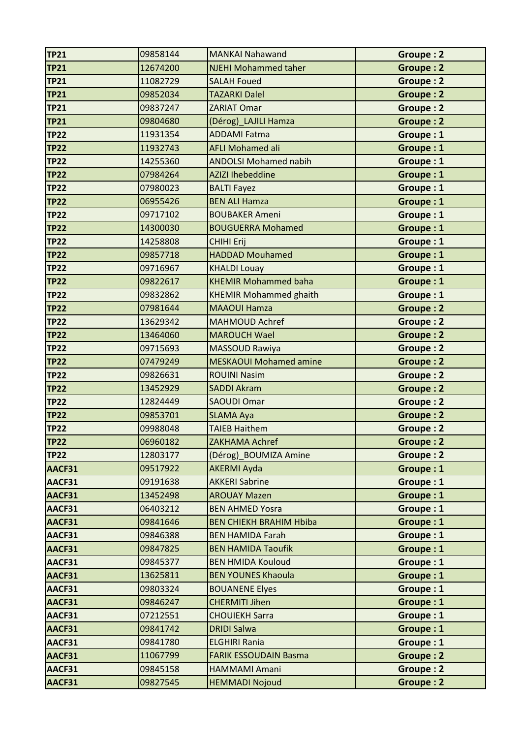| <b>TP21</b> | 09858144 | <b>MANKAI Nahawand</b>         | Groupe: 2        |
|-------------|----------|--------------------------------|------------------|
| <b>TP21</b> | 12674200 | <b>NJEHI Mohammed taher</b>    | Groupe: 2        |
| <b>TP21</b> | 11082729 | <b>SALAH Foued</b>             | Groupe: 2        |
| <b>TP21</b> | 09852034 | <b>TAZARKI Dalel</b>           | Groupe: 2        |
| <b>TP21</b> | 09837247 | <b>ZARIAT Omar</b>             | <b>Groupe: 2</b> |
| <b>TP21</b> | 09804680 | (Dérog)_LAJILI Hamza           | <b>Groupe: 2</b> |
| <b>TP22</b> | 11931354 | <b>ADDAMI Fatma</b>            | Groupe: 1        |
| <b>TP22</b> | 11932743 | <b>AFLI Mohamed ali</b>        | Groupe: 1        |
| <b>TP22</b> | 14255360 | <b>ANDOLSI Mohamed nabih</b>   | Groupe: 1        |
| <b>TP22</b> | 07984264 | <b>AZIZI Ihebeddine</b>        | Groupe: 1        |
| <b>TP22</b> | 07980023 | <b>BALTI Fayez</b>             | Groupe: 1        |
| <b>TP22</b> | 06955426 | <b>BEN ALI Hamza</b>           | Groupe: 1        |
| <b>TP22</b> | 09717102 | <b>BOUBAKER Ameni</b>          | Groupe: 1        |
| <b>TP22</b> | 14300030 | <b>BOUGUERRA Mohamed</b>       | Groupe: 1        |
| <b>TP22</b> | 14258808 | <b>CHIHI Erij</b>              | Groupe: 1        |
| <b>TP22</b> | 09857718 | <b>HADDAD Mouhamed</b>         | Groupe: 1        |
| <b>TP22</b> | 09716967 | <b>KHALDI Louay</b>            | Groupe: 1        |
| <b>TP22</b> | 09822617 | <b>KHEMIR Mohammed baha</b>    | Groupe: 1        |
| <b>TP22</b> | 09832862 | <b>KHEMIR Mohammed ghaith</b>  | Groupe: 1        |
| <b>TP22</b> | 07981644 | <b>MAAOUI Hamza</b>            | <b>Groupe: 2</b> |
| <b>TP22</b> | 13629342 | <b>MAHMOUD Achref</b>          | <b>Groupe: 2</b> |
| <b>TP22</b> | 13464060 | <b>MAROUCH Wael</b>            | <b>Groupe: 2</b> |
| <b>TP22</b> | 09715693 | <b>MASSOUD Rawiya</b>          | <b>Groupe: 2</b> |
| <b>TP22</b> | 07479249 | <b>MESKAOUI Mohamed amine</b>  | Groupe: 2        |
| <b>TP22</b> | 09826631 | <b>ROUINI Nasim</b>            | Groupe: 2        |
| <b>TP22</b> | 13452929 | <b>SADDI Akram</b>             | <b>Groupe: 2</b> |
| <b>TP22</b> | 12824449 | <b>SAOUDI Omar</b>             | Groupe: 2        |
| <b>TP22</b> | 09853701 | <b>SLAMA Aya</b>               | <b>Groupe: 2</b> |
| <b>TP22</b> | 09988048 | <b>TAIEB Haithem</b>           | Groupe: 2        |
| <b>TP22</b> | 06960182 | ZAKHAMA Achref                 | Groupe: 2        |
| <b>TP22</b> | 12803177 | (Dérog) BOUMIZA Amine          | Groupe: 2        |
| AACF31      | 09517922 | <b>AKERMI Ayda</b>             | Groupe: 1        |
| AACF31      | 09191638 | <b>AKKERI Sabrine</b>          | Groupe: 1        |
| AACF31      | 13452498 | <b>AROUAY Mazen</b>            | Groupe: 1        |
| AACF31      | 06403212 | <b>BEN AHMED Yosra</b>         | Groupe: 1        |
| AACF31      | 09841646 | <b>BEN CHIEKH BRAHIM Hbiba</b> | Groupe: 1        |
| AACF31      | 09846388 | <b>BEN HAMIDA Farah</b>        | Groupe: 1        |
| AACF31      | 09847825 | <b>BEN HAMIDA Taoufik</b>      | Groupe: 1        |
| AACF31      | 09845377 | <b>BEN HMIDA Kouloud</b>       | Groupe: 1        |
| AACF31      | 13625811 | <b>BEN YOUNES Khaoula</b>      | Groupe: 1        |
| AACF31      | 09803324 | <b>BOUANENE Elyes</b>          | Groupe: 1        |
| AACF31      | 09846247 | <b>CHERMITI Jihen</b>          | Groupe: 1        |
| AACF31      | 07212551 | <b>CHOUIEKH Sarra</b>          | Groupe: 1        |
| AACF31      | 09841742 | <b>DRIDI Salwa</b>             | Groupe: 1        |
| AACF31      | 09841780 | <b>ELGHIRI Rania</b>           | Groupe: 1        |
| AACF31      | 11067799 | <b>FARIK ESSOUDAIN Basma</b>   | Groupe: 2        |
| AACF31      | 09845158 | <b>HAMMAMI Amani</b>           | Groupe: 2        |
| AACF31      | 09827545 | <b>HEMMADI Nojoud</b>          | <b>Groupe: 2</b> |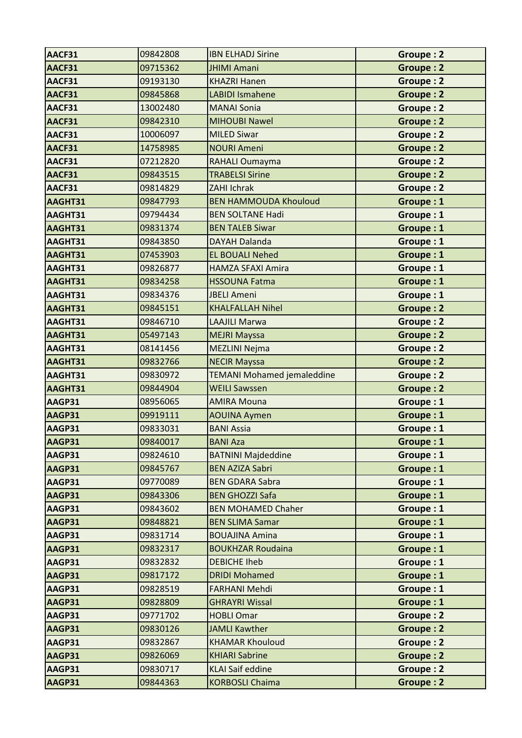| AACF31        | 09842808 | <b>IBN ELHADJ Sirine</b>          | Groupe: 2        |
|---------------|----------|-----------------------------------|------------------|
| AACF31        | 09715362 | <b>JHIMI Amani</b>                | <b>Groupe: 2</b> |
| AACF31        | 09193130 | <b>KHAZRI Hanen</b>               | Groupe: 2        |
| AACF31        | 09845868 | <b>LABIDI Ismahene</b>            | Groupe: 2        |
| AACF31        | 13002480 | <b>MANAI Sonia</b>                | <b>Groupe: 2</b> |
| AACF31        | 09842310 | <b>MIHOUBI Nawel</b>              | <b>Groupe: 2</b> |
| AACF31        | 10006097 | <b>MILED Siwar</b>                | Groupe: 2        |
| AACF31        | 14758985 | <b>NOURI Ameni</b>                | <b>Groupe: 2</b> |
| AACF31        | 07212820 | RAHALI Oumayma                    | Groupe: 2        |
| AACF31        | 09843515 | <b>TRABELSI Sirine</b>            | <b>Groupe: 2</b> |
| AACF31        | 09814829 | <b>ZAHI Ichrak</b>                | <b>Groupe: 2</b> |
| AAGHT31       | 09847793 | <b>BEN HAMMOUDA Khouloud</b>      | Groupe: 1        |
| AAGHT31       | 09794434 | <b>BEN SOLTANE Hadi</b>           | Groupe: 1        |
| AAGHT31       | 09831374 | <b>BEN TALEB Siwar</b>            | Groupe: 1        |
| AAGHT31       | 09843850 | <b>DAYAH Dalanda</b>              | Groupe: 1        |
| AAGHT31       | 07453903 | <b>EL BOUALI Nehed</b>            | Groupe: 1        |
| AAGHT31       | 09826877 | <b>HAMZA SFAXI Amira</b>          | Groupe: 1        |
| AAGHT31       | 09834258 | <b>HSSOUNA Fatma</b>              | Groupe: 1        |
| AAGHT31       | 09834376 | <b>JBELI Ameni</b>                | Groupe: 1        |
| AAGHT31       | 09845151 | <b>KHALFALLAH Nihel</b>           | <b>Groupe: 2</b> |
| AAGHT31       | 09846710 | <b>LAAJILI Marwa</b>              | Groupe: 2        |
| AAGHT31       | 05497143 | <b>MEJRI Mayssa</b>               | Groupe: 2        |
| AAGHT31       | 08141456 | <b>MEZLINI Nejma</b>              | Groupe: 2        |
| AAGHT31       | 09832766 | <b>NECIR Mayssa</b>               | Groupe: 2        |
| AAGHT31       | 09830972 | <b>TEMANI Mohamed jemaleddine</b> | Groupe: 2        |
| AAGHT31       | 09844904 | <b>WEILI Sawssen</b>              | <b>Groupe: 2</b> |
| AAGP31        | 08956065 | <b>AMIRA Mouna</b>                | Groupe: 1        |
| AAGP31        | 09919111 | <b>AOUINA Aymen</b>               | Groupe: 1        |
| AAGP31        | 09833031 | <b>BANI Assia</b>                 | Groupe: 1        |
| <b>AAGP31</b> | 09840017 | <b>BANI Aza</b>                   | Groupe: 1        |
| AAGP31        | 09824610 | <b>BATNINI Majdeddine</b>         | Groupe: 1        |
| AAGP31        | 09845767 | <b>BEN AZIZA Sabri</b>            | Groupe: 1        |
| AAGP31        | 09770089 | <b>BEN GDARA Sabra</b>            | Groupe: 1        |
| AAGP31        | 09843306 | <b>BEN GHOZZI Safa</b>            | Groupe: 1        |
| AAGP31        | 09843602 | <b>BEN MOHAMED Chaher</b>         | Groupe: 1        |
| AAGP31        | 09848821 | <b>BEN SLIMA Samar</b>            | Groupe: 1        |
| AAGP31        | 09831714 | <b>BOUAJINA Amina</b>             | Groupe: 1        |
| AAGP31        | 09832317 | <b>BOUKHZAR Roudaina</b>          | Groupe: 1        |
| AAGP31        | 09832832 | <b>DEBICHE Iheb</b>               | Groupe: 1        |
| AAGP31        | 09817172 | <b>DRIDI Mohamed</b>              | Groupe: 1        |
| AAGP31        | 09828519 | <b>FARHANI Mehdi</b>              | Groupe: 1        |
| AAGP31        | 09828809 | <b>GHRAYRI Wissal</b>             | Groupe: 1        |
| AAGP31        | 09771702 | <b>HOBLI Omar</b>                 | Groupe: 2        |
| AAGP31        | 09830126 | <b>JAMLI Kawther</b>              | Groupe: 2        |
| AAGP31        | 09832867 | <b>KHAMAR Khouloud</b>            | Groupe: 2        |
| AAGP31        | 09826069 | <b>KHIARI Sabrine</b>             | Groupe: 2        |
| AAGP31        | 09830717 | <b>KLAI Saif eddine</b>           | Groupe: 2        |
| AAGP31        | 09844363 | <b>KORBOSLI Chaima</b>            | <b>Groupe: 2</b> |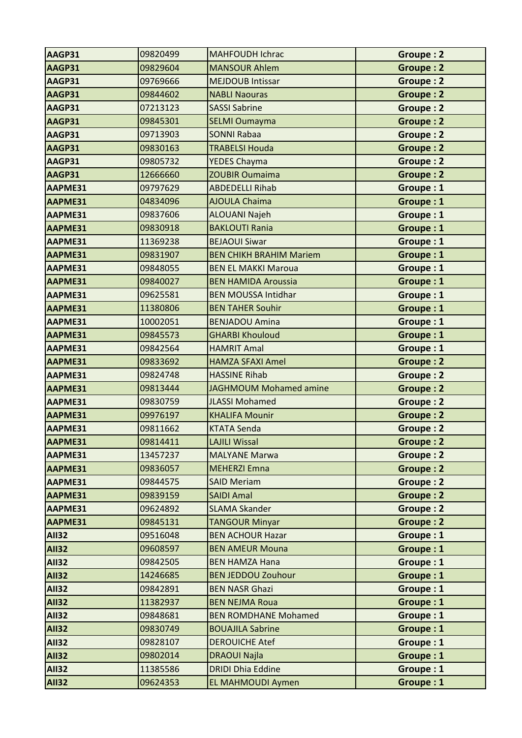| AAGP31       | 09820499 | <b>MAHFOUDH Ichrac</b>         | Groupe: 2        |
|--------------|----------|--------------------------------|------------------|
| AAGP31       | 09829604 | <b>MANSOUR Ahlem</b>           | Groupe: 2        |
| AAGP31       | 09769666 | <b>MEJDOUB Intissar</b>        | Groupe: 2        |
| AAGP31       | 09844602 | <b>NABLI Naouras</b>           | <b>Groupe: 2</b> |
| AAGP31       | 07213123 | <b>SASSI Sabrine</b>           | Groupe: 2        |
| AAGP31       | 09845301 | SELMI Oumayma                  | Groupe: 2        |
| AAGP31       | 09713903 | <b>SONNI Rabaa</b>             | <b>Groupe: 2</b> |
| AAGP31       | 09830163 | <b>TRABELSI Houda</b>          | <b>Groupe: 2</b> |
| AAGP31       | 09805732 | <b>YEDES Chayma</b>            | Groupe: 2        |
| AAGP31       | 12666660 | <b>ZOUBIR Oumaima</b>          | <b>Groupe: 2</b> |
| AAPME31      | 09797629 | <b>ABDEDELLI Rihab</b>         | Groupe: 1        |
| AAPME31      | 04834096 | <b>AJOULA Chaima</b>           | Groupe: 1        |
| AAPME31      | 09837606 | <b>ALOUANI Najeh</b>           | Groupe: 1        |
| AAPME31      | 09830918 | <b>BAKLOUTI Rania</b>          | Groupe: 1        |
| AAPME31      | 11369238 | <b>BEJAOUI Siwar</b>           | Groupe: 1        |
| AAPME31      | 09831907 | <b>BEN CHIKH BRAHIM Mariem</b> | Groupe: 1        |
| AAPME31      | 09848055 | <b>BEN EL MAKKI Maroua</b>     | Groupe: 1        |
| AAPME31      | 09840027 | <b>BEN HAMIDA Aroussia</b>     | Groupe: 1        |
| AAPME31      | 09625581 | <b>BEN MOUSSA Intidhar</b>     | Groupe: 1        |
| AAPME31      | 11380806 | <b>BEN TAHER Souhir</b>        | Groupe: 1        |
| AAPME31      | 10002051 | <b>BENJADOU Amina</b>          | Groupe: 1        |
| AAPME31      | 09845573 | <b>GHARBI Khouloud</b>         | Groupe: 1        |
| AAPME31      | 09842564 | <b>HAMRIT Amal</b>             | Groupe: 1        |
| AAPME31      | 09833692 | <b>HAMZA SFAXI Amel</b>        | Groupe: 2        |
| AAPME31      | 09824748 | <b>HASSINE Rihab</b>           | Groupe: 2        |
| AAPME31      | 09813444 | JAGHMOUM Mohamed amine         | <b>Groupe: 2</b> |
| AAPME31      | 09830759 | <b>JLASSI Mohamed</b>          | Groupe: 2        |
| AAPME31      | 09976197 | <b>KHALIFA Mounir</b>          | <b>Groupe: 2</b> |
| AAPME31      | 09811662 | <b>KTATA Senda</b>             | Groupe: 2        |
| AAPME31      | 09814411 | <b>LAJILI Wissal</b>           | <b>Groupe: 2</b> |
| AAPME31      | 13457237 | <b>MALYANE Marwa</b>           | Groupe: 2        |
| AAPME31      | 09836057 | <b>MEHERZI Emna</b>            | Groupe: 2        |
| AAPME31      | 09844575 | <b>SAID Meriam</b>             | Groupe: 2        |
| AAPME31      | 09839159 | <b>SAIDI Amal</b>              | Groupe: 2        |
| AAPME31      | 09624892 | <b>SLAMA Skander</b>           | Groupe: 2        |
| AAPME31      | 09845131 | <b>TANGOUR Minyar</b>          | Groupe: 2        |
| <b>AII32</b> | 09516048 | <b>BEN ACHOUR Hazar</b>        | Groupe: 1        |
| <b>AII32</b> | 09608597 | <b>BEN AMEUR Mouna</b>         | Groupe: 1        |
| <b>AII32</b> | 09842505 | <b>BEN HAMZA Hana</b>          | Groupe: 1        |
| <b>AII32</b> | 14246685 | <b>BEN JEDDOU Zouhour</b>      | Groupe: 1        |
| <b>AII32</b> | 09842891 | <b>BEN NASR Ghazi</b>          | Groupe: 1        |
| <b>AII32</b> | 11382937 | <b>BEN NEJMA Roua</b>          | Groupe: 1        |
| <b>AII32</b> | 09848681 | <b>BEN ROMDHANE Mohamed</b>    | Groupe: 1        |
| <b>AII32</b> | 09830749 | <b>BOUAJILA Sabrine</b>        | Groupe: 1        |
| <b>AII32</b> | 09828107 | <b>DEROUICHE Atef</b>          | Groupe: 1        |
| <b>AII32</b> | 09802014 | <b>DRAOUI Najla</b>            | Groupe: 1        |
| <b>AII32</b> | 11385586 | <b>DRIDI Dhia Eddine</b>       | Groupe: 1        |
|              |          |                                |                  |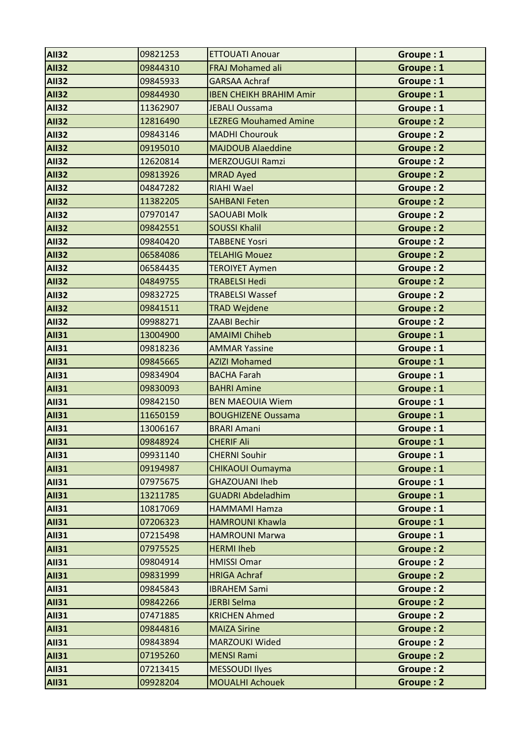| <b>AII32</b> | 09821253 | <b>ETTOUATI Anouar</b>         | Groupe: 1        |
|--------------|----------|--------------------------------|------------------|
| <b>AII32</b> | 09844310 | <b>FRAJ Mohamed ali</b>        | Groupe: 1        |
| <b>AII32</b> | 09845933 | <b>GARSAA Achraf</b>           | Groupe: 1        |
| <b>AII32</b> | 09844930 | <b>IBEN CHEIKH BRAHIM Amir</b> | Groupe: 1        |
| <b>AII32</b> | 11362907 | <b>JEBALI Oussama</b>          | Groupe: 1        |
| <b>AII32</b> | 12816490 | <b>LEZREG Mouhamed Amine</b>   | Groupe: 2        |
| <b>AII32</b> | 09843146 | <b>MADHI Chourouk</b>          | Groupe: 2        |
| <b>AII32</b> | 09195010 | <b>MAJDOUB Alaeddine</b>       | <b>Groupe: 2</b> |
| <b>AII32</b> | 12620814 | <b>MERZOUGUI Ramzi</b>         | Groupe: 2        |
| <b>AII32</b> | 09813926 | <b>MRAD Ayed</b>               | <b>Groupe: 2</b> |
| <b>AII32</b> | 04847282 | <b>RIAHI Wael</b>              | <b>Groupe: 2</b> |
| <b>AII32</b> | 11382205 | <b>SAHBANI Feten</b>           | Groupe: 2        |
| <b>AII32</b> | 07970147 | <b>SAOUABI Molk</b>            | Groupe: 2        |
| <b>AII32</b> | 09842551 | <b>SOUSSI Khalil</b>           | <b>Groupe: 2</b> |
| <b>AII32</b> | 09840420 | <b>TABBENE Yosri</b>           | Groupe: 2        |
| <b>AII32</b> | 06584086 | <b>TELAHIG Mouez</b>           | <b>Groupe: 2</b> |
| <b>AII32</b> | 06584435 | <b>TEROIYET Aymen</b>          | <b>Groupe: 2</b> |
| <b>AII32</b> | 04849755 | <b>TRABELSI Hedi</b>           | <b>Groupe: 2</b> |
| <b>AII32</b> | 09832725 | <b>TRABELSI Wassef</b>         | <b>Groupe: 2</b> |
| <b>AII32</b> | 09841511 | <b>TRAD Wejdene</b>            | <b>Groupe: 2</b> |
| <b>AII32</b> | 09988271 | <b>ZAABI Bechir</b>            | <b>Groupe: 2</b> |
| <b>AII31</b> | 13004900 | <b>AMAIMI Chiheb</b>           | Groupe: 1        |
| <b>AII31</b> | 09818236 | <b>AMMAR Yassine</b>           | Groupe: 1        |
| <b>AII31</b> | 09845665 | <b>AZIZI Mohamed</b>           | Groupe: 1        |
| <b>AII31</b> | 09834904 | <b>BACHA Farah</b>             | Groupe: 1        |
| <b>AII31</b> | 09830093 | <b>BAHRI Amine</b>             | Groupe: 1        |
| <b>AII31</b> | 09842150 | <b>BEN MAEOUIA Wiem</b>        | Groupe: 1        |
| <b>AII31</b> | 11650159 | <b>BOUGHIZENE Oussama</b>      | Groupe: 1        |
| <b>AII31</b> | 13006167 | <b>BRARI Amani</b>             | Groupe: 1        |
| <b>AII31</b> | 09848924 | <b>CHERIF Ali</b>              | Groupe: 1        |
| <b>AII31</b> | 09931140 | <b>CHERNI Souhir</b>           | Groupe: 1        |
| <b>AII31</b> | 09194987 | <b>CHIKAOUI Oumayma</b>        | Groupe: 1        |
| <b>AII31</b> | 07975675 | <b>GHAZOUANI Iheb</b>          | Groupe: 1        |
| <b>AII31</b> | 13211785 | <b>GUADRI Abdeladhim</b>       | Groupe: 1        |
| <b>AII31</b> | 10817069 | <b>HAMMAMI Hamza</b>           | Groupe: 1        |
| <b>AII31</b> | 07206323 | <b>HAMROUNI Khawla</b>         | Groupe: 1        |
| <b>AII31</b> | 07215498 | <b>HAMROUNI Marwa</b>          | Groupe: 1        |
| <b>AII31</b> | 07975525 | <b>HERMI Iheb</b>              | Groupe: 2        |
| <b>AII31</b> | 09804914 | <b>HMISSI Omar</b>             | Groupe: 2        |
| <b>AII31</b> | 09831999 | <b>HRIGA Achraf</b>            | Groupe: 2        |
| <b>AII31</b> | 09845843 | <b>IBRAHEM Sami</b>            | Groupe: 2        |
| <b>AII31</b> | 09842266 | <b>JERBI Selma</b>             | Groupe: 2        |
| <b>AII31</b> | 07471885 | <b>KRICHEN Ahmed</b>           | Groupe: 2        |
| <b>AII31</b> | 09844816 | <b>MAIZA Sirine</b>            | <b>Groupe: 2</b> |
| <b>AII31</b> | 09843894 | <b>MARZOUKI Wided</b>          | Groupe: 2        |
| <b>AII31</b> | 07195260 | <b>MENSI Rami</b>              | Groupe: 2        |
| <b>AII31</b> | 07213415 | <b>MESSOUDI Ilyes</b>          | Groupe: 2        |
| <b>AII31</b> | 09928204 | <b>MOUALHI Achouek</b>         | Groupe: 2        |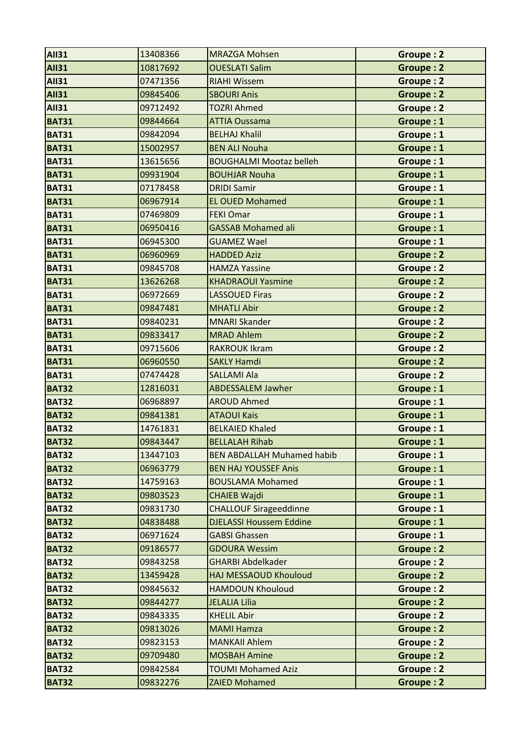| <b>AII31</b> | 13408366 | <b>MRAZGA Mohsen</b>              | Groupe: 2        |
|--------------|----------|-----------------------------------|------------------|
| <b>AII31</b> | 10817692 | <b>OUESLATI Salim</b>             | <b>Groupe: 2</b> |
| <b>AII31</b> | 07471356 | <b>RIAHI Wissem</b>               | <b>Groupe: 2</b> |
| <b>AII31</b> | 09845406 | <b>SBOURI Anis</b>                | <b>Groupe: 2</b> |
| <b>AII31</b> | 09712492 | <b>TOZRI Ahmed</b>                | Groupe: 2        |
| <b>BAT31</b> | 09844664 | <b>ATTIA Oussama</b>              | Groupe: 1        |
| <b>BAT31</b> | 09842094 | <b>BELHAJ Khalil</b>              | Groupe: 1        |
| <b>BAT31</b> | 15002957 | <b>BEN ALI Nouha</b>              | Groupe: 1        |
| <b>BAT31</b> | 13615656 | <b>BOUGHALMI Mootaz belleh</b>    | Groupe: 1        |
| <b>BAT31</b> | 09931904 | <b>BOUHJAR Nouha</b>              | Groupe: 1        |
| <b>BAT31</b> | 07178458 | <b>DRIDI Samir</b>                | Groupe: 1        |
| <b>BAT31</b> | 06967914 | <b>EL OUED Mohamed</b>            | Groupe: 1        |
| <b>BAT31</b> | 07469809 | <b>FEKI Omar</b>                  | Groupe: 1        |
| <b>BAT31</b> | 06950416 | <b>GASSAB Mohamed ali</b>         | Groupe: 1        |
| <b>BAT31</b> | 06945300 | <b>GUAMEZ Wael</b>                | Groupe: 1        |
| <b>BAT31</b> | 06960969 | <b>HADDED Aziz</b>                | <b>Groupe: 2</b> |
| <b>BAT31</b> | 09845708 | <b>HAMZA Yassine</b>              | Groupe: 2        |
| <b>BAT31</b> | 13626268 | <b>KHADRAOUI Yasmine</b>          | <b>Groupe: 2</b> |
| <b>BAT31</b> | 06972669 | <b>LASSOUED Firas</b>             | Groupe: 2        |
| <b>BAT31</b> | 09847481 | <b>MHATLI Abir</b>                | <b>Groupe: 2</b> |
| <b>BAT31</b> | 09840231 | <b>MNARI Skander</b>              | Groupe: 2        |
| <b>BAT31</b> | 09833417 | <b>MRAD Ahlem</b>                 | <b>Groupe: 2</b> |
| <b>BAT31</b> | 09715606 | <b>RAKROUK Ikram</b>              | <b>Groupe: 2</b> |
| <b>BAT31</b> | 06960550 | <b>SAKLY Hamdi</b>                | <b>Groupe: 2</b> |
| <b>BAT31</b> | 07474428 | <b>SALLAMI Ala</b>                | Groupe: 2        |
| <b>BAT32</b> | 12816031 | <b>ABDESSALEM Jawher</b>          | Groupe: 1        |
| <b>BAT32</b> | 06968897 | <b>AROUD Ahmed</b>                | Groupe: 1        |
| <b>BAT32</b> | 09841381 | <b>ATAOUI Kais</b>                | Groupe: 1        |
| <b>BAT32</b> | 14761831 | <b>BELKAIED Khaled</b>            | Groupe: 1        |
| <b>BAT32</b> | 09843447 | <b>BELLALAH Rihab</b>             | Groupe: 1        |
| <b>BAT32</b> | 13447103 | <b>BEN ABDALLAH Muhamed habib</b> | Groupe: 1        |
| <b>BAT32</b> | 06963779 | <b>BEN HAJ YOUSSEF Anis</b>       | Groupe: 1        |
| <b>BAT32</b> | 14759163 | <b>BOUSLAMA Mohamed</b>           | Groupe: 1        |
| <b>BAT32</b> | 09803523 | <b>CHAIEB Wajdi</b>               | Groupe: 1        |
| <b>BAT32</b> | 09831730 | <b>CHALLOUF Sirageeddinne</b>     | Groupe: 1        |
| <b>BAT32</b> | 04838488 | <b>DJELASSI Houssem Eddine</b>    | Groupe: 1        |
| <b>BAT32</b> | 06971624 | <b>GABSI Ghassen</b>              | Groupe: 1        |
| <b>BAT32</b> | 09186577 | <b>GDOURA Wessim</b>              | <b>Groupe: 2</b> |
| <b>BAT32</b> | 09843258 | <b>GHARBI Abdelkader</b>          | Groupe: 2        |
| <b>BAT32</b> | 13459428 | HAJ MESSAOUD Khouloud             | Groupe: 2        |
| <b>BAT32</b> | 09845632 | <b>HAMDOUN Khouloud</b>           | Groupe: 2        |
| <b>BAT32</b> | 09844277 | <b>JELALIA Lilia</b>              | Groupe: 2        |
| <b>BAT32</b> | 09843335 | <b>KHELIL Abir</b>                | Groupe: 2        |
| <b>BAT32</b> | 09813026 | <b>MAMI Hamza</b>                 | Groupe: 2        |
| <b>BAT32</b> | 09823153 | <b>MANKAII Ahlem</b>              | Groupe: 2        |
| <b>BAT32</b> | 09709480 | <b>MOSBAH Amine</b>               | Groupe: 2        |
| <b>BAT32</b> | 09842584 | <b>TOUMI Mohamed Aziz</b>         | Groupe: 2        |
| <b>BAT32</b> | 09832276 | <b>ZAIED Mohamed</b>              | Groupe: 2        |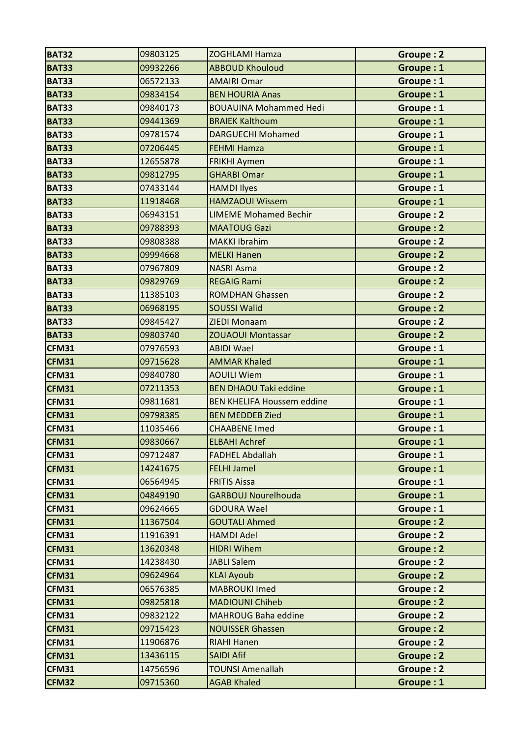| <b>BAT32</b> | 09803125 | <b>ZOGHLAMI Hamza</b>             | Groupe: 2        |
|--------------|----------|-----------------------------------|------------------|
| <b>BAT33</b> | 09932266 | <b>ABBOUD Khouloud</b>            | Groupe: 1        |
| <b>BAT33</b> | 06572133 | <b>AMAIRI Omar</b>                | Groupe: 1        |
| <b>BAT33</b> | 09834154 | <b>BEN HOURIA Anas</b>            | Groupe: 1        |
| <b>BAT33</b> | 09840173 | <b>BOUAUINA Mohammed Hedi</b>     | Groupe: 1        |
| <b>BAT33</b> | 09441369 | <b>BRAIEK Kalthoum</b>            | Groupe: 1        |
| <b>BAT33</b> | 09781574 | <b>DARGUECHI Mohamed</b>          | Groupe: 1        |
| <b>BAT33</b> | 07206445 | <b>FEHMI Hamza</b>                | Groupe: 1        |
| <b>BAT33</b> | 12655878 | <b>FRIKHI Aymen</b>               | Groupe: 1        |
| <b>BAT33</b> | 09812795 | <b>GHARBI Omar</b>                | <b>Groupe: 1</b> |
| <b>BAT33</b> | 07433144 | <b>HAMDI Ilyes</b>                | Groupe: 1        |
| <b>BAT33</b> | 11918468 | <b>HAMZAOUI Wissem</b>            | Groupe: 1        |
| <b>BAT33</b> | 06943151 | <b>LIMEME Mohamed Bechir</b>      | Groupe: 2        |
| <b>BAT33</b> | 09788393 | <b>MAATOUG Gazi</b>               | <b>Groupe: 2</b> |
| <b>BAT33</b> | 09808388 | <b>MAKKI Ibrahim</b>              | Groupe: 2        |
| <b>BAT33</b> | 09994668 | <b>MELKI Hanen</b>                | <b>Groupe: 2</b> |
| <b>BAT33</b> | 07967809 | <b>NASRI Asma</b>                 | <b>Groupe: 2</b> |
| <b>BAT33</b> | 09829769 | <b>REGAIG Rami</b>                | <b>Groupe: 2</b> |
| <b>BAT33</b> | 11385103 | <b>ROMDHAN Ghassen</b>            | <b>Groupe: 2</b> |
| <b>BAT33</b> | 06968195 | <b>SOUSSI Walid</b>               | <b>Groupe: 2</b> |
| <b>BAT33</b> | 09845427 | <b>ZIEDI Monaam</b>               | <b>Groupe: 2</b> |
| <b>BAT33</b> | 09803740 | <b>ZOUAOUI Montassar</b>          | <b>Groupe: 2</b> |
| <b>CFM31</b> | 07976593 | <b>ABIDI Wael</b>                 | Groupe: 1        |
| CFM31        | 09715628 | <b>AMMAR Khaled</b>               | Groupe: 1        |
| CFM31        | 09840780 | <b>AOUILI Wiem</b>                | Groupe: 1        |
| CFM31        | 07211353 | <b>BEN DHAOU Taki eddine</b>      | Groupe: 1        |
| CFM31        | 09811681 | <b>BEN KHELIFA Houssem eddine</b> | Groupe: 1        |
| <b>CFM31</b> | 09798385 | <b>BEN MEDDEB Zied</b>            | Groupe: 1        |
| CFM31        | 11035466 | <b>CHAABENE Imed</b>              | Groupe: 1        |
| <b>CFM31</b> | 09830667 | <b>ELBAHI Achref</b>              | Groupe: 1        |
| CFM31        | 09712487 | <b>FADHEL Abdallah</b>            | Groupe: 1        |
| CFM31        | 14241675 | <b>FELHI Jamel</b>                | Groupe: 1        |
| CFM31        | 06564945 | <b>FRITIS Aissa</b>               | Groupe: 1        |
| <b>CFM31</b> | 04849190 | <b>GARBOUJ Nourelhouda</b>        | Groupe: 1        |
| CFM31        | 09624665 | <b>GDOURA Wael</b>                | Groupe: 1        |
| CFM31        | 11367504 | <b>GOUTALI Ahmed</b>              | Groupe: 2        |
| CFM31        | 11916391 | <b>HAMDI Adel</b>                 | Groupe: 2        |
| CFM31        | 13620348 | <b>HIDRI Wihem</b>                | Groupe: 2        |
| CFM31        | 14238430 | <b>JABLI Salem</b>                | <b>Groupe: 2</b> |
| CFM31        | 09624964 | <b>KLAI Ayoub</b>                 | <b>Groupe: 2</b> |
| <b>CFM31</b> | 06576385 | <b>MABROUKI Imed</b>              | <b>Groupe: 2</b> |
| CFM31        | 09825818 | <b>MADIOUNI Chiheb</b>            | <b>Groupe: 2</b> |
| <b>CFM31</b> | 09832122 | <b>MAHROUG Baha eddine</b>        | Groupe: 2        |
| CFM31        | 09715423 | <b>NOUISSER Ghassen</b>           | Groupe: 2        |
| <b>CFM31</b> | 11906876 | <b>RIAHI Hanen</b>                | Groupe: 2        |
| CFM31        | 13436115 | <b>SAIDI Afif</b>                 | Groupe: 2        |
| <b>CFM31</b> | 14756596 | <b>TOUNSI Amenallah</b>           | Groupe: 2        |
| <b>CFM32</b> | 09715360 | <b>AGAB Khaled</b>                | Groupe: 1        |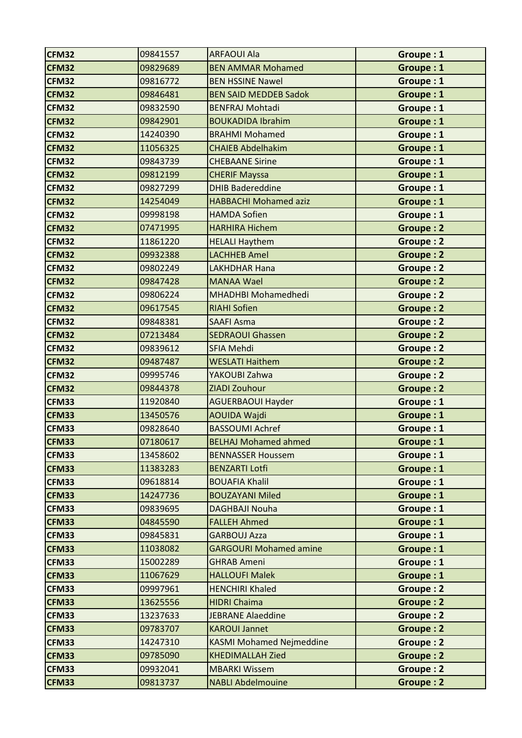| <b>CFM32</b> | 09841557 | <b>ARFAOUI Ala</b>              | Groupe: 1        |
|--------------|----------|---------------------------------|------------------|
| <b>CFM32</b> | 09829689 | <b>BEN AMMAR Mohamed</b>        | Groupe: 1        |
| <b>CFM32</b> | 09816772 | <b>BEN HSSINE Nawel</b>         | Groupe: 1        |
| <b>CFM32</b> | 09846481 | <b>BEN SAID MEDDEB Sadok</b>    | Groupe: 1        |
| <b>CFM32</b> | 09832590 | <b>BENFRAJ Mohtadi</b>          | Groupe: 1        |
| <b>CFM32</b> | 09842901 | <b>BOUKADIDA Ibrahim</b>        | Groupe: 1        |
| <b>CFM32</b> | 14240390 | <b>BRAHMI Mohamed</b>           | Groupe: 1        |
| <b>CFM32</b> | 11056325 | <b>CHAIEB Abdelhakim</b>        | Groupe: 1        |
| <b>CFM32</b> | 09843739 | <b>CHEBAANE Sirine</b>          | Groupe: 1        |
| <b>CFM32</b> | 09812199 | <b>CHERIF Mayssa</b>            | Groupe: 1        |
| <b>CFM32</b> | 09827299 | <b>DHIB Badereddine</b>         | Groupe: 1        |
| <b>CFM32</b> | 14254049 | <b>HABBACHI Mohamed aziz</b>    | Groupe: 1        |
| <b>CFM32</b> | 09998198 | <b>HAMDA Sofien</b>             | Groupe: 1        |
| <b>CFM32</b> | 07471995 | <b>HARHIRA Hichem</b>           | <b>Groupe: 2</b> |
| <b>CFM32</b> | 11861220 | <b>HELALI Haythem</b>           | Groupe: 2        |
| <b>CFM32</b> | 09932388 | <b>LACHHEB Amel</b>             | <b>Groupe: 2</b> |
| <b>CFM32</b> | 09802249 | <b>LAKHDHAR Hana</b>            | Groupe: 2        |
| <b>CFM32</b> | 09847428 | <b>MANAA Wael</b>               | <b>Groupe: 2</b> |
| <b>CFM32</b> | 09806224 | <b>MHADHBI Mohamedhedi</b>      | Groupe: 2        |
| <b>CFM32</b> | 09617545 | <b>RIAHI Sofien</b>             | <b>Groupe: 2</b> |
| <b>CFM32</b> | 09848381 | <b>SAAFI Asma</b>               | Groupe: 2        |
| <b>CFM32</b> | 07213484 | <b>SEDRAOUI Ghassen</b>         | Groupe: 2        |
| <b>CFM32</b> | 09839612 | SFIA Mehdi                      | Groupe: 2        |
| <b>CFM32</b> | 09487487 | <b>WESLATI Haithem</b>          | Groupe: 2        |
| <b>CFM32</b> | 09995746 | YAKOUBI Zahwa                   | <b>Groupe: 2</b> |
| <b>CFM32</b> | 09844378 | ZIADI Zouhour                   | <b>Groupe: 2</b> |
| <b>CFM33</b> | 11920840 | <b>AGUERBAOUI Hayder</b>        | Groupe: 1        |
| <b>CFM33</b> | 13450576 | <b>AOUIDA Wajdi</b>             | Groupe: 1        |
| <b>CFM33</b> | 09828640 | <b>BASSOUMI Achref</b>          | Groupe: 1        |
| <b>CFM33</b> | 07180617 | <b>BELHAJ Mohamed ahmed</b>     | Groupe: 1        |
| <b>CFM33</b> | 13458602 | <b>BENNASSER Houssem</b>        | Groupe: 1        |
| <b>CFM33</b> | 11383283 | <b>BENZARTI Lotfi</b>           | Groupe: 1        |
| <b>CFM33</b> | 09618814 | <b>BOUAFIA Khalil</b>           | Groupe: 1        |
| <b>CFM33</b> | 14247736 | <b>BOUZAYANI Miled</b>          | Groupe: 1        |
| <b>CFM33</b> | 09839695 | <b>DAGHBAJI Nouha</b>           | Groupe: 1        |
| <b>CFM33</b> | 04845590 | <b>FALLEH Ahmed</b>             | Groupe: 1        |
| <b>CFM33</b> | 09845831 | <b>GARBOUJ Azza</b>             | Groupe: 1        |
| <b>CFM33</b> | 11038082 | <b>GARGOURI Mohamed amine</b>   | Groupe: 1        |
| <b>CFM33</b> | 15002289 | <b>GHRAB Ameni</b>              | Groupe: 1        |
| <b>CFM33</b> | 11067629 | <b>HALLOUFI Malek</b>           | Groupe: 1        |
| <b>CFM33</b> | 09997961 | <b>HENCHIRI Khaled</b>          | Groupe: 2        |
| <b>CFM33</b> | 13625556 | <b>HIDRI Chaima</b>             | Groupe: 2        |
| <b>CFM33</b> | 13237633 | <b>JEBRANE Alaeddine</b>        | Groupe: 2        |
| <b>CFM33</b> | 09783707 | <b>KAROUI Jannet</b>            | Groupe: 2        |
| <b>CFM33</b> | 14247310 | <b>KASMI Mohamed Nejmeddine</b> | Groupe: 2        |
| <b>CFM33</b> | 09785090 | <b>KHEDIMALLAH Zied</b>         | Groupe: 2        |
| <b>CFM33</b> | 09932041 | <b>MBARKI Wissem</b>            | Groupe: 2        |
| <b>CFM33</b> | 09813737 | <b>NABLI Abdelmouine</b>        | Groupe: 2        |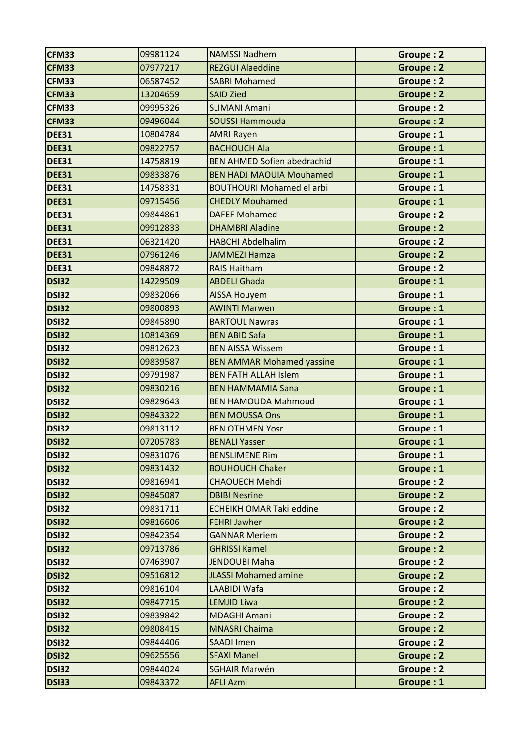| <b>CFM33</b> | 09981124 | <b>NAMSSI Nadhem</b>               | Groupe: 2        |
|--------------|----------|------------------------------------|------------------|
| <b>CFM33</b> | 07977217 | <b>REZGUI Alaeddine</b>            | Groupe: 2        |
| <b>CFM33</b> | 06587452 | <b>SABRI Mohamed</b>               | Groupe: 2        |
| <b>CFM33</b> | 13204659 | <b>SAID Zied</b>                   | <b>Groupe: 2</b> |
| <b>CFM33</b> | 09995326 | <b>SLIMANI Amani</b>               | Groupe: 2        |
| <b>CFM33</b> | 09496044 | <b>SOUSSI Hammouda</b>             | Groupe: 2        |
| <b>DEE31</b> | 10804784 | <b>AMRI Rayen</b>                  | Groupe: 1        |
| <b>DEE31</b> | 09822757 | <b>BACHOUCH Ala</b>                | Groupe: 1        |
| <b>DEE31</b> | 14758819 | <b>BEN AHMED Sofien abedrachid</b> | Groupe: 1        |
| <b>DEE31</b> | 09833876 | <b>BEN HADJ MAOUIA Mouhamed</b>    | Groupe: 1        |
| <b>DEE31</b> | 14758331 | <b>BOUTHOURI Mohamed el arbi</b>   | Groupe: 1        |
| <b>DEE31</b> | 09715456 | <b>CHEDLY Mouhamed</b>             | Groupe: 1        |
| <b>DEE31</b> | 09844861 | <b>DAFEF Mohamed</b>               | Groupe: 2        |
| <b>DEE31</b> | 09912833 | <b>DHAMBRI Aladine</b>             | Groupe: 2        |
| <b>DEE31</b> | 06321420 | <b>HABCHI Abdelhalim</b>           | Groupe: 2        |
| <b>DEE31</b> | 07961246 | <b>JAMMEZI Hamza</b>               | <b>Groupe: 2</b> |
| <b>DEE31</b> | 09848872 | <b>RAIS Haitham</b>                | Groupe: 2        |
| <b>DSI32</b> | 14229509 | <b>ABDELI Ghada</b>                | Groupe: 1        |
| <b>DSI32</b> | 09832066 | <b>AISSA Houyem</b>                | Groupe: 1        |
| <b>DSI32</b> | 09800893 | <b>AWINTI Marwen</b>               | Groupe: 1        |
| <b>DSI32</b> | 09845890 | <b>BARTOUL Nawras</b>              | Groupe: 1        |
| <b>DSI32</b> | 10814369 | <b>BEN ABID Safa</b>               | Groupe: 1        |
| <b>DSI32</b> | 09812623 | <b>BEN AISSA Wissem</b>            | Groupe: 1        |
| <b>DSI32</b> | 09839587 | <b>BEN AMMAR Mohamed yassine</b>   | Groupe: 1        |
| <b>DSI32</b> | 09791987 | <b>BEN FATH ALLAH Islem</b>        | Groupe: 1        |
| <b>DSI32</b> | 09830216 | <b>BEN HAMMAMIA Sana</b>           | Groupe: 1        |
| <b>DSI32</b> | 09829643 | <b>BEN HAMOUDA Mahmoud</b>         | Groupe: 1        |
| <b>DSI32</b> | 09843322 | <b>BEN MOUSSA Ons</b>              | Groupe: 1        |
| <b>DSI32</b> | 09813112 | <b>BEN OTHMEN Yosr</b>             | Groupe: 1        |
| <b>DSI32</b> | 07205783 | <b>BENALI Yasser</b>               | Groupe: 1        |
| <b>DSI32</b> | 09831076 | <b>BENSLIMENE Rim</b>              | Groupe: 1        |
| <b>DSI32</b> | 09831432 | <b>BOUHOUCH Chaker</b>             | Groupe: 1        |
| <b>DSI32</b> | 09816941 | <b>CHAOUECH Mehdi</b>              | Groupe: 2        |
| <b>DSI32</b> | 09845087 | <b>DBIBI Nesrine</b>               | <b>Groupe: 2</b> |
| <b>DSI32</b> | 09831711 | <b>ECHEIKH OMAR Taki eddine</b>    | Groupe: 2        |
| <b>DSI32</b> | 09816606 | <b>FEHRI Jawher</b>                | Groupe: 2        |
| <b>DSI32</b> | 09842354 | <b>GANNAR Meriem</b>               | Groupe: 2        |
| <b>DSI32</b> | 09713786 | <b>GHRISSI Kamel</b>               | Groupe: 2        |
| <b>DSI32</b> | 07463907 | <b>JENDOUBI Maha</b>               | Groupe: 2        |
| <b>DSI32</b> | 09516812 | <b>JLASSI Mohamed amine</b>        | Groupe: 2        |
| <b>DSI32</b> | 09816104 | LAABIDI Wafa                       | Groupe: 2        |
| <b>DSI32</b> | 09847715 | <b>LEMJID Liwa</b>                 | Groupe: 2        |
| <b>DSI32</b> | 09839842 | <b>MDAGHI Amani</b>                | Groupe: 2        |
| <b>DSI32</b> | 09808415 | <b>MNASRI Chaima</b>               | Groupe: 2        |
| <b>DSI32</b> | 09844406 | <b>SAADI Imen</b>                  | Groupe: 2        |
| <b>DSI32</b> | 09625556 | <b>SFAXI Manel</b>                 | Groupe: 2        |
| <b>DSI32</b> | 09844024 | <b>SGHAIR Marwén</b>               | Groupe: 2        |
| <b>DSI33</b> | 09843372 | <b>AFLI Azmi</b>                   | Groupe: 1        |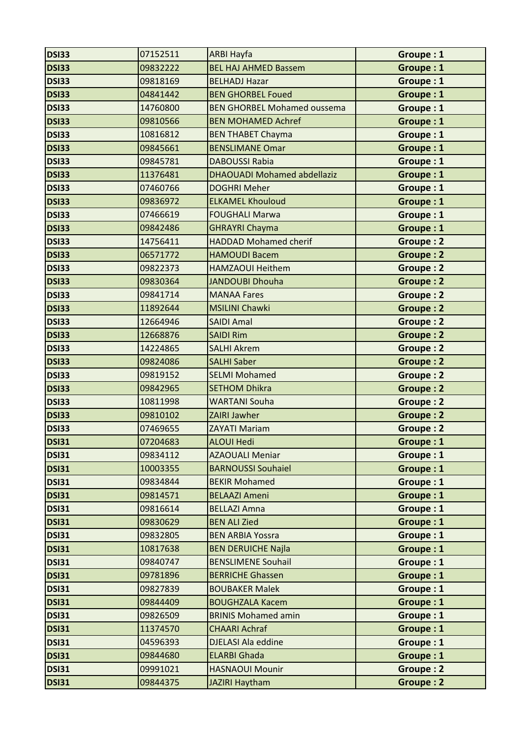| <b>DSI33</b> | 07152511 | <b>ARBI Hayfa</b>                  | Groupe: 1        |
|--------------|----------|------------------------------------|------------------|
| <b>DSI33</b> | 09832222 | <b>BEL HAJ AHMED Bassem</b>        | Groupe: 1        |
| <b>DSI33</b> | 09818169 | <b>BELHADJ Hazar</b>               | Groupe: 1        |
| <b>DSI33</b> | 04841442 | <b>BEN GHORBEL Foued</b>           | Groupe: 1        |
| <b>DSI33</b> | 14760800 | <b>BEN GHORBEL Mohamed oussema</b> | Groupe: 1        |
| <b>DSI33</b> | 09810566 | <b>BEN MOHAMED Achref</b>          | Groupe: 1        |
| <b>DSI33</b> | 10816812 | <b>BEN THABET Chayma</b>           | Groupe: 1        |
| <b>DSI33</b> | 09845661 | <b>BENSLIMANE Omar</b>             | Groupe: 1        |
| <b>DSI33</b> | 09845781 | <b>DABOUSSI Rabia</b>              | Groupe: 1        |
| <b>DSI33</b> | 11376481 | <b>DHAOUADI Mohamed abdellaziz</b> | Groupe: 1        |
| <b>DSI33</b> | 07460766 | <b>DOGHRI Meher</b>                | Groupe: 1        |
| <b>DSI33</b> | 09836972 | <b>ELKAMEL Khouloud</b>            | Groupe: 1        |
| <b>DSI33</b> | 07466619 | <b>FOUGHALI Marwa</b>              | Groupe: 1        |
| <b>DSI33</b> | 09842486 | <b>GHRAYRI Chayma</b>              | Groupe: 1        |
| <b>DSI33</b> | 14756411 | <b>HADDAD Mohamed cherif</b>       | Groupe: 2        |
| <b>DSI33</b> | 06571772 | <b>HAMOUDI Bacem</b>               | <b>Groupe: 2</b> |
| <b>DSI33</b> | 09822373 | <b>HAMZAOUI Heithem</b>            | <b>Groupe: 2</b> |
| <b>DSI33</b> | 09830364 | JANDOUBI Dhouha                    | <b>Groupe: 2</b> |
| <b>DSI33</b> | 09841714 | <b>MANAA Fares</b>                 | Groupe: 2        |
| <b>DSI33</b> | 11892644 | <b>MSILINI Chawki</b>              | <b>Groupe: 2</b> |
| <b>DSI33</b> | 12664946 | <b>SAIDI Amal</b>                  | <b>Groupe: 2</b> |
| DSI33        | 12668876 | <b>SAIDI Rim</b>                   | <b>Groupe: 2</b> |
| <b>DSI33</b> | 14224865 | <b>SALHI Akrem</b>                 | <b>Groupe: 2</b> |
| <b>DSI33</b> | 09824086 | <b>SALHI Saber</b>                 | <b>Groupe: 2</b> |
| <b>DSI33</b> | 09819152 | <b>SELMI Mohamed</b>               | Groupe: 2        |
| <b>DSI33</b> | 09842965 | <b>SETHOM Dhikra</b>               | <b>Groupe: 2</b> |
| <b>DSI33</b> | 10811998 | <b>WARTANI Souha</b>               | Groupe: 2        |
| <b>DSI33</b> | 09810102 | <b>ZAIRI Jawher</b>                | Groupe: 2        |
| <b>DSI33</b> | 07469655 | <b>ZAYATI Mariam</b>               | Groupe: 2        |
| <b>DSI31</b> | 07204683 | <b>ALOUI Hedi</b>                  | Groupe: 1        |
| <b>DSI31</b> | 09834112 | <b>AZAOUALI Meniar</b>             | Groupe: 1        |
| <b>DSI31</b> | 10003355 | <b>BARNOUSSI Souhaiel</b>          | Groupe: 1        |
| <b>DSI31</b> | 09834844 | <b>BEKIR Mohamed</b>               | Groupe: 1        |
| <b>DSI31</b> | 09814571 | <b>BELAAZI Ameni</b>               | Groupe: 1        |
| <b>DSI31</b> | 09816614 | <b>BELLAZI Amna</b>                | Groupe: 1        |
| <b>DSI31</b> | 09830629 | <b>BEN ALI Zied</b>                | Groupe: 1        |
| <b>DSI31</b> | 09832805 | <b>BEN ARBIA Yossra</b>            | Groupe: 1        |
| <b>DSI31</b> | 10817638 | <b>BEN DERUICHE Najla</b>          | Groupe: 1        |
| <b>DSI31</b> | 09840747 | <b>BENSLIMENE Souhail</b>          | Groupe: 1        |
| <b>DSI31</b> | 09781896 | <b>BERRICHE Ghassen</b>            | Groupe: 1        |
| <b>DSI31</b> | 09827839 | <b>BOUBAKER Malek</b>              | Groupe: 1        |
| <b>DSI31</b> | 09844409 | <b>BOUGHZALA Kacem</b>             | Groupe: 1        |
| <b>DSI31</b> | 09826509 | <b>BRINIS Mohamed amin</b>         | Groupe: 1        |
| <b>DSI31</b> | 11374570 | <b>CHAARI Achraf</b>               | Groupe: 1        |
| <b>DSI31</b> | 04596393 | <b>DJELASI Ala eddine</b>          | Groupe: 1        |
| <b>DSI31</b> | 09844680 | <b>ELARBI Ghada</b>                | Groupe: 1        |
| <b>DSI31</b> | 09991021 | <b>HASNAOUI Mounir</b>             | Groupe: 2        |
| <b>DSI31</b> | 09844375 | <b>JAZIRI Haytham</b>              | Groupe: 2        |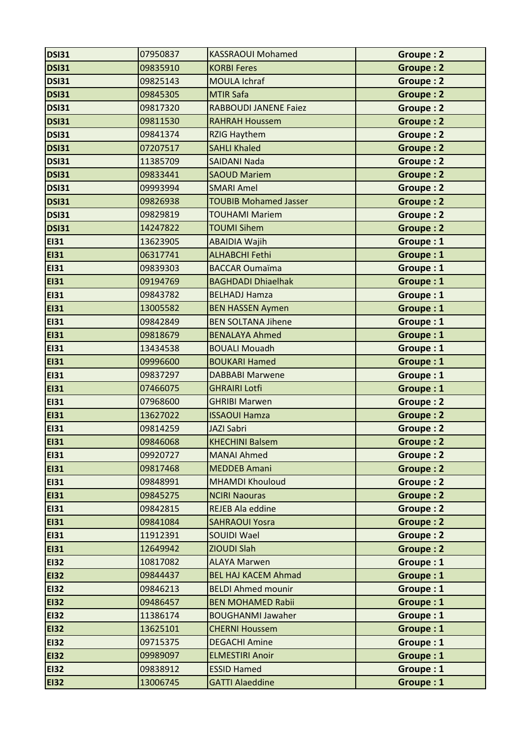| <b>DSI31</b> | 07950837 | <b>KASSRAOUI Mohamed</b>     | Groupe: 2        |
|--------------|----------|------------------------------|------------------|
| <b>DSI31</b> | 09835910 | <b>KORBI Feres</b>           | Groupe: 2        |
| <b>DSI31</b> | 09825143 | <b>MOULA Ichraf</b>          | Groupe: 2        |
| <b>DSI31</b> | 09845305 | <b>MTIR Safa</b>             | <b>Groupe: 2</b> |
| <b>DSI31</b> | 09817320 | <b>RABBOUDI JANENE Faiez</b> | <b>Groupe: 2</b> |
| <b>DSI31</b> | 09811530 | <b>RAHRAH Houssem</b>        | Groupe: 2        |
| <b>DSI31</b> | 09841374 | <b>RZIG Haythem</b>          | Groupe: 2        |
| <b>DSI31</b> | 07207517 | <b>SAHLI Khaled</b>          | Groupe: 2        |
| <b>DSI31</b> | 11385709 | <b>SAIDANI Nada</b>          | Groupe: 2        |
| <b>DSI31</b> | 09833441 | <b>SAOUD Mariem</b>          | <b>Groupe: 2</b> |
| <b>DSI31</b> | 09993994 | <b>SMARI Amel</b>            | <b>Groupe: 2</b> |
| <b>DSI31</b> | 09826938 | <b>TOUBIB Mohamed Jasser</b> | Groupe: 2        |
| <b>DSI31</b> | 09829819 | <b>TOUHAMI Mariem</b>        | Groupe: 2        |
| <b>DSI31</b> | 14247822 | <b>TOUMI Sihem</b>           | <b>Groupe: 2</b> |
| <b>EI31</b>  | 13623905 | <b>ABAIDIA Wajih</b>         | Groupe: 1        |
| <b>EI31</b>  | 06317741 | <b>ALHABCHI Fethi</b>        | Groupe: 1        |
| <b>EI31</b>  | 09839303 | <b>BACCAR Oumaïma</b>        | Groupe: 1        |
| <b>EI31</b>  | 09194769 | <b>BAGHDADI Dhiaelhak</b>    | Groupe: 1        |
| <b>EI31</b>  | 09843782 | <b>BELHADJ Hamza</b>         | Groupe: 1        |
| <b>EI31</b>  | 13005582 | <b>BEN HASSEN Aymen</b>      | Groupe: 1        |
| <b>EI31</b>  | 09842849 | <b>BEN SOLTANA Jihene</b>    | Groupe: 1        |
| <b>EI31</b>  | 09818679 | <b>BENALAYA Ahmed</b>        | Groupe: 1        |
| <b>EI31</b>  | 13434538 | <b>BOUALI Mouadh</b>         | Groupe: 1        |
| <b>EI31</b>  | 09996600 | <b>BOUKARI Hamed</b>         | Groupe: 1        |
| <b>EI31</b>  | 09837297 | <b>DABBABI Marwene</b>       | Groupe: 1        |
| <b>EI31</b>  | 07466075 | <b>GHRAIRI Lotfi</b>         | Groupe: 1        |
| <b>EI31</b>  | 07968600 | <b>GHRIBI Marwen</b>         | Groupe: 2        |
| <b>EI31</b>  | 13627022 | <b>ISSAOUI Hamza</b>         | <b>Groupe: 2</b> |
| <b>EI31</b>  | 09814259 | <b>JAZI Sabri</b>            | Groupe: 2        |
| <b>EI31</b>  | 09846068 | <b>KHECHINI Balsem</b>       | Groupe: 2        |
| <b>EI31</b>  | 09920727 | <b>MANAI Ahmed</b>           | Groupe: 2        |
| <b>EI31</b>  | 09817468 | <b>MEDDEB Amani</b>          | <b>Groupe: 2</b> |
| <b>EI31</b>  | 09848991 | <b>MHAMDI Khouloud</b>       | Groupe: 2        |
| <b>EI31</b>  | 09845275 | <b>NCIRI Naouras</b>         | Groupe: 2        |
| <b>EI31</b>  | 09842815 | <b>REJEB Ala eddine</b>      | Groupe: 2        |
| <b>EI31</b>  | 09841084 | <b>SAHRAOUI Yosra</b>        | Groupe: 2        |
| <b>EI31</b>  | 11912391 | <b>SOUIDI Wael</b>           | Groupe: 2        |
| <b>EI31</b>  | 12649942 | ZIOUDI Slah                  | Groupe: 2        |
| <b>EI32</b>  | 10817082 | <b>ALAYA Marwen</b>          | Groupe: 1        |
| <b>EI32</b>  | 09844437 | <b>BEL HAJ KACEM Ahmad</b>   | Groupe: 1        |
| <b>EI32</b>  | 09846213 | <b>BELDI Ahmed mounir</b>    | Groupe: 1        |
| <b>EI32</b>  | 09486457 | <b>BEN MOHAMED Rabii</b>     | Groupe: 1        |
| <b>EI32</b>  | 11386174 | <b>BOUGHANMI Jawaher</b>     | Groupe: 1        |
| <b>EI32</b>  | 13625101 | <b>CHERNI Houssem</b>        | Groupe: 1        |
| <b>EI32</b>  | 09715375 | <b>DEGACHI Amine</b>         | Groupe: 1        |
| <b>EI32</b>  | 09989097 | <b>ELMESTIRI Anoir</b>       | Groupe: 1        |
| <b>EI32</b>  | 09838912 | <b>ESSID Hamed</b>           | Groupe: 1        |
| <b>EI32</b>  | 13006745 | <b>GATTI Alaeddine</b>       | Groupe: 1        |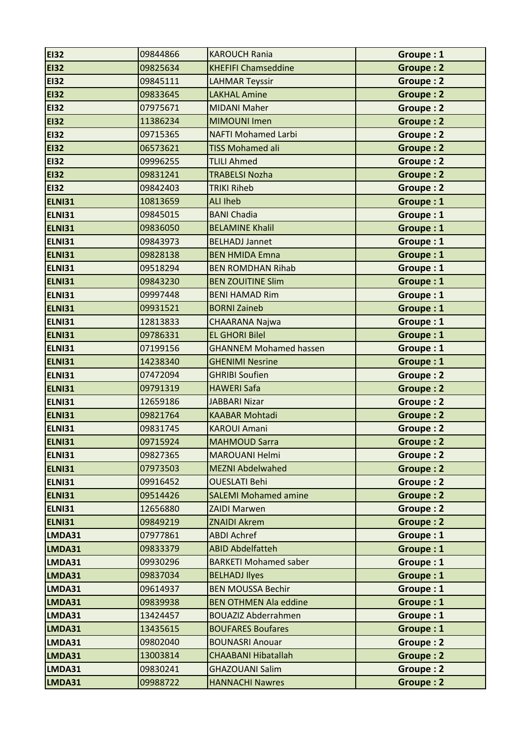| <b>EI32</b>   | 09844866 | <b>KAROUCH Rania</b>          | Groupe: 1        |
|---------------|----------|-------------------------------|------------------|
| <b>EI32</b>   | 09825634 | <b>KHEFIFI Chamseddine</b>    | Groupe: 2        |
| <b>EI32</b>   | 09845111 | <b>LAHMAR Teyssir</b>         | Groupe: 2        |
| <b>EI32</b>   | 09833645 | <b>LAKHAL Amine</b>           | Groupe: 2        |
| <b>EI32</b>   | 07975671 | <b>MIDANI Maher</b>           | <b>Groupe: 2</b> |
| <b>EI32</b>   | 11386234 | <b>MIMOUNI Imen</b>           | <b>Groupe: 2</b> |
| <b>EI32</b>   | 09715365 | <b>NAFTI Mohamed Larbi</b>    | Groupe: 2        |
| <b>EI32</b>   | 06573621 | <b>TISS Mohamed ali</b>       | Groupe: 2        |
| <b>EI32</b>   | 09996255 | <b>TLILI Ahmed</b>            | <b>Groupe: 2</b> |
| <b>EI32</b>   | 09831241 | <b>TRABELSI Nozha</b>         | <b>Groupe: 2</b> |
| <b>EI32</b>   | 09842403 | <b>TRIKI Riheb</b>            | Groupe: 2        |
| <b>ELNI31</b> | 10813659 | <b>ALI Iheb</b>               | Groupe: 1        |
| <b>ELNI31</b> | 09845015 | <b>BANI Chadia</b>            | Groupe: 1        |
| <b>ELNI31</b> | 09836050 | <b>BELAMINE Khalil</b>        | Groupe: 1        |
| <b>ELNI31</b> | 09843973 | <b>BELHADJ Jannet</b>         | Groupe: 1        |
| ELNI31        | 09828138 | <b>BEN HMIDA Emna</b>         | Groupe: 1        |
| <b>ELNI31</b> | 09518294 | <b>BEN ROMDHAN Rihab</b>      | Groupe: 1        |
| <b>ELNI31</b> | 09843230 | <b>BEN ZOUITINE Slim</b>      | Groupe: 1        |
| <b>ELNI31</b> | 09997448 | <b>BENI HAMAD Rim</b>         | Groupe: 1        |
| <b>ELNI31</b> | 09931521 | <b>BORNI Zaineb</b>           | Groupe: 1        |
| <b>ELNI31</b> | 12813833 | <b>CHAARANA Najwa</b>         | Groupe: 1        |
| <b>ELNI31</b> | 09786331 | <b>EL GHORI Bilel</b>         | Groupe: 1        |
| <b>ELNI31</b> | 07199156 | <b>GHANNEM Mohamed hassen</b> | Groupe: 1        |
| <b>ELNI31</b> | 14238340 | <b>GHENIMI Nesrine</b>        | Groupe: 1        |
| <b>ELNI31</b> | 07472094 | <b>GHRIBI Soufien</b>         | Groupe: 2        |
| ELNI31        | 09791319 | <b>HAWERI Safa</b>            | <b>Groupe: 2</b> |
| <b>ELNI31</b> | 12659186 | <b>JABBARI Nizar</b>          | Groupe: 2        |
| <b>ELNI31</b> | 09821764 | <b>KAABAR Mohtadi</b>         | <b>Groupe: 2</b> |
| <b>ELNI31</b> | 09831745 | <b>KAROUI Amani</b>           | Groupe: 2        |
| <b>ELNI31</b> | 09715924 | <b>MAHMOUD Sarra</b>          | Groupe: 2        |
| <b>ELNI31</b> | 09827365 | <b>MAROUANI Helmi</b>         | Groupe: 2        |
| <b>ELNI31</b> | 07973503 | <b>MEZNI Abdelwahed</b>       | Groupe: 2        |
| <b>ELNI31</b> | 09916452 | <b>OUESLATI Behi</b>          | Groupe: 2        |
| <b>ELNI31</b> | 09514426 | <b>SALEMI Mohamed amine</b>   | Groupe: 2        |
| <b>ELNI31</b> | 12656880 | <b>ZAIDI Marwen</b>           | Groupe: 2        |
| <b>ELNI31</b> | 09849219 | <b>ZNAIDI Akrem</b>           | Groupe: 2        |
| LMDA31        | 07977861 | <b>ABDI Achref</b>            | Groupe: 1        |
| LMDA31        | 09833379 | <b>ABID Abdelfatteh</b>       | Groupe: 1        |
| LMDA31        | 09930296 | <b>BARKETI Mohamed saber</b>  | Groupe: 1        |
| LMDA31        | 09837034 | <b>BELHADJ Ilyes</b>          | Groupe: 1        |
| LMDA31        | 09614937 | <b>BEN MOUSSA Bechir</b>      | Groupe: 1        |
| LMDA31        | 09839938 | <b>BEN OTHMEN Ala eddine</b>  | Groupe: 1        |
| LMDA31        | 13424457 | <b>BOUAZIZ Abderrahmen</b>    | Groupe: 1        |
| LMDA31        | 13435615 | <b>BOUFARES Boufares</b>      | Groupe: 1        |
| LMDA31        | 09802040 | <b>BOUNASRI Anouar</b>        | Groupe: 2        |
| LMDA31        | 13003814 | <b>CHAABANI Hibatallah</b>    | Groupe: 2        |
| LMDA31        | 09830241 | <b>GHAZOUANI Salim</b>        | Groupe: 2        |
|               | 09988722 |                               |                  |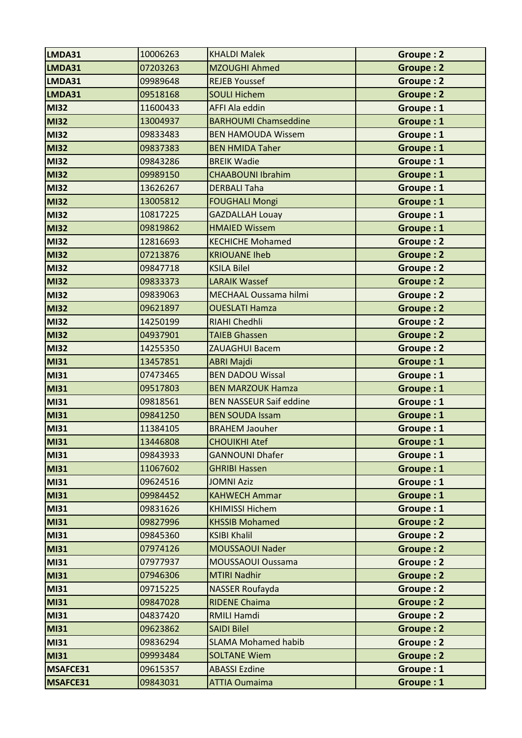| LMDA31      | 10006263 | <b>KHALDI Malek</b>            | Groupe: 2        |
|-------------|----------|--------------------------------|------------------|
| LMDA31      | 07203263 | MZOUGHI Ahmed                  | <b>Groupe: 2</b> |
| LMDA31      | 09989648 | <b>REJEB Youssef</b>           | Groupe: 2        |
| LMDA31      | 09518168 | <b>SOULI Hichem</b>            | Groupe: 2        |
| <b>MI32</b> | 11600433 | <b>AFFI Ala eddin</b>          | Groupe: 1        |
| <b>MI32</b> | 13004937 | <b>BARHOUMI Chamseddine</b>    | Groupe: 1        |
| <b>MI32</b> | 09833483 | <b>BEN HAMOUDA Wissem</b>      | Groupe: 1        |
| <b>MI32</b> | 09837383 | <b>BEN HMIDA Taher</b>         | Groupe: 1        |
| <b>MI32</b> | 09843286 | <b>BREIK Wadie</b>             | Groupe: 1        |
| <b>MI32</b> | 09989150 | <b>CHAABOUNI Ibrahim</b>       | Groupe: 1        |
| <b>MI32</b> | 13626267 | <b>DERBALI Taha</b>            | Groupe: 1        |
| <b>MI32</b> | 13005812 | <b>FOUGHALI Mongi</b>          | Groupe: 1        |
| <b>MI32</b> | 10817225 | <b>GAZDALLAH Louay</b>         | Groupe: 1        |
| <b>MI32</b> | 09819862 | <b>HMAIED Wissem</b>           | Groupe: 1        |
| <b>MI32</b> | 12816693 | <b>KECHICHE Mohamed</b>        | <b>Groupe: 2</b> |
| <b>MI32</b> | 07213876 | <b>KRIOUANE Iheb</b>           | <b>Groupe: 2</b> |
| <b>MI32</b> | 09847718 | <b>KSILA Bilel</b>             | <b>Groupe: 2</b> |
| <b>MI32</b> | 09833373 | <b>LARAIK Wassef</b>           | Groupe: 2        |
| <b>MI32</b> | 09839063 | MECHAAL Oussama hilmi          | <b>Groupe: 2</b> |
| <b>MI32</b> | 09621897 | <b>OUESLATI Hamza</b>          | <b>Groupe: 2</b> |
| <b>MI32</b> | 14250199 | <b>RIAHI Chedhli</b>           | <b>Groupe: 2</b> |
| <b>MI32</b> | 04937901 | <b>TAIEB Ghassen</b>           | Groupe: 2        |
| <b>MI32</b> | 14255350 | <b>ZAUAGHUI Bacem</b>          | <b>Groupe: 2</b> |
| <b>MI31</b> | 13457851 | <b>ABRI Majdi</b>              | Groupe: 1        |
| <b>MI31</b> | 07473465 | <b>BEN DADOU Wissal</b>        | Groupe: 1        |
| <b>MI31</b> | 09517803 | <b>BEN MARZOUK Hamza</b>       | Groupe: 1        |
| <b>MI31</b> | 09818561 | <b>BEN NASSEUR Saif eddine</b> | Groupe: 1        |
| <b>MI31</b> | 09841250 | <b>BEN SOUDA Issam</b>         | Groupe: 1        |
| <b>MI31</b> | 11384105 | <b>BRAHEM Jaouher</b>          | Groupe: 1        |
| MI31        | 13446808 | <b>CHOUIKHI Atef</b>           | Groupe: 1        |
| <b>MI31</b> | 09843933 | <b>GANNOUNI Dhafer</b>         | Groupe: 1        |
| <b>MI31</b> | 11067602 | <b>GHRIBI Hassen</b>           | Groupe: 1        |
| <b>MI31</b> | 09624516 | <b>JOMNI Aziz</b>              | Groupe: 1        |
| <b>MI31</b> | 09984452 | <b>KAHWECH Ammar</b>           | Groupe: 1        |
| <b>MI31</b> | 09831626 | <b>KHIMISSI Hichem</b>         | Groupe: 1        |
| <b>MI31</b> | 09827996 | <b>KHSSIB Mohamed</b>          | Groupe: 2        |
| <b>MI31</b> | 09845360 | <b>KSIBI Khalil</b>            | Groupe: 2        |
| <b>MI31</b> | 07974126 | MOUSSAOUI Nader                | Groupe: 2        |
| <b>MI31</b> | 07977937 | MOUSSAOUI Oussama              | Groupe: 2        |
| <b>MI31</b> | 07946306 | <b>MTIRI Nadhir</b>            | Groupe: 2        |
| <b>MI31</b> | 09715225 | NASSER Roufayda                | Groupe: 2        |
| <b>MI31</b> | 09847028 | <b>RIDENE Chaima</b>           | Groupe: 2        |
| <b>MI31</b> | 04837420 | <b>RMILI Hamdi</b>             | Groupe: 2        |
| <b>MI31</b> | 09623862 | <b>SAIDI Bilel</b>             | Groupe: 2        |
| <b>MI31</b> | 09836294 | <b>SLAMA Mohamed habib</b>     | Groupe: 2        |
| <b>MI31</b> | 09993484 | <b>SOLTANE Wiem</b>            | Groupe: 2        |
| MSAFCE31    | 09615357 | <b>ABASSI Ezdine</b>           | Groupe: 1        |
| MSAFCE31    | 09843031 | <b>ATTIA Oumaima</b>           | Groupe: 1        |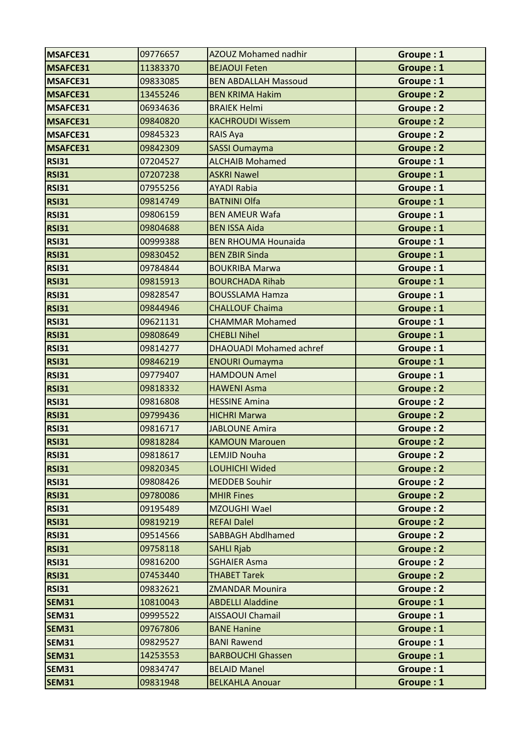| MSAFCE31     | 09776657 | AZOUZ Mohamed nadhir           | Groupe: 1        |
|--------------|----------|--------------------------------|------------------|
| MSAFCE31     | 11383370 | <b>BEJAOUI Feten</b>           | Groupe: 1        |
| MSAFCE31     | 09833085 | <b>BEN ABDALLAH Massoud</b>    | Groupe: 1        |
| MSAFCE31     | 13455246 | <b>BEN KRIMA Hakim</b>         | Groupe: 2        |
| MSAFCE31     | 06934636 | <b>BRAIEK Helmi</b>            | <b>Groupe: 2</b> |
| MSAFCE31     | 09840820 | <b>KACHROUDI Wissem</b>        | <b>Groupe: 2</b> |
| MSAFCE31     | 09845323 | RAIS Aya                       | Groupe: 2        |
| MSAFCE31     | 09842309 | <b>SASSI Oumayma</b>           | <b>Groupe: 2</b> |
| <b>RSI31</b> | 07204527 | <b>ALCHAIB Mohamed</b>         | Groupe: 1        |
| <b>RSI31</b> | 07207238 | <b>ASKRI Nawel</b>             | Groupe: 1        |
| <b>RSI31</b> | 07955256 | <b>AYADI Rabia</b>             | Groupe: 1        |
| <b>RSI31</b> | 09814749 | <b>BATNINI Olfa</b>            | Groupe: 1        |
| <b>RSI31</b> | 09806159 | <b>BEN AMEUR Wafa</b>          | Groupe: 1        |
| <b>RSI31</b> | 09804688 | <b>BEN ISSA Aida</b>           | Groupe: 1        |
| <b>RSI31</b> | 00999388 | <b>BEN RHOUMA Hounaida</b>     | Groupe: 1        |
| <b>RSI31</b> | 09830452 | <b>BEN ZBIR Sinda</b>          | Groupe: 1        |
| <b>RSI31</b> | 09784844 | <b>BOUKRIBA Marwa</b>          | Groupe: 1        |
| <b>RSI31</b> | 09815913 | <b>BOURCHADA Rihab</b>         | Groupe: 1        |
| <b>RSI31</b> | 09828547 | <b>BOUSSLAMA Hamza</b>         | Groupe: 1        |
| <b>RSI31</b> | 09844946 | <b>CHALLOUF Chaima</b>         | Groupe: 1        |
| <b>RSI31</b> | 09621131 | <b>CHAMMAR Mohamed</b>         | Groupe: 1        |
| <b>RSI31</b> | 09808649 | <b>CHEBLI Nihel</b>            | Groupe: 1        |
| <b>RSI31</b> | 09814277 | <b>DHAOUADI Mohamed achref</b> | Groupe: 1        |
| <b>RSI31</b> | 09846219 | <b>ENOURI Oumayma</b>          | Groupe: 1        |
| <b>RSI31</b> | 09779407 | <b>HAMDOUN Amel</b>            | Groupe: 1        |
| <b>RSI31</b> | 09818332 | <b>HAWENI Asma</b>             | <b>Groupe: 2</b> |
| <b>RSI31</b> | 09816808 | <b>HESSINE Amina</b>           | Groupe: 2        |
| <b>RSI31</b> | 09799436 | <b>HICHRI Marwa</b>            | <b>Groupe: 2</b> |
| <b>RSI31</b> | 09816717 | <b>JABLOUNE Amira</b>          | Groupe: 2        |
| RSI31        | 09818284 | <b>KAMOUN Marouen</b>          | <b>Groupe: 2</b> |
| <b>RSI31</b> | 09818617 | <b>LEMJID Nouha</b>            | Groupe: 2        |
| <b>RSI31</b> | 09820345 | LOUHICHI Wided                 | Groupe: 2        |
| <b>RSI31</b> | 09808426 | <b>MEDDEB Souhir</b>           | Groupe: 2        |
| <b>RSI31</b> | 09780086 | <b>MHIR Fines</b>              | Groupe: 2        |
| <b>RSI31</b> | 09195489 | MZOUGHI Wael                   | Groupe: 2        |
| <b>RSI31</b> | 09819219 | <b>REFAI Dalel</b>             | Groupe: 2        |
| <b>RSI31</b> | 09514566 | <b>SABBAGH Abdlhamed</b>       | Groupe: 2        |
| <b>RSI31</b> | 09758118 | <b>SAHLI Rjab</b>              | Groupe: 2        |
| <b>RSI31</b> | 09816200 | <b>SGHAIER Asma</b>            | Groupe: 2        |
| <b>RSI31</b> | 07453440 | <b>THABET Tarek</b>            | Groupe: 2        |
| <b>RSI31</b> | 09832621 | <b>ZMANDAR Mounira</b>         | Groupe: 2        |
| <b>SEM31</b> | 10810043 | <b>ABDELLI Aladdine</b>        | Groupe: 1        |
| <b>SEM31</b> | 09995522 | <b>AISSAOUI Chamail</b>        | Groupe: 1        |
| <b>SEM31</b> | 09767806 | <b>BANE Hanine</b>             | Groupe: 1        |
| <b>SEM31</b> | 09829527 | <b>BANI Rawend</b>             | Groupe: 1        |
| <b>SEM31</b> | 14253553 | <b>BARBOUCHI Ghassen</b>       | Groupe: 1        |
| <b>SEM31</b> | 09834747 | <b>BELAID Manel</b>            | Groupe: 1        |
| <b>SEM31</b> | 09831948 | <b>BELKAHLA Anouar</b>         | Groupe: 1        |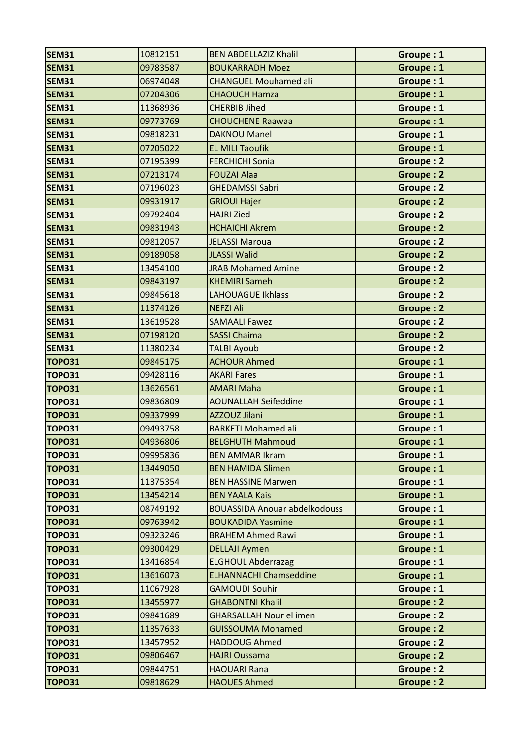| <b>SEM31</b>  | 10812151 | <b>BEN ABDELLAZIZ Khalil</b>         | Groupe: 1        |
|---------------|----------|--------------------------------------|------------------|
| <b>SEM31</b>  | 09783587 | <b>BOUKARRADH Moez</b>               | Groupe: 1        |
| <b>SEM31</b>  | 06974048 | <b>CHANGUEL Mouhamed ali</b>         | Groupe: 1        |
| <b>SEM31</b>  | 07204306 | <b>CHAOUCH Hamza</b>                 | Groupe: 1        |
| <b>SEM31</b>  | 11368936 | <b>CHERBIB Jihed</b>                 | Groupe: 1        |
| <b>SEM31</b>  | 09773769 | <b>CHOUCHENE Raawaa</b>              | Groupe: 1        |
| <b>SEM31</b>  | 09818231 | <b>DAKNOU Manel</b>                  | Groupe: 1        |
| <b>SEM31</b>  | 07205022 | <b>EL MILI Taoufik</b>               | Groupe: 1        |
| <b>SEM31</b>  | 07195399 | <b>FERCHICHI Sonia</b>               | Groupe: 2        |
| <b>SEM31</b>  | 07213174 | <b>FOUZAI Alaa</b>                   | <b>Groupe: 2</b> |
| <b>SEM31</b>  | 07196023 | <b>GHEDAMSSI Sabri</b>               | Groupe: 2        |
| <b>SEM31</b>  | 09931917 | <b>GRIOUI Hajer</b>                  | Groupe: 2        |
| <b>SEM31</b>  | 09792404 | <b>HAJRI Zied</b>                    | Groupe: 2        |
| <b>SEM31</b>  | 09831943 | <b>HCHAICHI Akrem</b>                | <b>Groupe: 2</b> |
| <b>SEM31</b>  | 09812057 | <b>JELASSI Maroua</b>                | <b>Groupe: 2</b> |
| <b>SEM31</b>  | 09189058 | <b>JLASSI Walid</b>                  | <b>Groupe: 2</b> |
| <b>SEM31</b>  | 13454100 | <b>JRAB Mohamed Amine</b>            | Groupe: 2        |
| <b>SEM31</b>  | 09843197 | <b>KHEMIRI Sameh</b>                 | <b>Groupe: 2</b> |
| <b>SEM31</b>  | 09845618 | <b>LAHOUAGUE Ikhlass</b>             | Groupe: 2        |
| <b>SEM31</b>  | 11374126 | <b>NEFZI Ali</b>                     | <b>Groupe: 2</b> |
| <b>SEM31</b>  | 13619528 | <b>SAMAALI Fawez</b>                 | <b>Groupe: 2</b> |
| <b>SEM31</b>  | 07198120 | <b>SASSI Chaima</b>                  | <b>Groupe: 2</b> |
| <b>SEM31</b>  | 11380234 | <b>TALBI Ayoub</b>                   | Groupe: 2        |
| <b>TOPO31</b> | 09845175 | <b>ACHOUR Ahmed</b>                  | Groupe: 1        |
| <b>TOPO31</b> | 09428116 | <b>AKARI Fares</b>                   | Groupe: 1        |
| <b>TOPO31</b> | 13626561 | <b>AMARI Maha</b>                    | Groupe: 1        |
| <b>TOPO31</b> | 09836809 | <b>AOUNALLAH Seifeddine</b>          | Groupe: 1        |
| <b>TOPO31</b> | 09337999 | AZZOUZ Jilani                        | Groupe: 1        |
| <b>TOPO31</b> | 09493758 | <b>BARKETI Mohamed ali</b>           | Groupe: 1        |
| <b>TOPO31</b> | 04936806 | <b>BELGHUTH Mahmoud</b>              | Groupe: 1        |
| <b>TOPO31</b> | 09995836 | <b>BEN AMMAR Ikram</b>               | Groupe: 1        |
| <b>TOPO31</b> | 13449050 | <b>BEN HAMIDA Slimen</b>             | Groupe: 1        |
| <b>TOPO31</b> | 11375354 | <b>BEN HASSINE Marwen</b>            | Groupe: 1        |
| <b>TOPO31</b> | 13454214 | <b>BEN YAALA Kais</b>                | Groupe: 1        |
| <b>TOPO31</b> | 08749192 | <b>BOUASSIDA Anouar abdelkodouss</b> | Groupe: 1        |
| <b>TOPO31</b> | 09763942 | <b>BOUKADIDA Yasmine</b>             | Groupe: 1        |
| <b>TOPO31</b> | 09323246 | <b>BRAHEM Ahmed Rawi</b>             | Groupe: 1        |
| <b>TOPO31</b> | 09300429 | <b>DELLAJI Aymen</b>                 | Groupe: 1        |
| <b>TOPO31</b> | 13416854 | <b>ELGHOUL Abderrazag</b>            | Groupe: 1        |
| <b>TOPO31</b> | 13616073 | <b>ELHANNACHI Chamseddine</b>        | Groupe: 1        |
| <b>TOPO31</b> | 11067928 | <b>GAMOUDI Souhir</b>                | Groupe: 1        |
| <b>TOPO31</b> | 13455977 | <b>GHABONTNI Khalil</b>              | Groupe: 2        |
| <b>TOPO31</b> | 09841689 | <b>GHARSALLAH Nour el imen</b>       | Groupe: 2        |
| <b>TOPO31</b> | 11357633 | <b>GUISSOUMA Mohamed</b>             | Groupe: 2        |
| <b>TOPO31</b> | 13457952 | <b>HADDOUG Ahmed</b>                 | Groupe: 2        |
| <b>TOPO31</b> | 09806467 | <b>HAJRI Oussama</b>                 | Groupe: 2        |
| <b>TOPO31</b> | 09844751 | <b>HAOUARI Rana</b>                  | Groupe: 2        |
| <b>TOPO31</b> | 09818629 | <b>HAOUES Ahmed</b>                  | Groupe: 2        |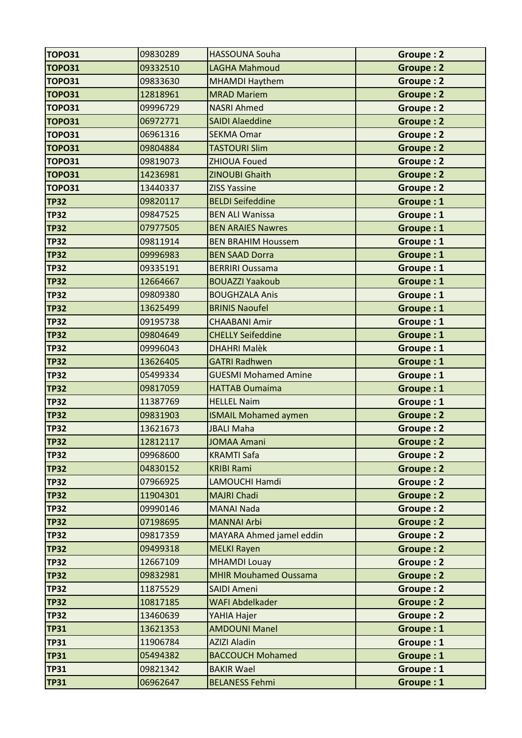| <b>TOPO31</b> | 09830289 | <b>HASSOUNA Souha</b>        | Groupe: 2        |
|---------------|----------|------------------------------|------------------|
| <b>TOPO31</b> | 09332510 | <b>LAGHA Mahmoud</b>         | <b>Groupe: 2</b> |
| <b>TOPO31</b> | 09833630 | <b>MHAMDI Haythem</b>        | Groupe: 2        |
| <b>TOPO31</b> | 12818961 | <b>MRAD Mariem</b>           | <b>Groupe: 2</b> |
| <b>TOPO31</b> | 09996729 | <b>NASRI Ahmed</b>           | Groupe: 2        |
| <b>TOPO31</b> | 06972771 | <b>SAIDI Alaeddine</b>       | <b>Groupe: 2</b> |
| <b>TOPO31</b> | 06961316 | <b>SEKMA Omar</b>            | Groupe: 2        |
| <b>TOPO31</b> | 09804884 | <b>TASTOURI Slim</b>         | <b>Groupe: 2</b> |
| <b>TOPO31</b> | 09819073 | <b>ZHIOUA Foued</b>          | Groupe: 2        |
| <b>TOPO31</b> | 14236981 | <b>ZINOUBI Ghaith</b>        | <b>Groupe: 2</b> |
| <b>TOPO31</b> | 13440337 | <b>ZISS Yassine</b>          | <b>Groupe: 2</b> |
| <b>TP32</b>   | 09820117 | <b>BELDI Seifeddine</b>      | Groupe: 1        |
| <b>TP32</b>   | 09847525 | <b>BEN ALI Wanissa</b>       | Groupe: 1        |
| <b>TP32</b>   | 07977505 | <b>BEN ARAIES Nawres</b>     | Groupe: 1        |
| <b>TP32</b>   | 09811914 | <b>BEN BRAHIM Houssem</b>    | Groupe: 1        |
| <b>TP32</b>   | 09996983 | <b>BEN SAAD Dorra</b>        | Groupe: 1        |
| <b>TP32</b>   | 09335191 | <b>BERRIRI Oussama</b>       | Groupe: 1        |
| <b>TP32</b>   | 12664667 | <b>BOUAZZI Yaakoub</b>       | Groupe: 1        |
| <b>TP32</b>   | 09809380 | <b>BOUGHZALA Anis</b>        | Groupe: 1        |
| <b>TP32</b>   | 13625499 | <b>BRINIS Naoufel</b>        | Groupe: 1        |
| <b>TP32</b>   | 09195738 | <b>CHAABANI Amir</b>         | Groupe: 1        |
| <b>TP32</b>   | 09804649 | <b>CHELLY Seifeddine</b>     | Groupe: 1        |
| <b>TP32</b>   | 09996043 | <b>DHAHRI Malèk</b>          | Groupe: 1        |
| <b>TP32</b>   | 13626405 | <b>GATRI Radhwen</b>         | Groupe: 1        |
| <b>TP32</b>   | 05499334 | <b>GUESMI Mohamed Amine</b>  | Groupe: 1        |
| <b>TP32</b>   | 09817059 | <b>HATTAB Oumaima</b>        | Groupe: 1        |
| <b>TP32</b>   | 11387769 | <b>HELLEL Naim</b>           | Groupe: 1        |
| <b>TP32</b>   | 09831903 | <b>ISMAIL Mohamed aymen</b>  | <b>Groupe: 2</b> |
| <b>TP32</b>   | 13621673 | <b>JBALI Maha</b>            | Groupe: 2        |
| TP32          | 12812117 | <b>JOMAA Amani</b>           | <b>Groupe: 2</b> |
| <b>TP32</b>   | 09968600 | <b>KRAMTI Safa</b>           | Groupe: 2        |
| <b>TP32</b>   | 04830152 | <b>KRIBI Rami</b>            | Groupe: 2        |
| <b>TP32</b>   | 07966925 | LAMOUCHI Hamdi               | Groupe: 2        |
| <b>TP32</b>   | 11904301 | <b>MAJRI Chadi</b>           | Groupe: 2        |
| <b>TP32</b>   | 09990146 | <b>MANAI Nada</b>            | Groupe: 2        |
| <b>TP32</b>   | 07198695 | <b>MANNAI Arbi</b>           | Groupe: 2        |
| <b>TP32</b>   | 09817359 | MAYARA Ahmed jamel eddin     | Groupe: 2        |
| <b>TP32</b>   | 09499318 | <b>MELKI Rayen</b>           | Groupe: 2        |
| <b>TP32</b>   | 12667109 | <b>MHAMDI Louay</b>          | Groupe: 2        |
| <b>TP32</b>   | 09832981 | <b>MHIR Mouhamed Oussama</b> | Groupe: 2        |
| <b>TP32</b>   | 11875529 | <b>SAIDI Ameni</b>           | <b>Groupe: 2</b> |
| <b>TP32</b>   | 10817185 | <b>WAFI Abdelkader</b>       | Groupe: 2        |
| <b>TP32</b>   | 13460639 | YAHIA Hajer                  | Groupe: 2        |
| <b>TP31</b>   | 13621353 | <b>AMDOUNI Manel</b>         | Groupe: 1        |
| <b>TP31</b>   | 11906784 | <b>AZIZI Aladin</b>          | Groupe: 1        |
| <b>TP31</b>   | 05494382 | <b>BACCOUCH Mohamed</b>      | Groupe: 1        |
| <b>TP31</b>   | 09821342 | <b>BAKIR Wael</b>            | Groupe: 1        |
| <b>TP31</b>   | 06962647 | <b>BELANESS Fehmi</b>        | Groupe: 1        |